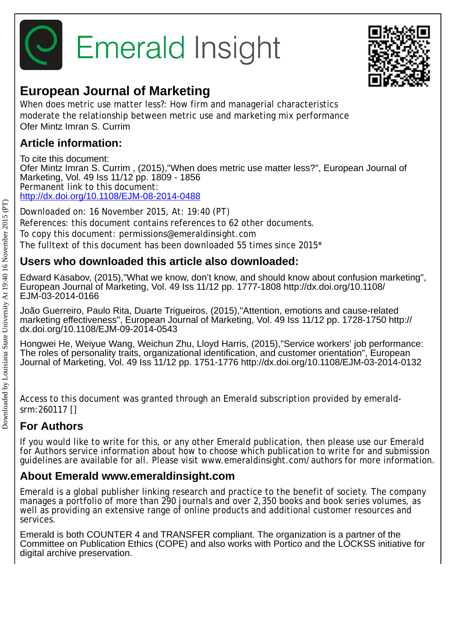# Emerald Insight



## **European Journal of Marketing**

When does metric use matter less?: How firm and managerial characteristics moderate the relationship between metric use and marketing mix performance Ofer Mintz Imran S. Currim

## **Article information:**

To cite this document: Ofer Mintz Imran S. Currim , (2015),"When does metric use matter less?", European Journal of Marketing, Vol. 49 Iss 11/12 pp. 1809 - 1856 Permanent link to this document: <http://dx.doi.org/10.1108/EJM-08-2014-0488>

Downloaded on: 16 November 2015, At: 19:40 (PT) References: this document contains references to 62 other documents. To copy this document: permissions@emeraldinsight.com The fulltext of this document has been downloaded 55 times since 2015\*

## **Users who downloaded this article also downloaded:**

Edward Kasabov, (2015),"What we know, don't know, and should know about confusion marketing", European Journal of Marketing, Vol. 49 Iss 11/12 pp. 1777-1808 http://dx.doi.org/10.1108/ EJM-03-2014-0166

João Guerreiro, Paulo Rita, Duarte Trigueiros, (2015),"Attention, emotions and cause-related marketing effectiveness", European Journal of Marketing, Vol. 49 Iss 11/12 pp. 1728-1750 http:// dx.doi.org/10.1108/EJM-09-2014-0543

Hongwei He, Weiyue Wang, Weichun Zhu, Lloyd Harris, (2015),"Service workers' job performance: The roles of personality traits, organizational identification, and customer orientation", European Journal of Marketing, Vol. 49 Iss 11/12 pp. 1751-1776 http://dx.doi.org/10.1108/EJM-03-2014-0132

Access to this document was granted through an Emerald subscription provided by emeraldsrm:260117 []

## **For Authors**

If you would like to write for this, or any other Emerald publication, then please use our Emerald for Authors service information about how to choose which publication to write for and submission guidelines are available for all. Please visit www.emeraldinsight.com/authors for more information.

## **About Emerald www.emeraldinsight.com**

Emerald is a global publisher linking research and practice to the benefit of society. The company manages a portfolio of more than 290 journals and over 2,350 books and book series volumes, as well as providing an extensive range of online products and additional customer resources and services.

Emerald is both COUNTER 4 and TRANSFER compliant. The organization is a partner of the Committee on Publication Ethics (COPE) and also works with Portico and the LOCKSS initiative for digital archive preservation.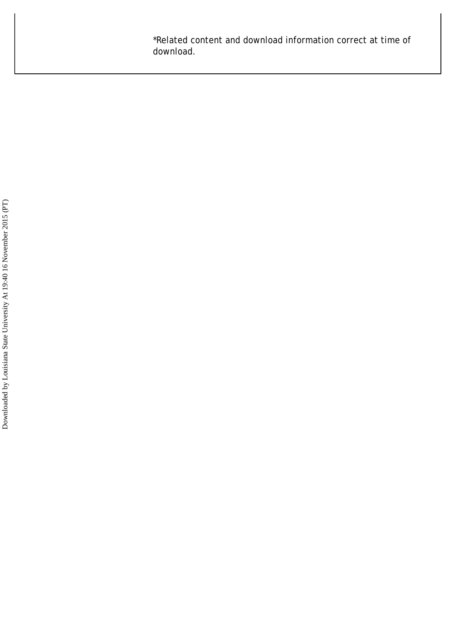\*Related content and download information correct at time of download.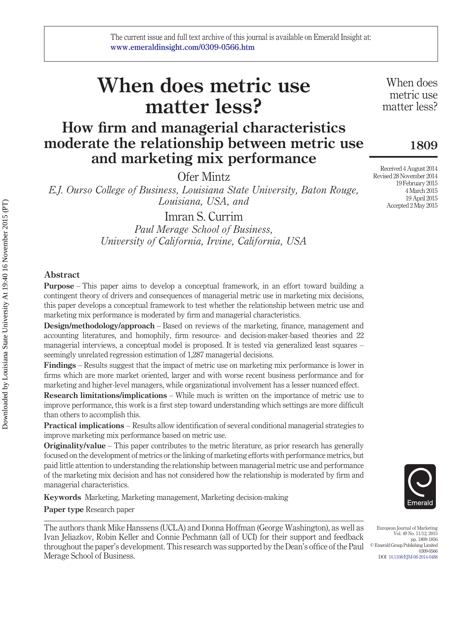## **When does metric use matter less?**

## **How firm and managerial characteristics moderate the relationship between metric use and marketing mix performance**

Ofer Mintz

*E.J. Ourso College of Business, Louisiana State University, Baton Rouge, Louisiana, USA, and*

Imran S. Currim

*Paul Merage School of Business, University of California, Irvine, California, USA*

#### **Abstract**

**Purpose** – This paper aims to develop a conceptual framework, in an effort toward building a contingent theory of drivers and consequences of managerial metric use in marketing mix decisions, this paper develops a conceptual framework to test whether the relationship between metric use and marketing mix performance is moderated by firm and managerial characteristics.

**Design/methodology/approach** – Based on reviews of the marketing, finance, management and accounting literatures, and homophily, firm resource- and decision-maker-based theories and 22 managerial interviews, a conceptual model is proposed. It is tested via generalized least squares – seemingly unrelated regression estimation of 1,287 managerial decisions.

**Findings** – Results suggest that the impact of metric use on marketing mix performance is lower in firms which are more market oriented, larger and with worse recent business performance and for marketing and higher-level managers, while organizational involvement has a lesser nuanced effect.

**Research limitations/implications** – While much is written on the importance of metric use to improve performance, this work is a first step toward understanding which settings are more difficult than others to accomplish this.

**Practical implications** – Results allow identification of several conditional managerial strategies to improve marketing mix performance based on metric use.

**Originality/value** – This paper contributes to the metric literature, as prior research has generally focused on the development of metrics or the linking of marketing efforts with performance metrics, but paid little attention to understanding the relationship between managerial metric use and performance of the marketing mix decision and has not considered how the relationship is moderated by firm and managerial characteristics.

**Keywords** Marketing, Marketing management, Marketing decision-making

**Paper type** Research paper

The authors thank Mike Hanssens (UCLA) and Donna Hoffman (George Washington), as well as Ivan Jeliazkov, Robin Keller and Connie Pechmann (all of UCI) for their support and feedback throughout the paper's development. This research was supported by the Dean's office of the Paul Merage School of Business.

When does metric use matter less?

**1809**

Received 4 August 2014 Revised 28 November 2014 19 February 2015 4 March 2015 19 April 2015 Accepted 2 May 2015



European Journal of Marketing Vol. 49 No. 11/12, 2015 pp. 1809-1856 © Emerald Group Publishing Limited 0309-0566 DOI [10.1108/EJM-08-2014-0488](http://dx.doi.org/10.1108/EJM-08-2014-0488)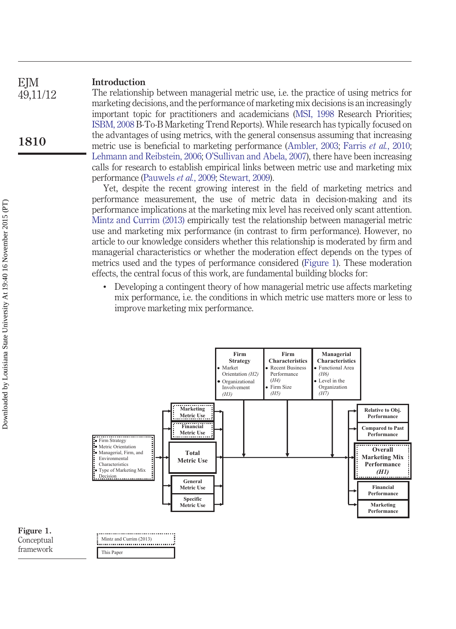#### **Introduction** EJM

The relationship between managerial metric use, i.e. the practice of using metrics for marketing decisions, and the performance of marketing mix decisions is an increasingly important topic for practitioners and academicians [\(MSI, 1998](#page-28-0) Research Priorities; [ISBM, 2008](#page-29-0) B-To-B Marketing Trend Reports). While research has typically focused on the advantages of using metrics, with the general consensus assuming that increasing metric use is beneficial to marketing performance [\(Ambler, 2003;](#page-27-0) Farris *et al.*[, 2010;](#page-27-1) [Lehmann and Reibstein, 2006;](#page-28-1) [O'Sullivan and Abela, 2007\)](#page-29-1), there have been increasing calls for research to establish empirical links between metric use and marketing mix performance [\(Pauwels](#page-29-2) *et al.*, 2009; [Stewart, 2009\)](#page-29-3).

Yet, despite the recent growing interest in the field of marketing metrics and performance measurement, the use of metric data in decision-making and its performance implications at the marketing mix level has received only scant attention. [Mintz and Currim \(2013\)](#page-29-4) empirically test the relationship between managerial metric use and marketing mix performance (in contrast to firm performance). However, no article to our knowledge considers whether this relationship is moderated by firm and managerial characteristics or whether the moderation effect depends on the types of metrics used and the types of performance considered [\(Figure 1\)](#page-3-0). These moderation effects, the central focus of this work, are fundamental building blocks for:

• Developing a contingent theory of how managerial metric use affects marketing mix performance, i.e. the conditions in which metric use matters more or less to improve marketing mix performance.



49,11/12

<span id="page-3-0"></span>**Figure 1.** Conceptual framework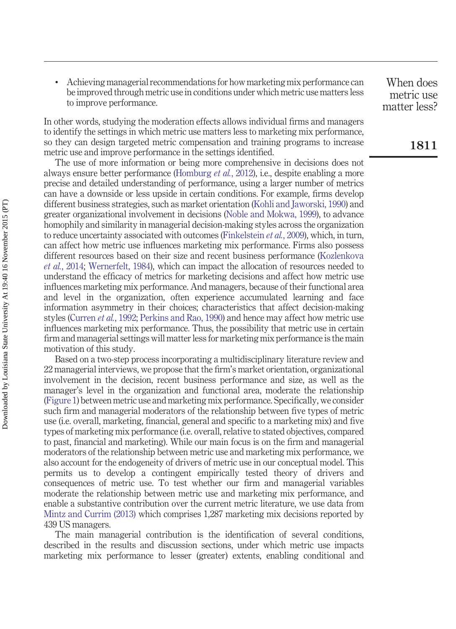• Achieving managerial recommendations for how marketing mix performance can be improved through metric use in conditions under which metric use matters less to improve performance.

In other words, studying the moderation effects allows individual firms and managers to identify the settings in which metric use matters less to marketing mix performance, so they can design targeted metric compensation and training programs to increase metric use and improve performance in the settings identified.

The use of more information or being more comprehensive in decisions does not always ensure better performance [\(Homburg](#page-28-2) *et al.*, 2012), i.e., despite enabling a more precise and detailed understanding of performance, using a larger number of metrics can have a downside or less upside in certain conditions. For example, firms develop different business strategies, such as market orientation [\(Kohli and Jaworski, 1990\)](#page-28-3) and greater organizational involvement in decisions [\(Noble and Mokwa, 1999\)](#page-29-5), to advance homophily and similarity in managerial decision-making styles across the organization to reduce uncertainty associated with outcomes [\(Finkelstein](#page-28-4) *et al.*, 2009), which, in turn, can affect how metric use influences marketing mix performance. Firms also possess different resources based on their size and recent business performance [\(Kozlenkova](#page-28-5) *et al.*[, 2014;](#page-28-5) [Wernerfelt, 1984\)](#page-30-0), which can impact the allocation of resources needed to understand the efficacy of metrics for marketing decisions and affect how metric use influences marketing mix performance. And managers, because of their functional area and level in the organization, often experience accumulated learning and face information asymmetry in their choices; characteristics that affect decision-making styles [\(Curren](#page-27-2) *et al.*, 1992; [Perkins and Rao, 1990\)](#page-29-6) and hence may affect how metric use influences marketing mix performance. Thus, the possibility that metric use in certain firm and managerial settings will matter less for marketing mix performance is the main motivation of this study.

Based on a two-step process incorporating a multidisciplinary literature review and 22 managerial interviews, we propose that the firm's market orientation, organizational involvement in the decision, recent business performance and size, as well as the manager's level in the organization and functional area, moderate the relationship [\(Figure 1\)](#page-3-0) between metric use and marketing mix performance. Specifically, we consider such firm and managerial moderators of the relationship between five types of metric use (i.e. overall, marketing, financial, general and specific to a marketing mix) and five types of marketing mix performance (i.e. overall, relative to stated objectives, compared to past, financial and marketing). While our main focus is on the firm and managerial moderators of the relationship between metric use and marketing mix performance, we also account for the endogeneity of drivers of metric use in our conceptual model. This permits us to develop a contingent empirically tested theory of drivers and consequences of metric use. To test whether our firm and managerial variables moderate the relationship between metric use and marketing mix performance, and enable a substantive contribution over the current metric literature, we use data from [Mintz and Currim \(2013\)](#page-29-4) which comprises 1,287 marketing mix decisions reported by 439 US managers.

The main managerial contribution is the identification of several conditions, described in the results and discussion sections, under which metric use impacts marketing mix performance to lesser (greater) extents, enabling conditional and

When does metric use matter less?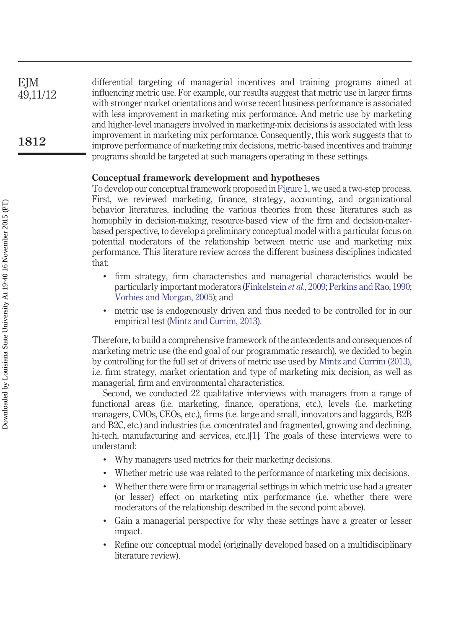differential targeting of managerial incentives and training programs aimed at influencing metric use. For example, our results suggest that metric use in larger firms with stronger market orientations and worse recent business performance is associated with less improvement in marketing mix performance. And metric use by marketing and higher-level managers involved in marketing-mix decisions is associated with less improvement in marketing mix performance. Consequently, this work suggests that to improve performance of marketing mix decisions, metric-based incentives and training programs should be targeted at such managers operating in these settings. EJM 49,11/12 **1812**

#### **Conceptual framework development and hypotheses**

To develop our conceptual framework proposed in [Figure 1,](#page-3-0) we used a two-step process. First, we reviewed marketing, finance, strategy, accounting, and organizational behavior literatures, including the various theories from these literatures such as homophily in decision-making, resource-based view of the firm and decision-makerbased perspective, to develop a preliminary conceptual model with a particular focus on potential moderators of the relationship between metric use and marketing mix performance. This literature review across the different business disciplines indicated that:

- firm strategy, firm characteristics and managerial characteristics would be particularly important moderators [\(Finkelstein](#page-28-4) *et al.*, 2009; [Perkins and Rao, 1990;](#page-29-6) [Vorhies and Morgan, 2005\)](#page-29-7); and
- metric use is endogenously driven and thus needed to be controlled for in our empirical test [\(Mintz and Currim, 2013\)](#page-29-4).

Therefore, to build a comprehensive framework of the antecedents and consequences of marketing metric use (the end goal of our programmatic research), we decided to begin by controlling for the full set of drivers of metric use used by [Mintz and Currim \(2013\),](#page-29-4) i.e. firm strategy, market orientation and type of marketing mix decision, as well as managerial, firm and environmental characteristics.

Second, we conducted 22 qualitative interviews with managers from a range of functional areas (i.e. marketing, finance, operations, etc.), levels (i.e. marketing managers, CMOs, CEOs, etc.), firms (i.e. large and small, innovators and laggards, B2B and B2C, etc.) and industries (i.e. concentrated and fragmented, growing and declining, hi-tech, manufacturing and services, etc.)[\[1\]](#page-26-0). The goals of these interviews were to understand:

- Why managers used metrics for their marketing decisions.
- Whether metric use was related to the performance of marketing mix decisions.
- Whether there were firm or managerial settings in which metric use had a greater (or lesser) effect on marketing mix performance (i.e. whether there were moderators of the relationship described in the second point above).
- Gain a managerial perspective for why these settings have a greater or lesser impact.
- Refine our conceptual model (originally developed based on a multidisciplinary literature review).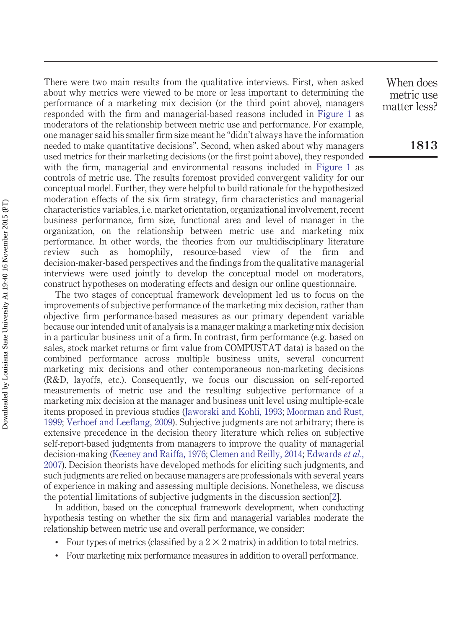There were two main results from the qualitative interviews. First, when asked about why metrics were viewed to be more or less important to determining the performance of a marketing mix decision (or the third point above), managers responded with the firm and managerial-based reasons included in [Figure 1](#page-3-0) as moderators of the relationship between metric use and performance. For example, one manager said his smaller firm size meant he "didn't always have the information needed to make quantitative decisions". Second, when asked about why managers used metrics for their marketing decisions (or the first point above), they responded with the firm, managerial and environmental reasons included in [Figure 1](#page-3-0) as controls of metric use. The results foremost provided convergent validity for our conceptual model. Further, they were helpful to build rationale for the hypothesized moderation effects of the six firm strategy, firm characteristics and managerial characteristics variables, i.e. market orientation, organizational involvement, recent business performance, firm size, functional area and level of manager in the organization, on the relationship between metric use and marketing mix performance. In other words, the theories from our multidisciplinary literature review such as homophily, resource-based view of the firm and decision-maker-based perspectives and the findings from the qualitative managerial interviews were used jointly to develop the conceptual model on moderators, construct hypotheses on moderating effects and design our online questionnaire.

The two stages of conceptual framework development led us to focus on the improvements of subjective performance of the marketing mix decision, rather than objective firm performance-based measures as our primary dependent variable because our intended unit of analysis is a manager making a marketing mix decision in a particular business unit of a firm. In contrast, firm performance (e.g. based on sales, stock market returns or firm value from COMPUSTAT data) is based on the combined performance across multiple business units, several concurrent marketing mix decisions and other contemporaneous non-marketing decisions (R&D, layoffs, etc.). Consequently, we focus our discussion on self-reported measurements of metric use and the resulting subjective performance of a marketing mix decision at the manager and business unit level using multiple-scale items proposed in previous studies [\(Jaworski and Kohli, 1993;](#page-28-6) [Moorman and Rust,](#page-29-8) [1999;](#page-29-8) [Verhoef and Leeflang, 2009\)](#page-29-9). Subjective judgments are not arbitrary; there is extensive precedence in the decision theory literature which relies on subjective self-report-based judgments from managers to improve the quality of managerial decision-making [\(Keeney and Raiffa, 1976;](#page-28-7) [Clemen and Reilly, 2014;](#page-27-3) [Edwards](#page-27-4) *et al.*, [2007\)](#page-27-4). Decision theorists have developed methods for eliciting such judgments, and such judgments are relied on because managers are professionals with several years of experience in making and assessing multiple decisions. Nonetheless, we discuss the potential limitations of subjective judgments in the discussion section[\[2\]](#page-26-1).

In addition, based on the conceptual framework development, when conducting hypothesis testing on whether the six firm and managerial variables moderate the relationship between metric use and overall performance, we consider:

- Four types of metrics (classified by a  $2 \times 2$  matrix) in addition to total metrics.
- Four marketing mix performance measures in addition to overall performance.

When does metric use matter less?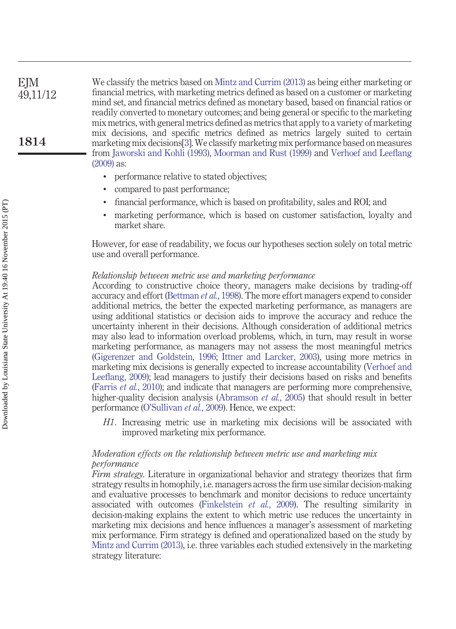We classify the metrics based on [Mintz and Currim \(2013\)](#page-29-4) as being either marketing or financial metrics, with marketing metrics defined as based on a customer or marketing mind set, and financial metrics defined as monetary based, based on financial ratios or readily converted to monetary outcomes; and being general or specific to the marketing mix metrics, with general metrics defined as metrics that apply to a variety of marketing mix decisions, and specific metrics defined as metrics largely suited to certain marketing mix decisions[\[3\]](#page-26-2). We classify marketing mix performance based on measures from [Jaworski and Kohli \(1993\),](#page-28-6) [Moorman and Rust \(1999\)](#page-29-8) and [Verhoef and Leeflang](#page-29-9) [\(2009\)](#page-29-9) as: EJM 49,11/12 **1814**

- performance relative to stated objectives;
- compared to past performance;
- financial performance, which is based on profitability, sales and ROI; and
- marketing performance, which is based on customer satisfaction, loyalty and market share.

However, for ease of readability, we focus our hypotheses section solely on total metric use and overall performance.

#### *Relationship between metric use and marketing performance*

According to constructive choice theory, managers make decisions by trading-off accuracy and effort [\(Bettman](#page-27-5) *et al.*, 1998). The more effort managers expend to consider additional metrics, the better the expected marketing performance, as managers are using additional statistics or decision aids to improve the accuracy and reduce the uncertainty inherent in their decisions. Although consideration of additional metrics may also lead to information overload problems, which, in turn, may result in worse marketing performance, as managers may not assess the most meaningful metrics [\(Gigerenzer and Goldstein, 1996;](#page-28-8) [Ittner and Larcker, 2003\)](#page-28-9), using more metrics in marketing mix decisions is generally expected to increase accountability [\(Verhoef and](#page-29-9) [Leeflang, 2009\)](#page-29-9); lead managers to justify their decisions based on risks and benefits [\(Farris](#page-27-1) *et al.*, 2010); and indicate that managers are performing more comprehensive, higher-quality decision analysis [\(Abramson](#page-27-6) *et al.*, 2005) that should result in better performance [\(O'Sullivan](#page-29-10) *et al.*, 2009). Hence, we expect:

*H1*. Increasing metric use in marketing mix decisions will be associated with improved marketing mix performance.

#### *Moderation effects on the relationship between metric use and marketing mix performance*

*Firm strategy.* Literature in organizational behavior and strategy theorizes that firm strategy results in homophily, i.e. managers across the firm use similar decision-making and evaluative processes to benchmark and monitor decisions to reduce uncertainty associated with outcomes [\(Finkelstein](#page-28-4) *et al.*, 2009). The resulting similarity in decision-making explains the extent to which metric use reduces the uncertainty in marketing mix decisions and hence influences a manager's assessment of marketing mix performance. Firm strategy is defined and operationalized based on the study by [Mintz and Currim \(2013\),](#page-29-4) i.e. three variables each studied extensively in the marketing strategy literature: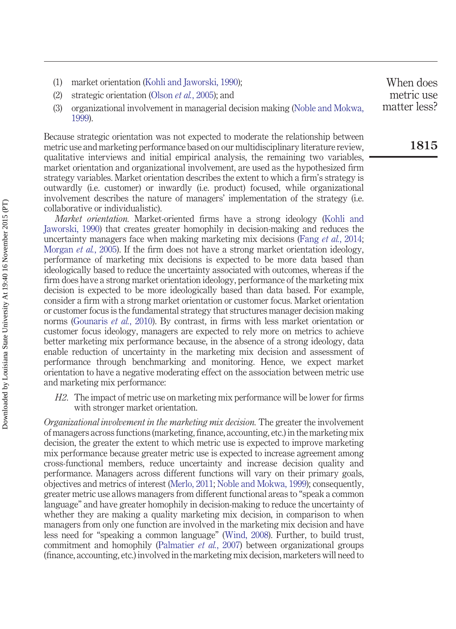(1) market orientation [\(Kohli and Jaworski, 1990\)](#page-28-3); (2) strategic orientation (Olson *et al.*[, 2005\)](#page-29-11); and (3) organizational involvement in managerial decision making [\(Noble and Mokwa,](#page-29-5) [1999\)](#page-29-5).

Because strategic orientation was not expected to moderate the relationship between metric use and marketing performance based on our multidisciplinary literature review, qualitative interviews and initial empirical analysis, the remaining two variables, market orientation and organizational involvement, are used as the hypothesized firm strategy variables. Market orientation describes the extent to which a firm's strategy is outwardly (i.e. customer) or inwardly (i.e. product) focused, while organizational involvement describes the nature of managers' implementation of the strategy (i.e. collaborative or individualistic).

*Market orientation.* Market-oriented firms have a strong ideology [\(Kohli and](#page-28-3) [Jaworski, 1990\)](#page-28-3) that creates greater homophily in decision-making and reduces the uncertainty managers face when making marketing mix decisions (Fang *et al.*[, 2014;](#page-27-7) [Morgan](#page-29-12) *et al.*, 2005). If the firm does not have a strong market orientation ideology, performance of marketing mix decisions is expected to be more data based than ideologically based to reduce the uncertainty associated with outcomes, whereas if the firm does have a strong market orientation ideology, performance of the marketing mix decision is expected to be more ideologically based than data based. For example, consider a firm with a strong market orientation or customer focus. Market orientation or customer focus is the fundamental strategy that structures manager decision making norms [\(Gounaris](#page-28-10) *et al.*, 2010). By contrast, in firms with less market orientation or customer focus ideology, managers are expected to rely more on metrics to achieve better marketing mix performance because, in the absence of a strong ideology, data enable reduction of uncertainty in the marketing mix decision and assessment of performance through benchmarking and monitoring. Hence, we expect market orientation to have a negative moderating effect on the association between metric use and marketing mix performance:

*H2*. The impact of metric use on marketing mix performance will be lower for firms with stronger market orientation.

*Organizational involvement in the marketing mix decision.* The greater the involvement of managers across functions (marketing, finance, accounting, etc.) in the marketing mix decision, the greater the extent to which metric use is expected to improve marketing mix performance because greater metric use is expected to increase agreement among cross-functional members, reduce uncertainty and increase decision quality and performance. Managers across different functions will vary on their primary goals, objectives and metrics of interest [\(Merlo, 2011;](#page-28-11) [Noble and Mokwa, 1999\)](#page-29-5); consequently, greater metric use allows managers from different functional areas to "speak a common language" and have greater homophily in decision-making to reduce the uncertainty of whether they are making a quality marketing mix decision, in comparison to when managers from only one function are involved in the marketing mix decision and have less need for "speaking a common language" [\(Wind, 2008\)](#page-30-1). Further, to build trust, commitment and homophily [\(Palmatier](#page-29-13) *et al.*, 2007) between organizational groups (finance, accounting, etc.) involved in the marketing mix decision, marketers will need to

When does metric use matter less?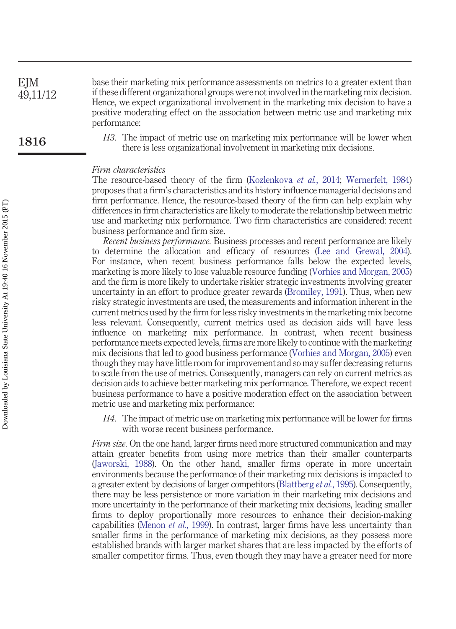base their marketing mix performance assessments on metrics to a greater extent than if these different organizational groups were not involved in the marketing mix decision. Hence, we expect organizational involvement in the marketing mix decision to have a positive moderating effect on the association between metric use and marketing mix performance: EJM 49,11/12

- **1816**
- *H3*. The impact of metric use on marketing mix performance will be lower when there is less organizational involvement in marketing mix decisions.

#### *Firm characteristics*

The resource-based theory of the firm [\(Kozlenkova](#page-28-5) *et al.*, 2014; [Wernerfelt, 1984\)](#page-30-0) proposes that a firm's characteristics and its history influence managerial decisions and firm performance. Hence, the resource-based theory of the firm can help explain why differences in firm characteristics are likely to moderate the relationship between metric use and marketing mix performance. Two firm characteristics are considered: recent business performance and firm size.

*Recent business performance.* Business processes and recent performance are likely to determine the allocation and efficacy of resources [\(Lee and Grewal, 2004\)](#page-28-12). For instance, when recent business performance falls below the expected levels, marketing is more likely to lose valuable resource funding [\(Vorhies and Morgan, 2005\)](#page-29-7) and the firm is more likely to undertake riskier strategic investments involving greater uncertainty in an effort to produce greater rewards [\(Bromiley, 1991\)](#page-27-8). Thus, when new risky strategic investments are used, the measurements and information inherent in the current metrics used by the firm for less risky investments in the marketing mix become less relevant. Consequently, current metrics used as decision aids will have less influence on marketing mix performance. In contrast, when recent business performance meets expected levels, firms are more likely to continue with the marketing mix decisions that led to good business performance [\(Vorhies and Morgan, 2005\)](#page-29-7) even though they may have little room for improvement and so may suffer decreasing returns to scale from the use of metrics. Consequently, managers can rely on current metrics as decision aids to achieve better marketing mix performance. Therefore, we expect recent business performance to have a positive moderation effect on the association between metric use and marketing mix performance:

*H4*. The impact of metric use on marketing mix performance will be lower for firms with worse recent business performance.

*Firm size.* On the one hand, larger firms need more structured communication and may attain greater benefits from using more metrics than their smaller counterparts [\(Jaworski, 1988\)](#page-28-13). On the other hand, smaller firms operate in more uncertain environments because the performance of their marketing mix decisions is impacted to a greater extent by decisions of larger competitors [\(Blattberg](#page-27-9) *et al.*, 1995). Consequently, there may be less persistence or more variation in their marketing mix decisions and more uncertainty in the performance of their marketing mix decisions, leading smaller firms to deploy proportionally more resources to enhance their decision-making capabilities [\(Menon](#page-28-14) *et al.*, 1999). In contrast, larger firms have less uncertainty than smaller firms in the performance of marketing mix decisions, as they possess more established brands with larger market shares that are less impacted by the efforts of smaller competitor firms. Thus, even though they may have a greater need for more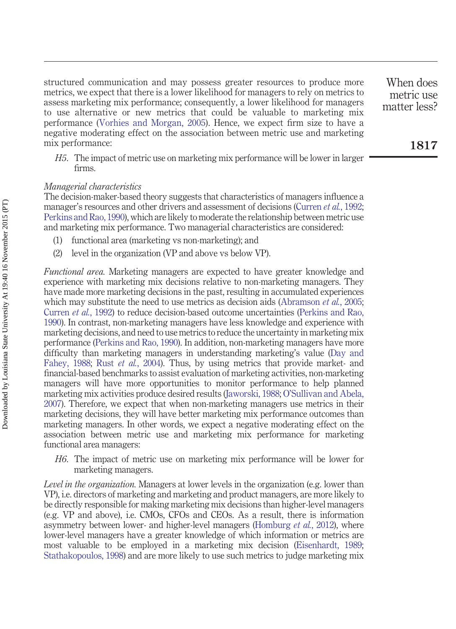structured communication and may possess greater resources to produce more metrics, we expect that there is a lower likelihood for managers to rely on metrics to assess marketing mix performance; consequently, a lower likelihood for managers to use alternative or new metrics that could be valuable to marketing mix performance [\(Vorhies and Morgan, 2005\)](#page-29-7). Hence, we expect firm size to have a negative moderating effect on the association between metric use and marketing mix performance:

*H5*. The impact of metric use on marketing mix performance will be lower in larger firms.

#### *Managerial characteristics*

The decision-maker-based theory suggests that characteristics of managers influence a manager's resources and other drivers and assessment of decisions [\(Curren](#page-27-2) *et al.*, 1992; [Perkins and Rao, 1990\)](#page-29-6), which are likely to moderate the relationship between metric use and marketing mix performance. Two managerial characteristics are considered:

- (1) functional area (marketing vs non-marketing); and
- (2) level in the organization (VP and above vs below VP).

*Functional area.* Marketing managers are expected to have greater knowledge and experience with marketing mix decisions relative to non-marketing managers. They have made more marketing decisions in the past, resulting in accumulated experiences which may substitute the need to use metrics as decision aids [\(Abramson](#page-27-6) *et al.*, 2005; [Curren](#page-27-2) *et al.*, 1992) to reduce decision-based outcome uncertainties [\(Perkins and Rao,](#page-29-6) [1990\)](#page-29-6). In contrast, non-marketing managers have less knowledge and experience with marketing decisions, and need to use metrics to reduce the uncertainty in marketing mix performance [\(Perkins and Rao, 1990\)](#page-29-6). In addition, non-marketing managers have more difficulty than marketing managers in understanding marketing's value [\(Day and](#page-27-10) [Fahey, 1988;](#page-27-10) Rust *et al.*[, 2004\)](#page-29-14). Thus, by using metrics that provide market- and financial-based benchmarks to assist evaluation of marketing activities, non-marketing managers will have more opportunities to monitor performance to help planned marketing mix activities produce desired results [\(Jaworski, 1988;](#page-28-13) [O'Sullivan and Abela,](#page-29-1) [2007\)](#page-29-1). Therefore, we expect that when non-marketing managers use metrics in their marketing decisions, they will have better marketing mix performance outcomes than marketing managers. In other words, we expect a negative moderating effect on the association between metric use and marketing mix performance for marketing functional area managers:

*H6*. The impact of metric use on marketing mix performance will be lower for marketing managers.

*Level in the organization.* Managers at lower levels in the organization (e.g. lower than VP), i.e. directors of marketing and marketing and product managers, are more likely to be directly responsible for making marketing mix decisions than higher-level managers (e.g. VP and above), i.e. CMOs, CFOs and CEOs. As a result, there is information asymmetry between lower- and higher-level managers [\(Homburg](#page-28-2) *et al.*, 2012), where lower-level managers have a greater knowledge of which information or metrics are most valuable to be employed in a marketing mix decision [\(Eisenhardt, 1989;](#page-27-11) [Stathakopoulos, 1998\)](#page-29-15) and are more likely to use such metrics to judge marketing mix

When does metric use matter less?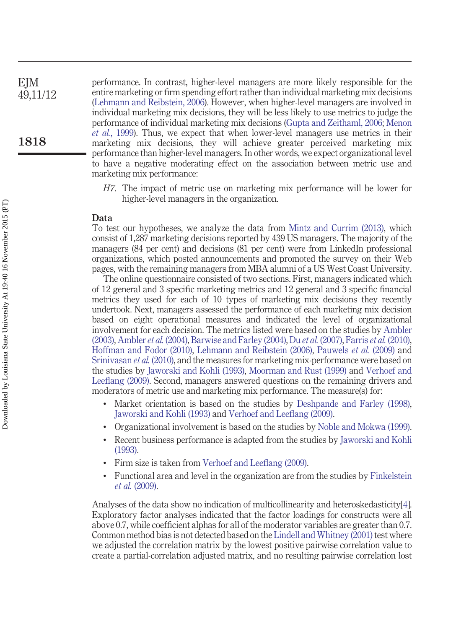performance. In contrast, higher-level managers are more likely responsible for the entire marketing or firm spending effort rather than individual marketing mix decisions [\(Lehmann and Reibstein, 2006\)](#page-28-1). However, when higher-level managers are involved in individual marketing mix decisions, they will be less likely to use metrics to judge the performance of individual marketing mix decisions [\(Gupta and Zeithaml, 2006;](#page-28-15) [Menon](#page-28-14) *et al.*[, 1999\)](#page-28-14). Thus, we expect that when lower-level managers use metrics in their marketing mix decisions, they will achieve greater perceived marketing mix performance than higher-level managers. In other words, we expect organizational level to have a negative moderating effect on the association between metric use and marketing mix performance:

*H7*. The impact of metric use on marketing mix performance will be lower for higher-level managers in the organization.

#### **Data**

To test our hypotheses, we analyze the data from [Mintz and Currim \(2013\),](#page-29-4) which consist of 1,287 marketing decisions reported by 439 US managers. The majority of the managers (84 per cent) and decisions (81 per cent) were from LinkedIn professional organizations, which posted announcements and promoted the survey on their Web pages, with the remaining managers from MBA alumni of a US West Coast University.

The online questionnaire consisted of two sections. First, managers indicated which of 12 general and 3 specific marketing metrics and 12 general and 3 specific financial metrics they used for each of 10 types of marketing mix decisions they recently undertook. Next, managers assessed the performance of each marketing mix decision based on eight operational measures and indicated the level of organizational involvement for each decision. The metrics listed were based on the studies by [Ambler](#page-27-0) [\(2003\),](#page-27-0) [Ambler](#page-27-12) *et al.* (2004), [Barwise and Farley \(2004\),](#page-27-13)Du *et al.* [\(2007\),](#page-27-14) Farris *et al.* [\(2010\),](#page-27-1) [Hoffman and Fodor \(2010\),](#page-28-16) [Lehmann and Reibstein \(2006\),](#page-28-1) [Pauwels](#page-29-2) *et al.* (2009) and [Srinivasan](#page-29-16) *et al.* (2010), and the measures for marketing mix-performance were based on the studies by [Jaworski and Kohli \(1993\),](#page-28-6) [Moorman and Rust \(1999\)](#page-29-8) and [Verhoef and](#page-29-9) [Leeflang \(2009\).](#page-29-9) Second, managers answered questions on the remaining drivers and moderators of metric use and marketing mix performance. The measure(s) for:

- Market orientation is based on the studies by [Deshpande and Farley \(1998\),](#page-27-15) [Jaworski and Kohli \(1993\)](#page-28-6) and [Verhoef and Leeflang \(2009\).](#page-29-9)
- Organizational involvement is based on the studies by [Noble and Mokwa \(1999\).](#page-29-5)
- Recent business performance is adapted from the studies by [Jaworski and Kohli](#page-28-6) [\(1993\).](#page-28-6)
- Firm size is taken from [Verhoef and Leeflang \(2009\).](#page-29-9)
- Functional area and level in the organization are from the studies by [Finkelstein](#page-28-4) *et al.* [\(2009\).](#page-28-4)

Analyses of the data show no indication of multicollinearity and heteroskedasticity[\[4\]](#page-27-16). Exploratory factor analyses indicated that the factor loadings for constructs were all above 0.7, while coefficient alphas for all of the moderator variables are greater than 0.7. Common method bias is not detected based on the [Lindell and Whitney \(2001\)](#page-28-17) test where we adjusted the correlation matrix by the lowest positive pairwise correlation value to create a partial-correlation adjusted matrix, and no resulting pairwise correlation lost

EJM 49,11/12

**1818**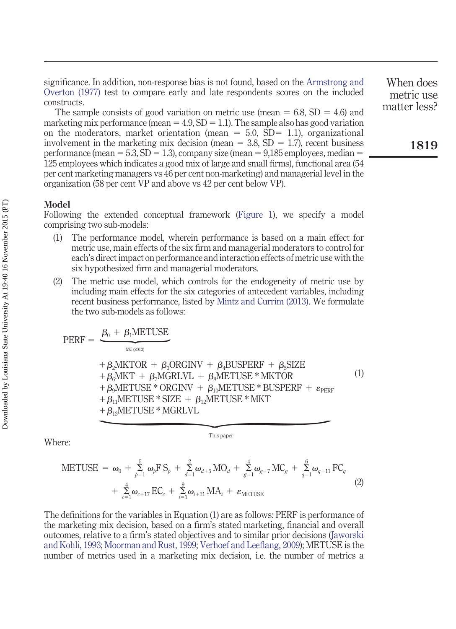significance. In addition, non-response bias is not found, based on the [Armstrong and](#page-27-17) [Overton \(1977\)](#page-27-17) test to compare early and late respondents scores on the included constructs.

The sample consists of good variation on metric use (mean  $= 6.8$ , SD  $= 4.6$ ) and marketing mix performance (mean  $= 4.9$ , SD  $= 1.1$ ). The sample also has good variation on the moderators, market orientation (mean  $= 5.0$ , SD  $= 1.1$ ), organizational involvement in the marketing mix decision (mean  $=$  3.8, SD  $=$  1.7), recent business performance (mean  $= 5.3$ , SD  $= 1.3$ ), company size (mean  $= 9.185$  employees, median  $=$ 125 employees which indicates a good mix of large and small firms), functional area (54 per cent marketing managers vs 46 per cent non-marketing) and managerial level in the organization (58 per cent VP and above vs 42 per cent below VP).

#### **Model**

Downloaded by Louisiana State University At 19:40 16 November 2015 (PT) Downloaded by Louisiana State University At 19:40 16 November 2015 (PT)

Following the extended conceptual framework [\(Figure 1\)](#page-3-0), we specify a model comprising two sub-models:

- (1) The performance model, wherein performance is based on a main effect for metric use, main effects of the six firm and managerial moderators to control for each's direct impact on performance and interaction effects of metric use with the
- six hypothesized firm and managerial moderators.<br>Six hypothesized firm and managerial moderators.<br>The metric use model, which controls for the erincluding main effects for the six categories of ant<br>recent business perform (2) The metric use model, which controls for the endogeneity of metric use by including main effects for the six categories of antecedent variables, including recent business performance, listed by [Mintz and Currim \(2013\).](#page-29-4) We formulate the two sub-models as follows:

$$
\text{PERF} = \underbrace{\beta_0 + \beta_1 \text{METUSE}}_{\text{MC (2013)}}
$$

 $+\beta_{2}$ MKTOR +  $\beta_{3}$ ORGINV +  $\beta_{4}$ BUSPERF +  $\beta_{5}$ SIZE  $+\beta_{\alpha}$ MKT +  $\beta_{7}$ MGRLVL +  $\beta_{8}$ METUSE \* MKTOR  $\beta_9METUSE * ORGINV + \beta_{10}METUSE * BUSPERF + \varepsilon_{PERF}$  $+\beta_{11}$ METUSE \* SIZE  $+\beta_{12}$ METUSE \* MKT  $+ \beta_{13}$ METUSE \* MGRLVL (1)

<span id="page-12-1"></span><span id="page-12-0"></span>Where:

$$
\text{METUSE} = \omega_0 + \sum_{p=1}^{5} \omega_p \text{F} \, \text{S}_p + \sum_{d=1}^{2} \omega_{d+5} \, \text{MO}_d + \sum_{g=1}^{4} \omega_{g+7} \, \text{MC}_g + \sum_{q=1}^{6} \omega_{q+11} \, \text{FC}_q + \sum_{c=1}^{4} \omega_{c+17} \, \text{EC}_c + \sum_{i=1}^{9} \omega_{i+21} \, \text{MA}_i + \varepsilon_{\text{METUSE}} \tag{2}
$$

This paper

 $\overbrace{\hspace{4.5cm}}^{3}$ 

The definitions for the variables in Equation [\(1\)](#page-12-0) are as follows: PERF is performance of the marketing mix decision, based on a firm's stated marketing, financial and overall outcomes, relative to a firm's stated objectives and to similar prior decisions [\(Jaworski](#page-28-6) [and Kohli, 1993;](#page-28-6) [Moorman and Rust, 1999;](#page-29-8) [Verhoef and Leeflang, 2009\)](#page-29-9); METUSE is the number of metrics used in a marketing mix decision, i.e. the number of metrics a

When does metric use matter less?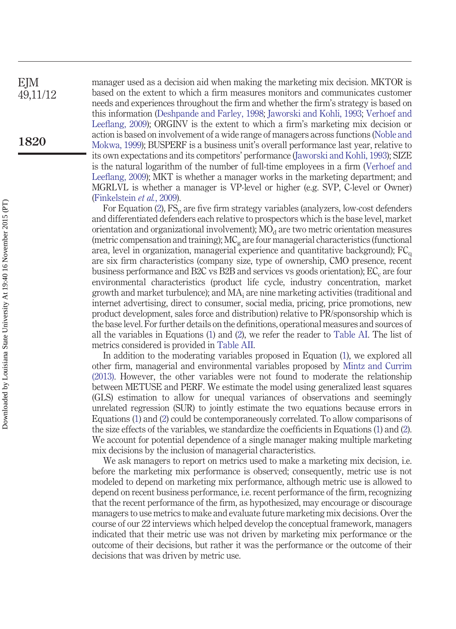manager used as a decision aid when making the marketing mix decision. MKTOR is based on the extent to which a firm measures monitors and communicates customer needs and experiences throughout the firm and whether the firm's strategy is based on this information [\(Deshpande and Farley, 1998;](#page-27-15) [Jaworski and Kohli, 1993;](#page-28-6) [Verhoef and](#page-29-9) [Leeflang, 2009\)](#page-29-9); ORGINV is the extent to which a firm's marketing mix decision or action is based on involvement of a wide range of managers across functions [\(Noble and](#page-29-5) [Mokwa, 1999\)](#page-29-5); BUSPERF is a business unit's overall performance last year, relative to its own expectations and its competitors' performance [\(Jaworski and Kohli, 1993\)](#page-28-6); SIZE is the natural logarithm of the number of full-time employees in a firm [\(Verhoef and](#page-29-9) [Leeflang, 2009\)](#page-29-9); MKT is whether a manager works in the marketing department; and MGRLVL is whether a manager is VP-level or higher (e.g. SVP, C-level or Owner) [\(Finkelstein](#page-28-4) *et al.*, 2009).

For Equation [\(2\)](#page-12-1),  $FS<sub>p</sub>$  are five firm strategy variables (analyzers, low-cost defenders and differentiated defenders each relative to prospectors which is the base level, market orientation and organizational involvement);  $MO<sub>d</sub>$  are two metric orientation measures (metric compensation and training);  $MC<sub>g</sub>$  are four managerial characteristics (functional area, level in organization, managerial experience and quantitative background);  $FC<sub>q</sub>$ are six firm characteristics (company size, type of ownership, CMO presence, recent business performance and B2C vs B2B and services vs goods orientation); EC<sub>c</sub> are four environmental characteristics (product life cycle, industry concentration, market growth and market turbulence); and  $MA_i$  are nine marketing activities (traditional and internet advertising, direct to consumer, social media, pricing, price promotions, new product development, sales force and distribution) relative to PR/sponsorship which is the base level. For further details on the definitions, operational measures and sources of all the variables in Equations [\(1\)](#page-12-0) and [\(2\)](#page-12-1), we refer the reader to [Table AI.](#page-31-0) The list of metrics considered is provided in [Table AII.](#page-37-0)

In addition to the moderating variables proposed in Equation [\(1\)](#page-12-0), we explored all other firm, managerial and environmental variables proposed by [Mintz and Currim](#page-29-4) [\(2013\).](#page-29-4) However, the other variables were not found to moderate the relationship between METUSE and PERF. We estimate the model using generalized least squares (GLS) estimation to allow for unequal variances of observations and seemingly unrelated regression (SUR) to jointly estimate the two equations because errors in Equations [\(1\)](#page-12-0) and [\(2\)](#page-12-1) could be contemporaneously correlated. To allow comparisons of the size effects of the variables, we standardize the coefficients in Equations [\(1\)](#page-12-0) and [\(2\)](#page-12-1). We account for potential dependence of a single manager making multiple marketing mix decisions by the inclusion of managerial characteristics.

We ask managers to report on metrics used to make a marketing mix decision, i.e. before the marketing mix performance is observed; consequently, metric use is not modeled to depend on marketing mix performance, although metric use is allowed to depend on recent business performance, i.e. recent performance of the firm, recognizing that the recent performance of the firm, as hypothesized, may encourage or discourage managers to use metrics to make and evaluate future marketing mix decisions. Over the course of our 22 interviews which helped develop the conceptual framework, managers indicated that their metric use was not driven by marketing mix performance or the outcome of their decisions, but rather it was the performance or the outcome of their decisions that was driven by metric use.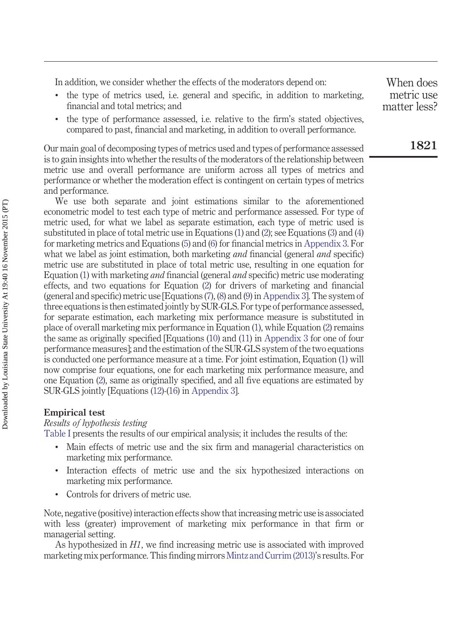In addition, we consider whether the effects of the moderators depend on:

- the type of metrics used, i.e. general and specific, in addition to marketing, financial and total metrics; and
- the type of performance assessed, i.e. relative to the firm's stated objectives, compared to past, financial and marketing, in addition to overall performance.

Our main goal of decomposing types of metrics used and types of performance assessed is to gain insights into whether the results of the moderators of the relationship between metric use and overall performance are uniform across all types of metrics and performance or whether the moderation effect is contingent on certain types of metrics and performance.

We use both separate and joint estimations similar to the aforementioned econometric model to test each type of metric and performance assessed. For type of metric used, for what we label as separate estimation, each type of metric used is substituted in place of total metric use in Equations [\(1\)](#page-12-0) and [\(2\)](#page-12-1); see Equations [\(3\)](#page-38-0) and [\(4\)](#page-38-1) for marketing metrics and Equations [\(5\)](#page-38-2) and [\(6\)](#page-38-3) for financial metrics in [Appendix 3.](#page-37-1) For what we label as joint estimation, both marketing *and* financial (general *and* specific) metric use are substituted in place of total metric use, resulting in one equation for Equation [\(1\)](#page-12-0) with marketing *and* financial (general *and* specific) metric use moderating effects, and two equations for Equation [\(2\)](#page-12-1) for drivers of marketing and financial (general and specific) metric use [Equations [\(7\)](#page-39-0), [\(8\)](#page-39-1) and [\(9\)](#page-39-2) in [Appendix 3\]](#page-37-1). The system of three equations is then estimated jointly by SUR-GLS. For type of performance assessed, for separate estimation, each marketing mix performance measure is substituted in place of overall marketing mix performance in Equation [\(1\)](#page-12-0), while Equation [\(2\)](#page-12-1) remains the same as originally specified [Equations [\(10\)](#page-39-3) and [\(11\)](#page-39-4) in [Appendix 3](#page-37-1) for one of four performance measures]; and the estimation of the SUR-GLS system of the two equations is conducted one performance measure at a time. For joint estimation, Equation [\(1\)](#page-12-0) will now comprise four equations, one for each marketing mix performance measure, and one Equation [\(2\)](#page-12-1), same as originally specified, and all five equations are estimated by SUR-GLS jointly [Equations [\(12\)](#page-39-5)-[\(16\)](#page-40-0) in [Appendix 3\]](#page-37-1).

#### **Empirical test**

#### *Results of hypothesis testing*

[Table I](#page-15-0) presents the results of our empirical analysis; it includes the results of the:

- Main effects of metric use and the six firm and managerial characteristics on marketing mix performance.
- Interaction effects of metric use and the six hypothesized interactions on marketing mix performance.
- Controls for drivers of metric use.

Note, negative (positive) interaction effects show that increasing metric use is associated with less (greater) improvement of marketing mix performance in that firm or managerial setting.

As hypothesized in *H1*, we find increasing metric use is associated with improved marketing mix performance. This finding mirrors [Mintz and Currim \(2013\)'](#page-29-4)s results. For

When does metric use matter less?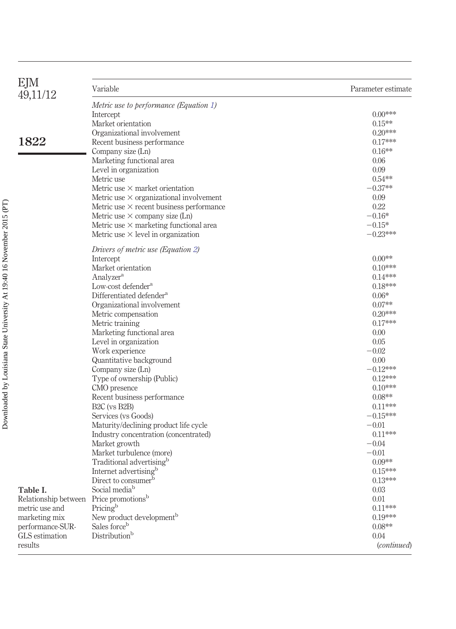<span id="page-15-0"></span>

| EJM<br>49,11/12                                    | Variable                                        | Parameter estimate    |
|----------------------------------------------------|-------------------------------------------------|-----------------------|
|                                                    |                                                 |                       |
|                                                    | Metric use to performance (Equation 1)          | $0.00***$             |
|                                                    | Intercept                                       |                       |
|                                                    | Market orientation                              | $0.15**$<br>$0.20***$ |
| 1822                                               | Organizational involvement                      |                       |
|                                                    | Recent business performance                     | $0.17***$             |
|                                                    | Company size (Ln)                               | $0.16**$              |
|                                                    | Marketing functional area                       | 0.06                  |
|                                                    | Level in organization                           | 0.09                  |
|                                                    | Metric use                                      | $0.54**$              |
|                                                    | Metric use $\times$ market orientation          | $-0.37**$             |
|                                                    | Metric use $\times$ organizational involvement  | 0.09                  |
|                                                    | Metric use $\times$ recent business performance | 0.22                  |
|                                                    | Metric use $\times$ company size (Ln)           | $-0.16*$              |
|                                                    | Metric use $\times$ marketing functional area   | $-0.15*$              |
|                                                    | Metric use $\times$ level in organization       | $-0.23***$            |
|                                                    | Drivers of metric use (Equation 2)              |                       |
|                                                    | Intercept                                       | $0.00^{**}$           |
|                                                    | Market orientation                              | $0.10***$             |
|                                                    | Analyzer <sup>a</sup>                           | $0.14***$             |
|                                                    | Low-cost defender <sup>a</sup>                  | $0.18***$             |
|                                                    | Differentiated defender <sup>a</sup>            | $0.06*$               |
|                                                    | Organizational involvement                      | $0.07**$              |
|                                                    | Metric compensation                             | $0.20***$             |
|                                                    | Metric training                                 | $0.17***$             |
|                                                    |                                                 |                       |
|                                                    | Marketing functional area                       | 0.00<br>0.05          |
|                                                    | Level in organization                           |                       |
|                                                    | Work experience                                 | $-0.02$               |
|                                                    | Quantitative background                         | 0.00                  |
|                                                    | Company size (Ln)                               | $-0.12***$            |
|                                                    | Type of ownership (Public)                      | $0.12***$             |
|                                                    | CMO presence                                    | $0.10***$             |
|                                                    | Recent business performance                     | $0.08^{\ast\ast}$     |
|                                                    | B <sub>2</sub> C (vs B <sub>2</sub> B)          | $0.11***$             |
|                                                    | Services (vs Goods)                             | $-0.15***$            |
|                                                    | Maturity/declining product life cycle           | $-0.01$               |
|                                                    | Industry concentration (concentrated)           | $0.11***$             |
|                                                    | Market growth                                   | $-0.04$               |
|                                                    | Market turbulence (more)                        | $-0.01$               |
|                                                    | Traditional advertising <sup>b</sup>            | $0.09**$              |
|                                                    | Internet advertising <sup>b</sup>               | $0.15***$             |
|                                                    | Direct to consumer <sup>b</sup>                 | $0.13***$             |
| Table I.                                           | Social media <sup>b</sup>                       | 0.03                  |
| Relationship between Price promotions <sup>b</sup> |                                                 | 0.01                  |
| metric use and                                     | Pricing <sup>b</sup>                            | $0.11***$             |
| marketing mix                                      | New product development <sup>b</sup>            | $0.19***$             |
| performance-SUR-                                   | Sales force <sup>b</sup>                        | $0.08**$              |
| GLS estimation                                     | Distribution <sup>b</sup>                       | 0.04                  |
| results                                            |                                                 | ( <i>continued</i> )  |
|                                                    |                                                 |                       |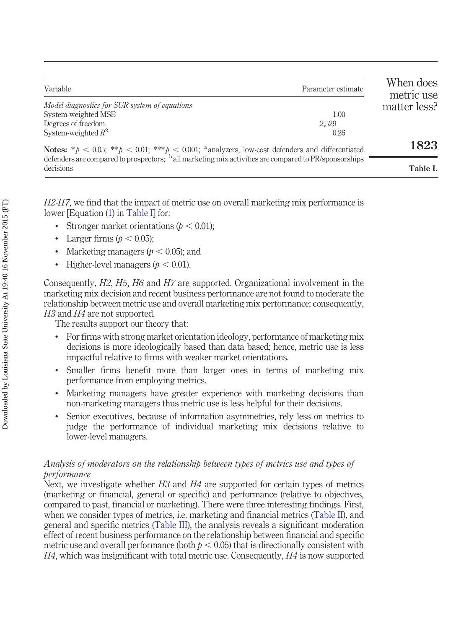| Variable                                                                                                          | Parameter estimate | When does<br>metric use |
|-------------------------------------------------------------------------------------------------------------------|--------------------|-------------------------|
| Model diagnostics for SUR system of equations<br>System-weighted MSE                                              | 1.00               | matter less?            |
| Degrees of freedom<br>System-weighted $R^2$                                                                       | 2.529<br>0.26      |                         |
| <b>Notes:</b> *p < 0.05; **p < 0.01; ***p < 0.001; analyzers, low-cost defenders and differentiated               |                    | 1823                    |
| defenders are compared to prospectors; ball marketing mix activities are compared to PR/sponsorships<br>decisions |                    | Table I.                |

*H2*-*H7*, we find that the impact of metric use on overall marketing mix performance is lower [Equation [\(1\)](#page-12-0) in [Table I\]](#page-15-0) for:

- Stronger market orientations ( $p < 0.01$ );
- Larger firms  $(p < 0.05)$ ;
- Marketing managers  $(p < 0.05)$ ; and
- Higher-level managers  $(p < 0.01)$ .

Consequently, *H2*, *H5*, *H6* and *H7* are supported. Organizational involvement in the marketing mix decision and recent business performance are not found to moderate the relationship between metric use and overall marketing mix performance; consequently, *H3* and *H4* are not supported.

The results support our theory that:

- For firms with strong market orientation ideology, performance of marketing mix decisions is more ideologically based than data based; hence, metric use is less impactful relative to firms with weaker market orientations.
- Smaller firms benefit more than larger ones in terms of marketing mix performance from employing metrics.
- Marketing managers have greater experience with marketing decisions than non-marketing managers thus metric use is less helpful for their decisions.
- Senior executives, because of information asymmetries, rely less on metrics to judge the performance of individual marketing mix decisions relative to lower-level managers.

#### *Analysis of moderators on the relationship between types of metrics use and types of performance*

Next, we investigate whether *H3* and *H4* are supported for certain types of metrics (marketing or financial, general or specific) and performance (relative to objectives, compared to past, financial or marketing). There were three interesting findings. First, when we consider types of metrics, i.e. marketing and financial metrics [\(Table II\)](#page-17-0), and general and specific metrics [\(Table III\)](#page-19-0), the analysis reveals a significant moderation effect of recent business performance on the relationship between financial and specific metric use and overall performance (both  $p < 0.05$ ) that is directionally consistent with *H4*, which was insignificant with total metric use. Consequently, *H4* is now supported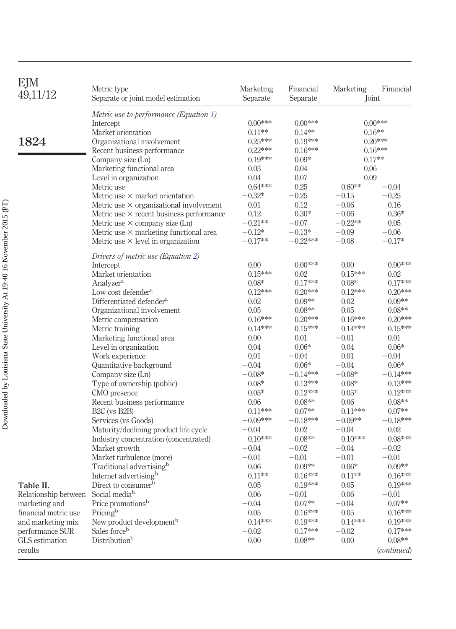<span id="page-17-0"></span>

| EJM<br>49,11/12      | Metric type<br>Separate or joint model estimation | Marketing<br>Separate | Financial<br>Separate | Marketing | Financial<br>Joint |
|----------------------|---------------------------------------------------|-----------------------|-----------------------|-----------|--------------------|
|                      | Metric use to performance (Equation 1)            |                       |                       |           |                    |
|                      | Intercept                                         | $0.00***$             | $0.00***$             |           | $0.00***$          |
|                      | Market orientation                                | $0.11**$              | $0.14**$              |           | $0.16**$           |
| 1824                 | Organizational involvement                        | $0.25***$             | $0.19***$             |           | $0.20***$          |
|                      | Recent business performance                       | $0.22***$             | $0.16***$             |           | $0.16***$          |
|                      | Company size (Ln)                                 | $0.19***$             | $0.09*$               |           | $0.17**$           |
|                      |                                                   | $0.03\,$              | 0.04                  | 0.06      |                    |
|                      | Marketing functional area                         |                       | 0.07                  | 0.09      |                    |
|                      | Level in organization                             | 0.04<br>$0.64***$     |                       | $0.60**$  |                    |
|                      | Metric use                                        |                       | 0.25                  |           | $-0.04$            |
|                      | Metric use $\times$ market orientation            | $-0.32*$              | $-0.25$               | $-0.15$   | $-0.25$            |
|                      | Metric use $\times$ organizational involvement    | 0.01                  | 0.12                  | $-0.06$   | 0.16               |
|                      | Metric use $\times$ recent business performance   | 0.12                  | $0.30*$               | $-0.06$   | $0.36*$            |
|                      | Metric use $\times$ company size (Ln)             | $-0.21**$             | $-0.07$               | $-0.22**$ | 0.05               |
|                      | Metric use $\times$ marketing functional area     | $-0.12*$              | $-0.13*$              | $-0.09$   | $-0.06$            |
|                      | Metric use $\times$ level in organization         | $-0.17**$             | $-0.22***$            | $-0.08$   | $-0.17*$           |
|                      | Drivers of metric use (Equation 2)<br>Intercept   | 0.00                  | $0.00***$             | 0.00      | $0.00***$          |
|                      | Market orientation                                | $0.15***$             | 0.02                  | $0.15***$ | 0.02               |
|                      | Analyzer <sup>a</sup>                             | $0.08*$               | $0.17***$             | $0.08*$   | $0.17***$          |
|                      |                                                   |                       |                       |           |                    |
|                      | Low-cost defender <sup>a</sup>                    | $0.12***$             | $0.20***$             | $0.12***$ | $0.20***$          |
|                      | Differentiated defender <sup>a</sup>              | 0.02                  | $0.09**$              | 0.02      | $0.09**$           |
|                      | Organizational involvement                        | 0.05                  | $0.08**$              | 0.05      | $0.08^{\ast\ast}$  |
|                      | Metric compensation                               | $0.16***$             | $0.20***$             | $0.16***$ | $0.20***$          |
|                      | Metric training                                   | $0.14***$             | $0.15***$             | $0.14***$ | $0.15***$          |
|                      | Marketing functional area                         | 0.00                  | 0.01                  | $-0.01$   | 0.01               |
|                      | Level in organization                             | 0.04                  | $0.06*$               | 0.04      | $0.06*$            |
|                      | Work experience                                   | 0.01                  | $-0.04$               | 0.01      | $-0.04$            |
|                      | Quantitative background                           | $-0.04$               | $0.06*$               | $-0.04$   | $0.06*$            |
|                      | Company size (Ln)                                 | $-0.08*$              | $-0.14***$            | $-0.08*$  | $-0.14***$         |
|                      | Type of ownership (public)                        | $0.08*$               | $0.13***$             | $0.08*$   | $0.13***$          |
|                      | CMO presence                                      | $0.05*$               | $0.12***$             | $0.05*$   | $0.12***$          |
|                      | Recent business performance                       | 0.06                  | $0.08**$              | 0.06      | $0.08**$           |
|                      | B <sub>2</sub> C (vs B <sub>2B</sub> )            | $0.11***$             | $0.07**$              | $0.11***$ | $0.07**$           |
|                      | Services (vs Goods)                               | $-0.09***$            | $-0.18***$            | $-0.09**$ | $-0.18***$         |
|                      | Maturity/declining product life cycle             | $-0.04$               | 0.02                  | $-0.04$   | 0.02               |
|                      | Industry concentration (concentrated)             | $0.10***$             | $0.08**$              | $0.10***$ | $0.08***$          |
|                      | Market growth                                     | $-0.04$               | $-0.02$               | $-0.04$   | $-0.02$            |
|                      | Market turbulence (more)                          | $-0.01$               | $-0.01$               | $-0.01$   | $-0.01$            |
|                      | Traditional advertising <sup>b</sup>              | 0.06                  | $0.09**$              | $0.06*$   | $0.09**$           |
|                      | Internet advertising <sup>b</sup>                 | $0.11**$              | $0.16***$             | $0.11**$  | $0.16***$          |
| Table II.            | Direct to consumer <sup>b</sup>                   | 0.05                  | $0.19***$             | 0.05      | $0.19***$          |
| Relationship between | Social media <sup>b</sup>                         | 0.06                  | $-0.01$               | 0.06      | $-0.01$            |
|                      | Price promotions <sup>b</sup>                     | $-0.04$               | $0.07^{\ast\ast}$     | $-0.04$   | $0.07**$           |
| marketing and        |                                                   |                       |                       |           |                    |
| financial metric use | Pricing <sup>b</sup>                              | 0.05                  | $0.16***$             | 0.05      | $0.16***$          |
| and marketing mix    | New product development <sup>b</sup>              | $0.14***$             | $0.19***$             | $0.14***$ | $0.19***$          |
| performance-SUR-     | Sales force <sup>b</sup>                          | $-0.02$               | $0.17***$             | $-0.02$   | $0.17***$          |
| GLS estimation       | Distribution <sup>b</sup>                         | 0.00                  | $0.08**$              | 0.00      | $0.08**$           |
| results              |                                                   |                       |                       |           | (continued)        |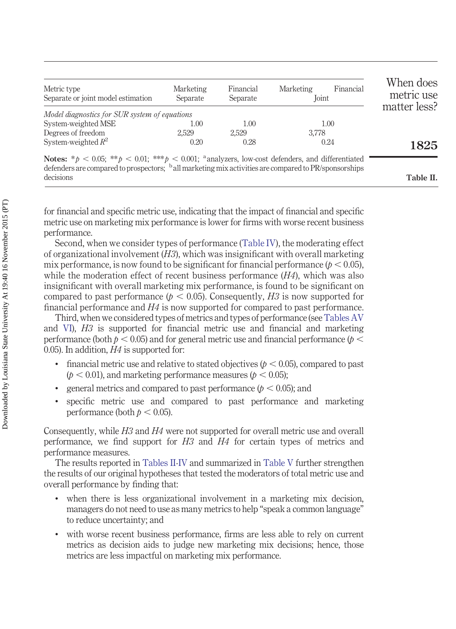| Metric type<br>Separate or joint model estimation                                                                 | <b>Marketing</b><br>Separate | Financial<br>Separate | Marketing<br>Joint | Financial | When does<br>metric use<br>matter less? |
|-------------------------------------------------------------------------------------------------------------------|------------------------------|-----------------------|--------------------|-----------|-----------------------------------------|
| Model diagnostics for SUR system of equations                                                                     |                              |                       |                    |           |                                         |
| System-weighted MSE                                                                                               | 1.00                         | 1.00                  | 1.00               |           |                                         |
| Degrees of freedom                                                                                                | 2.529                        | 2,529                 | 3.778              |           |                                         |
| System-weighted $R^2$                                                                                             | 0.20                         | 0.28                  | 0.24               |           | 1825                                    |
| <b>Notes:</b> * $p < 0.05$ ; ** $p < 0.01$ ; *** $p < 0.001$ ; *analyzers, low-cost defenders, and differentiated |                              |                       |                    |           |                                         |
| defenders are compared to prospectors; <sup>b</sup> all marketing mix activities are compared to PR/sponsorships  |                              |                       |                    |           |                                         |
| decisions                                                                                                         |                              |                       |                    |           | Table II.                               |

for financial and specific metric use, indicating that the impact of financial and specific metric use on marketing mix performance is lower for firms with worse recent business performance.

Second, when we consider types of performance [\(Table IV\)](#page-21-0), the moderating effect of organizational involvement (*H3*), which was insignificant with overall marketing mix performance, is now found to be significant for financial performance  $(p < 0.05)$ , while the moderation effect of recent business performance (*H4*), which was also insignificant with overall marketing mix performance, is found to be significant on compared to past performance ( $p < 0.05$ ). Consequently, *H3* is now supported for financial performance and *H4* is now supported for compared to past performance.

Third, when we considered types of metrics and types of performance (see[Tables AV](#page-45-0) and [VI\)](#page-47-0), *H3* is supported for financial metric use and financial and marketing performance (both  $p < 0.05$ ) and for general metric use and financial performance ( $p <$ 0.05). In addition, *H4* is supported for:

- financial metric use and relative to stated objectives ( $p < 0.05$ ), compared to past  $(p < 0.01)$ , and marketing performance measures  $(p < 0.05)$ ;
- general metrics and compared to past performance  $(p < 0.05)$ ; and
- specific metric use and compared to past performance and marketing performance (both  $p < 0.05$ ).

Consequently, while *H3* and *H4* were not supported for overall metric use and overall performance, we find support for *H3* and *H4* for certain types of metrics and performance measures.

The results reported in [Tables II](#page-17-0)[-IV](#page-21-0) and summarized in [Table V](#page-23-0) further strengthen the results of our original hypotheses that tested the moderators of total metric use and overall performance by finding that:

- when there is less organizational involvement in a marketing mix decision, managers do not need to use as many metrics to help "speak a common language" to reduce uncertainty; and
- with worse recent business performance, firms are less able to rely on current metrics as decision aids to judge new marketing mix decisions; hence, those metrics are less impactful on marketing mix performance.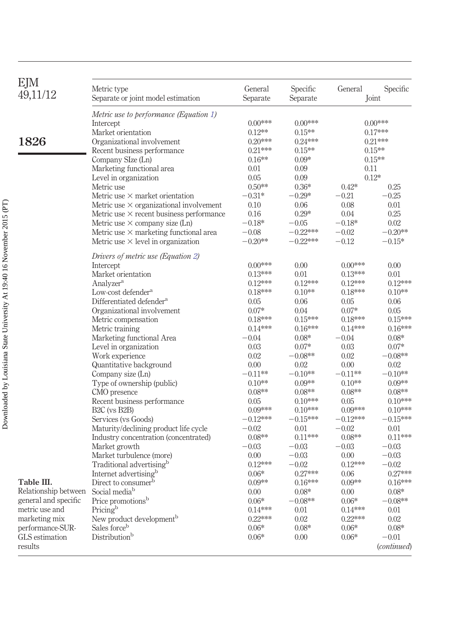<span id="page-19-0"></span>

| EJM<br>49,11/12      | Metric type<br>Separate or joint model estimation | General<br>Separate | Specific<br>Separate | General          | Specific<br>Joint    |
|----------------------|---------------------------------------------------|---------------------|----------------------|------------------|----------------------|
|                      |                                                   |                     |                      |                  |                      |
|                      | Metric use to performance (Equation 1)            |                     |                      |                  |                      |
|                      | Intercept                                         | $0.00***$           | $0.00***$            |                  | $0.00***$            |
|                      | Market orientation                                | $0.12**$            | $0.15**$             |                  | $0.17***$            |
| 1826                 | Organizational involvement                        | $0.20***$           | $0.24***$            |                  | $0.21***$            |
|                      | Recent business performance                       | $0.21***$           | $0.15**$             |                  | $0.15**$             |
|                      | Company SIze (Ln)                                 | $0.16**$            | $0.09*$              |                  | $0.15**$             |
|                      | Marketing functional area                         | 0.01                | 0.09                 | 0.11             |                      |
|                      | Level in organization                             | 0.05                | 0.09                 |                  | $0.12*$              |
|                      | Metric use                                        | $0.50**$            | $0.36*$              | $0.42*$          | 0.25                 |
|                      | Metric use $\times$ market orientation            | $-0.31*$            | $-0.29*$             | $-0.21$          | $-0.25$              |
|                      | Metric use $\times$ organizational involvement    | 0.10                | 0.06                 | 0.08             | 0.01                 |
|                      | Metric use $\times$ recent business performance   | 0.16                | $0.29*$              | 0.04             | 0.25                 |
|                      | Metric use $\times$ company size (Ln)             | $-0.18*$            | $-0.05$              | $-0.18*$         | 0.02                 |
|                      | Metric use $\times$ marketing functional area     | $-0.08$             | $-0.22***$           | $-0.02$          | $-0.20**$            |
|                      | Metric use $\times$ level in organization         | $-0.20**$           | $-0.22***$           | $-0.12$          | $-0.15*$             |
|                      | Drivers of metric use (Equation 2)                |                     |                      |                  |                      |
|                      | Intercept                                         | $0.00***$           | 0.00                 | $0.00***$        | 0.00                 |
|                      | Market orientation                                | $0.13***$           | 0.01                 | $0.13***$        | 0.01                 |
|                      | Analyzer <sup>a</sup>                             | $0.12***$           | $0.12***$            | $0.12***$        | $0.12***$            |
|                      | Low-cost defender <sup>a</sup>                    | $0.18***$           | $0.10**$             | $0.18***$        | $0.10**$             |
|                      | Differentiated defender <sup>a</sup>              | 0.05                | 0.06                 | 0.05             | 0.06                 |
|                      | Organizational involvement                        | $0.07*$             | 0.04                 | $0.07*$          | 0.05                 |
|                      | Metric compensation                               | $0.18***$           | $0.15***$            | $0.18***$        | $0.15***$            |
|                      | Metric training                                   | $0.14***$           | $0.16***$            | $0.14***$        | $0.16***$            |
|                      | Marketing functional Area                         | $-0.04$             | $0.08*$              | $-0.04$          | $0.08*$              |
|                      | Level in organization                             | 0.03                | $0.07*$              | 0.03             | $0.07*$              |
|                      | Work experience                                   | 0.02                | $-0.08**$            | 0.02             | $-0.08**$            |
|                      | Quantitative background                           | 0.00                | 0.02                 | 0.00             | 0.02                 |
|                      | Company size (Ln)                                 | $-0.11**$           | $-0.10**$            | $-0.11**$        | $-0.10**$            |
|                      | Type of ownership (public)                        | $0.10**$            | $0.09**$             | $0.10**$         | $0.09**$             |
|                      | CMO presence                                      | $0.08**$            | $0.08**$             | $0.08**$         | $0.08**$             |
|                      | Recent business performance                       | 0.05                | $0.10***$            | 0.05             | $0.10***$            |
|                      | B <sub>2</sub> C (vs B <sub>2</sub> B)            | $0.09***$           | $0.10***$            | $0.09***$        | $0.10***$            |
|                      | Services (vs Goods)                               | $-0.12***$          | $-0.15***$           | $-0.12***$       | $-0.15***$           |
|                      | Maturity/declining product life cycle             | $-0.02$             | 0.01                 | $-0.02$          | 0.01                 |
|                      | Industry concentration (concentrated)             | $0.08^{\ast\ast}$   | $0.11***$            | $0.08**$         | $0.11***$            |
|                      | Market growth                                     | $-0.03$             | $-0.03$              | $-0.03$          | $-0.03$              |
|                      | Market turbulence (more)                          | 0.00                | $-0.03$              | 0.00             | $-0.03$              |
|                      | Traditional advertising <sup>b</sup>              | $0.12***$           | $-0.02$              | $0.12***$        | $-0.02$              |
|                      | Internet advertising <sup>b</sup>                 | $0.06*$             | $0.27***$            | 0.06             | $0.27***$            |
| Table III.           | Direct to consumer <sup>b</sup>                   | $0.09**$            | $0.16***$            | $0.09**$         | $0.16***$            |
| Relationship between | Social media <sup>b</sup>                         | 0.00                | $0.08*$              | 0.00             | $0.08*$              |
| general and specific | Price promotions <sup>b</sup>                     | $0.06*$             | $-0.08**$            | $0.06\mathrm{*}$ | $-0.08**$            |
| metric use and       | Pricing <sup>b</sup>                              | $0.14***$           | 0.01                 | $0.14***$        | 0.01                 |
| marketing mix        | New product development <sup>b</sup>              | $0.22***$           | 0.02                 | $0.22***$        | 0.02                 |
| performance-SUR-     | Sales force <sup>b</sup>                          | $0.06*$             | $0.08*$              | $0.06\mathrm{*}$ | $0.08*$              |
| GLS estimation       | Distribution <sup>b</sup>                         | $0.06*$             | 0.00                 | $0.06*$          | $-0.01$              |
| results              |                                                   |                     |                      |                  | ( <i>continued</i> ) |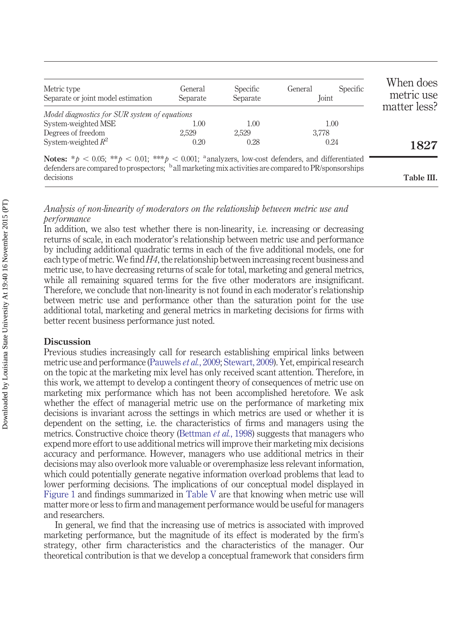| Metric type<br>Separate or joint model estimation                                                                             | General<br>Separate | Specific<br>Separate | General<br><b>Joint</b> | Specific | When does<br>metric use<br>matter less? |
|-------------------------------------------------------------------------------------------------------------------------------|---------------------|----------------------|-------------------------|----------|-----------------------------------------|
| Model diagnostics for SUR system of equations                                                                                 |                     |                      |                         |          |                                         |
| System-weighted MSE                                                                                                           | 1.00                | 1.00                 |                         | 1.00     |                                         |
| Degrees of freedom                                                                                                            | 2.529               | 2.529                | 3.778                   |          |                                         |
| System-weighted $R^2$                                                                                                         | 0.20                | 0.28                 |                         | 0.24     | 1827                                    |
| <b>Notes:</b> * $p < 0.05$ ; ** $p < 0.01$ ; *** $p < 0.001$ ; *analyzers, low-cost defenders, and differentiated             |                     |                      |                         |          |                                         |
| defenders are compared to prospectors; <sup>b</sup> all marketing mix activities are compared to PR/sponsorships<br>decisions |                     |                      |                         |          | Table III.                              |

#### *Analysis of non-linearity of moderators on the relationship between metric use and performance*

In addition, we also test whether there is non-linearity, i.e. increasing or decreasing returns of scale, in each moderator's relationship between metric use and performance by including additional quadratic terms in each of the five additional models, one for each type of metric. We find *H4*, the relationship between increasing recent business and metric use, to have decreasing returns of scale for total, marketing and general metrics, while all remaining squared terms for the five other moderators are insignificant. Therefore, we conclude that non-linearity is not found in each moderator's relationship between metric use and performance other than the saturation point for the use additional total, marketing and general metrics in marketing decisions for firms with better recent business performance just noted.

#### **Discussion**

Previous studies increasingly call for research establishing empirical links between metric use and performance [\(Pauwels](#page-29-2) *et al.*, 2009; [Stewart, 2009\)](#page-29-3). Yet, empirical research on the topic at the marketing mix level has only received scant attention. Therefore, in this work, we attempt to develop a contingent theory of consequences of metric use on marketing mix performance which has not been accomplished heretofore. We ask whether the effect of managerial metric use on the performance of marketing mix decisions is invariant across the settings in which metrics are used or whether it is dependent on the setting, i.e. the characteristics of firms and managers using the metrics. Constructive choice theory [\(Bettman](#page-27-5) *et al.*, 1998) suggests that managers who expend more effort to use additional metrics will improve their marketing mix decisions accuracy and performance. However, managers who use additional metrics in their decisions may also overlook more valuable or overemphasize less relevant information, which could potentially generate negative information overload problems that lead to lower performing decisions. The implications of our conceptual model displayed in [Figure 1](#page-3-0) and findings summarized in [Table V](#page-23-0) are that knowing when metric use will matter more or less to firm and management performance would be useful for managers and researchers.

In general, we find that the increasing use of metrics is associated with improved marketing performance, but the magnitude of its effect is moderated by the firm's strategy, other firm characteristics and the characteristics of the manager. Our theoretical contribution is that we develop a conceptual framework that considers firm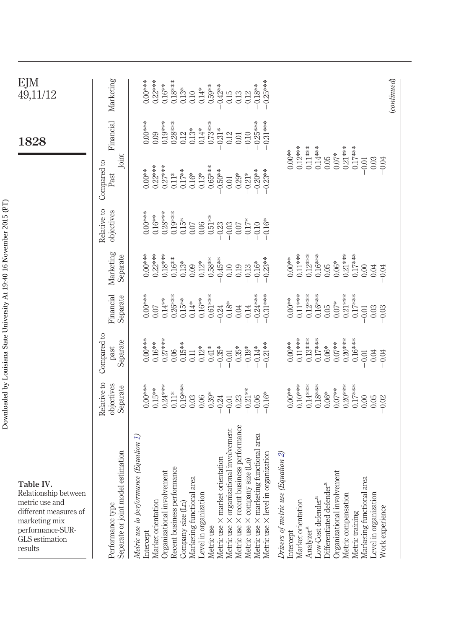<span id="page-21-0"></span>

| EJM<br>49,11/12                                                                                                                                | Marketing                                                 | $0.00***$<br>$0.22***$<br>$-0.25***$<br>$0.18***$<br>$0.16***$<br>$-0.18***$<br>$0.59***$<br>$-0.42**$<br>$0.14*$<br>$0.13*$<br>0.10<br>$0.15\,$<br>0.13<br>$-0.12$                                                                                                                                                                                                                                                                                                                                                                                                                                                                                                                                                                                                                                                                                             | (continued) |
|------------------------------------------------------------------------------------------------------------------------------------------------|-----------------------------------------------------------|-----------------------------------------------------------------------------------------------------------------------------------------------------------------------------------------------------------------------------------------------------------------------------------------------------------------------------------------------------------------------------------------------------------------------------------------------------------------------------------------------------------------------------------------------------------------------------------------------------------------------------------------------------------------------------------------------------------------------------------------------------------------------------------------------------------------------------------------------------------------|-------------|
| 1828                                                                                                                                           | Financial                                                 | $0.19***$<br>$0.28***$<br>$0.14*$<br>0.73***<br>$0.00***$<br>$-0.25***$<br>$-0.31***$<br>$-0.31*$<br>$0.13*$<br>0.09<br>0.12<br>0.12<br>$-0.10$<br>0.01                                                                                                                                                                                                                                                                                                                                                                                                                                                                                                                                                                                                                                                                                                         |             |
|                                                                                                                                                | Joint<br>Compared to<br>Past                              | $0.12***$<br>$0.11***$<br>$0.14***$<br>$0.21***$<br>$0.17***$<br>$0.00^{**}$<br>$0.05$<br>$0.07*$<br>$0.03\,$<br>$-0.01$<br>$-0.04$<br>$0.22***$<br>$0.65***$<br>$0.27***$<br>$0.00***$<br>$-0.50***$<br>$0.17***$<br>$-0.20**$<br>$-0.23***$<br>$0.11*$<br>$0.13*$<br>$0.16*$<br>$-0.21*$<br>$0.29*$<br>$0.01\,$                                                                                                                                                                                                                                                                                                                                                                                                                                                                                                                                               |             |
|                                                                                                                                                | Relative to<br>objectives                                 | $0.00***$<br>$0.28***$<br>$0.16***$<br>$0.06$<br>$0.51**$<br>$-0.23$<br>$0.15*$<br>$-0.17*$<br>$-0.10$<br>$-0.16$ *<br>$0.07\,$<br>$-0.03$<br>$0.07\,$                                                                                                                                                                                                                                                                                                                                                                                                                                                                                                                                                                                                                                                                                                          |             |
|                                                                                                                                                | Marketing<br>Separate                                     | $0.22***$<br>$0.00***$<br>$0.21***$<br>$0.17***$<br>$0.18***$<br>$0.11***$<br>$0.12***$<br>$0.16***$<br>$0.00***$<br>$0.16***$<br>$0.12**$<br>0.58**<br>$-0.45***$<br>$-0.23***$<br>$0.06*$<br>$0.13*$<br>$-0.16*$<br>0.09<br>0.05<br>0.10<br>$-0.19$<br>0.00<br>0.04<br>0.04                                                                                                                                                                                                                                                                                                                                                                                                                                                                                                                                                                                   |             |
|                                                                                                                                                | Financial<br>Separate                                     | $0.61***$<br>$-0.24***$<br>$0.11***$<br>$0.12***$<br>$0.21***$<br>$0.17***$<br>$0.26***$<br>$-0.31***$<br>$0.16***$<br>$0.00***$<br>$0.16***$<br>$0.00^{**}$<br>$0.14***$<br>$0.15***$<br>$0.14*$<br>$0.07*$<br>$0.18^*$<br>0.05<br>$0.07$<br>$-0.24$<br>0.04<br>$-0.14$<br>$\rm 0.03$<br>0.01<br>$-0.03$                                                                                                                                                                                                                                                                                                                                                                                                                                                                                                                                                       |             |
|                                                                                                                                                | Compared to<br>Separate<br>past                           | $0.20***$<br>$0.00***$<br>$0.11***$<br>$0.13***$<br>$0.17***$<br>$0.16***$<br>$0.27***$<br>$0.16***$<br>$0.07***$<br>$0.00***$<br>$0.15***$<br>$-0.21***$<br>$0.06*$<br>$0.12*$<br>$-0.14*$<br>$0.41*$<br>$-0.35*$<br>$0.35*$<br>$-0.19*$<br>0.06<br>0.11<br>$-0.01$<br>0.01<br>$0.04\,$<br>$-0.04$                                                                                                                                                                                                                                                                                                                                                                                                                                                                                                                                                             |             |
|                                                                                                                                                | Relative to<br>objectives<br>Separate                     | $0.20***$<br>$0.17***$<br>$0.24***$<br>$0.19***$<br>$0.10***$<br>$0.14***$<br>$0.18***$<br>$0.00***$<br>$0.15***$<br>$0.07***$<br>$0.00^{**}$<br>$-0.21**$<br>$0.06*$<br>$0.11*$<br>$0.06$<br>$0.39*$<br>$-0.16*$<br>$0.03\,$<br>$-0.06$<br>$-0.24$<br>$0.23\,$<br>0.00<br>$0.05\,$<br>$-0.01$<br>0.02                                                                                                                                                                                                                                                                                                                                                                                                                                                                                                                                                          |             |
| Table IV.<br>Relationship between<br>metric use and<br>different measures of<br>marketing mix<br>performance-SUR-<br>GLS estimation<br>results | estimation<br>Separate or joint model<br>Performance type | Metric use × recent business performance<br>Metric use × organizational involvement<br>Metric use $\times$ company size (Ln)<br>Metric use $\times$ marketing functional area<br>ve (Equation 1)<br>ganization<br>quation 2)<br>Metric use $\times$ market orientation<br>Recent business performance<br>Organizational involvement<br>nent<br>B.<br>B.<br>Differentiated defender <sup>a</sup><br>Metric use $\times$ level in or<br>Drivers of metric use (E<br>ਰ<br>Organizational involver<br>Marketing functional ar<br>Metric use to performan<br>Marketing functional<br>Level in organization<br>Metric compensation<br>Level in organization<br>Low-Cost defender <sup>a</sup><br>Market orientation<br>Market orientation<br>Company size (Ln)<br>Work experience<br>Metric training<br>Metric use<br>Analyzer <sup>a</sup><br>Intercept<br>Intercept |             |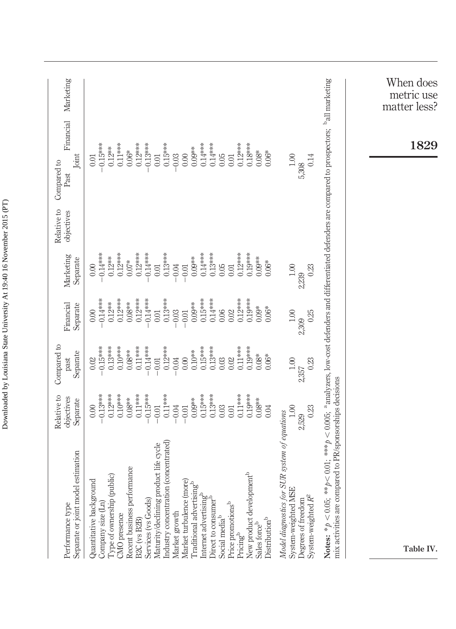| estimation<br>Separate or joint model<br>Performance type                                                                                                                                                                                                                                                                                                                                                                                                                                                                                                                                              | Relative to<br>objectives<br>Separate                                                                                                                                                                                                   | Compared to<br>Separate<br>past                                                                                                                                                                                                          | Financial<br>Separate                                                                                                                                                                                                                     | Marketing<br>Separate                                                                                                                                                                                                                        | Relative to<br>objectives | Joint<br>Compared to<br>Past                                                                                                                                                                                                                              | Financial Marketing |
|--------------------------------------------------------------------------------------------------------------------------------------------------------------------------------------------------------------------------------------------------------------------------------------------------------------------------------------------------------------------------------------------------------------------------------------------------------------------------------------------------------------------------------------------------------------------------------------------------------|-----------------------------------------------------------------------------------------------------------------------------------------------------------------------------------------------------------------------------------------|------------------------------------------------------------------------------------------------------------------------------------------------------------------------------------------------------------------------------------------|-------------------------------------------------------------------------------------------------------------------------------------------------------------------------------------------------------------------------------------------|----------------------------------------------------------------------------------------------------------------------------------------------------------------------------------------------------------------------------------------------|---------------------------|-----------------------------------------------------------------------------------------------------------------------------------------------------------------------------------------------------------------------------------------------------------|---------------------|
| Industry concentration (concentrated)<br>Maturity/declining product life cycle<br>Recent business performance<br>New product development <sup>b</sup><br>Type of ownership (public)<br>Market turbulence (more)<br>Traditional advertising <sup>b</sup><br>Quantitative background<br>Internet advertising <sup>b</sup><br>Direct to consumer <sup>b</sup><br>Services (vs Goods)<br>Company size (Ln)<br>Price promotions <sup>b</sup><br>Pricing <sup>b</sup><br>Market growth<br>CMO presence<br>Social media <sup>b</sup><br>Distribution <sup>b</sup><br>B2C (vs B2B)<br>Sales force <sup>b</sup> | $0.11***$<br>$0.11***$<br>$0.12***$<br>$0.10***$<br>$0.11***$<br>$-0.15***$<br>$0.15***$<br>$0.13***$<br>$0.19***$<br>$-0.13***$<br>$0.08***$<br>$0.09**$<br>$0.08***$<br>$-0.01$<br>0.00<br>$-0.01$<br>$-0.04$<br>0.03<br>0.04<br>0.01 | $-0.15***$<br>$0.13***$<br>$0.10***$<br>$0.11***$<br>$0.11***$<br>$-0.14***$<br>$0.12***$<br>$0.15***$<br>$0.13***$<br>$0.19***$<br>$0.08***$<br>$0.10***$<br>$0.08*$<br>$0.06*$<br>$0.00$<br>0.02<br>$-0.01$<br>0.02<br>$-0.04$<br>0.03 | $0.12***$<br>$-0.14***$<br>$0.12***$<br>$0.12***$<br>$-0.14***$<br>$0.13***$<br>$0.15***$<br>$0.14***$<br>$0.19***$<br>$0.12***$<br>$0.08***$<br>$0.09**$<br>$0.09*$<br>$0.06*$<br>0.02<br>$0.01\,$<br>$-0.03$<br>0.06<br>$-0.01$<br>0.00 | $-0.14***$<br>$0.12***$<br>$0.12***$<br>$-0.14***$<br>$0.13***$<br>$0.14***$<br>$0.13***$<br>$0.12***$<br>$0.19***$<br>$0.12***$<br>$0.09***$<br>$0.09***$<br>$0.07*$<br>$0.06*$<br>$0.01\,$<br>0.00<br>$-0.04$<br>$-0.01$<br>$0.05$<br>0.01 |                           | $0.11***$<br>$0.14***$<br>$0.14***$<br>$0.12***$<br>$0.18***$<br>$-0.15***$<br>$0.12***$<br>$-0.13***$<br>$0.15***$<br>$0.12***$<br>$0.09***$<br>$0.06\mathrm{*}$<br>$0.08\ast$<br>$0.06*$<br>$0.00\,$<br>$0.01\,$<br>$-0.03$<br>$0.05\,$<br>0.01<br>0.01 |                     |
| Model diagnostics for SUR system of equations<br>System-weighted MSE<br>System-weighted $R^2$<br>Degrees of freedom                                                                                                                                                                                                                                                                                                                                                                                                                                                                                    | 1.00<br>0.23<br>2,529                                                                                                                                                                                                                   | 1.00<br>0.23<br>2,357                                                                                                                                                                                                                    | 1.00<br>0.25<br>2,309                                                                                                                                                                                                                     | $1.00\,$<br>0.23<br>2,239                                                                                                                                                                                                                    |                           | $1.00\,$<br>0.14<br>5,308                                                                                                                                                                                                                                 |                     |
| mix activities are compared to PR/sponsorships decisions<br>Notes: $*b < 0.05$ : **                                                                                                                                                                                                                                                                                                                                                                                                                                                                                                                    |                                                                                                                                                                                                                                         |                                                                                                                                                                                                                                          |                                                                                                                                                                                                                                           |                                                                                                                                                                                                                                              |                           | $p < 0.01$ ; **** $p < 0.005$ ; * analyzers, low-cost defenders and differentiated defenders are compared to prospectors; ball marketing                                                                                                                  |                     |
| Ta                                                                                                                                                                                                                                                                                                                                                                                                                                                                                                                                                                                                     |                                                                                                                                                                                                                                         |                                                                                                                                                                                                                                          |                                                                                                                                                                                                                                           |                                                                                                                                                                                                                                              |                           |                                                                                                                                                                                                                                                           | When<br>matter      |

**Table IV.**

does metric use matter less?

**1829**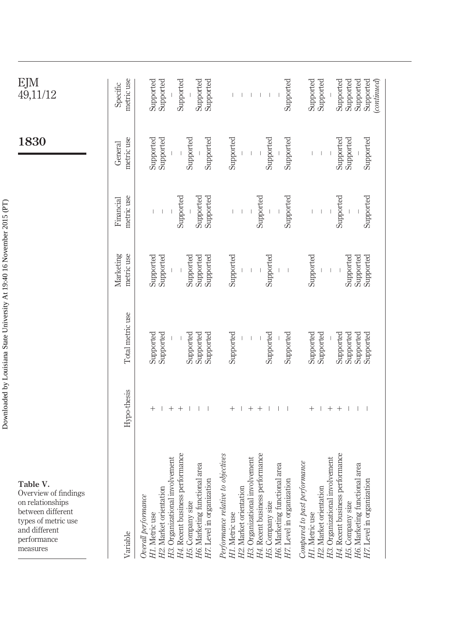<span id="page-23-0"></span>

| EJM<br>49,11/12                                                                                                                              | metric use<br>Specific  | Supported<br>Supported<br>Supported<br>Supported<br>Supported<br>Supported<br>Supported<br>Supported<br>Supported<br>Supported<br>Supported<br>Supported<br>$\emph{(continued)}$<br>$\mathsf I$<br>$\mathbf{I}$<br>$\pm$ $\pm$                                                                                                                                                                                                                                                                                                                                                                                                                                                                        |
|----------------------------------------------------------------------------------------------------------------------------------------------|-------------------------|-------------------------------------------------------------------------------------------------------------------------------------------------------------------------------------------------------------------------------------------------------------------------------------------------------------------------------------------------------------------------------------------------------------------------------------------------------------------------------------------------------------------------------------------------------------------------------------------------------------------------------------------------------------------------------------------------------|
| 1830                                                                                                                                         | metric use<br>General   | Supported<br>Supported<br>Supported<br>Supported<br>Supported<br>Supported<br>Supported<br>Supported<br>Supported<br>Supported<br>$\vert - \vert$<br>$\bar{1} = 1$<br>$\,$ $\,$                                                                                                                                                                                                                                                                                                                                                                                                                                                                                                                       |
|                                                                                                                                              | metric use<br>Financial | Supported<br>Supported<br>Supported<br>Supported<br>Supported<br>Supported<br>Supported<br>$\mathsf I$<br>$\mathbb{L}$<br>$\vert$<br>$\mathsf{L}$                                                                                                                                                                                                                                                                                                                                                                                                                                                                                                                                                     |
|                                                                                                                                              | Marketing<br>metric use | Supported<br>Supported<br>Supported<br>Supported<br>Supported<br>Supported<br>Supported<br>Supported<br>Supported<br>Supported<br>Supported<br>$\Gamma = 1$<br>$\mid$<br>$\begin{array}{c} \rule{0pt}{2.5ex} \rule{0pt}{2.5ex} \rule{0pt}{2.5ex} \rule{0pt}{2.5ex} \rule{0pt}{2.5ex} \rule{0pt}{2.5ex} \rule{0pt}{2.5ex} \rule{0pt}{2.5ex} \rule{0pt}{2.5ex} \rule{0pt}{2.5ex} \rule{0pt}{2.5ex} \rule{0pt}{2.5ex} \rule{0pt}{2.5ex} \rule{0pt}{2.5ex} \rule{0pt}{2.5ex} \rule{0pt}{2.5ex} \rule{0pt}{2.5ex} \rule{0pt}{2.5ex} \rule{0pt}{2.5ex} \rule{0$<br>$\overline{\phantom{a}}$                                                                                                                 |
|                                                                                                                                              | Total metric use        | Supported<br>Supported<br>Supported<br>Supported<br>Supported<br>Supported<br>Supported<br>Supported<br>Supported<br>Supported<br>Supported<br>Supported<br>Supported<br>Supported<br>$\begin{array}{c} \end{array}$                                                                                                                                                                                                                                                                                                                                                                                                                                                                                  |
|                                                                                                                                              | Hypo-thesis             | $+$<br>$^{+}$<br>$\boldsymbol{+}$<br>$+$<br>$^{+}$<br>$^+$<br>$^+$<br>$\overline{\phantom{a}}$<br>$\overline{\phantom{a}}$<br>$\overline{\phantom{a}}$<br>$\overline{\phantom{a}}$<br>$\mathbf{L}$<br>$\overline{\phantom{0}}$<br>$\mathbf{I}$                                                                                                                                                                                                                                                                                                                                                                                                                                                        |
| Table V.<br>Overview of findings<br>on relationships<br>between different<br>types of metric use<br>and different<br>performance<br>measures | Variable                | H4. Recent business performance<br>H4. Recent business performance<br>H4. Recent business performance<br>objectives<br>H3. Organizational involvement<br>H3. Organizational involvement<br>H3. Organizational involvement<br>Compared to past performance<br>H6. Marketing functional area<br>H6. Marketing functional area<br>H6. Marketing functional area<br>H7. Level in organization<br>H7. Level in organization<br>H7. Level in organization<br>Performance relative to<br>H2. Market orientation<br>H2. Market orientation<br>H2. Market orientation<br>Overall performance<br>H5. Company size<br>H5. Company size<br>H5. Company size<br>H1. Metric use<br>H1. Metric use<br>H1. Metric use |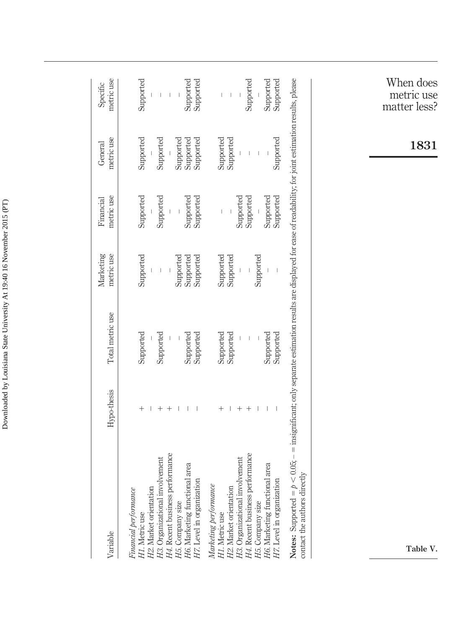| Variable                        | Hypo-thesis              | Total metric use | Marketing<br>metric use | metric use<br>Financial  | metric use<br>General | metric use<br>Specific |
|---------------------------------|--------------------------|------------------|-------------------------|--------------------------|-----------------------|------------------------|
| Financial performance           |                          |                  |                         |                          |                       |                        |
| H1. Metric use                  |                          | Supported        | Supported               | Supported                | Supported             | Supported              |
| H2. Market orientation          |                          |                  |                         | $\overline{\phantom{a}}$ |                       | Ī                      |
| H3. Organizational involvement  |                          | Supported        |                         | Supported                | Supported             |                        |
| H4. Recent business performance |                          |                  |                         | $\overline{\phantom{a}}$ |                       | Ī                      |
| H5. Company size                |                          |                  | Supported               |                          | Supported             |                        |
| H6. Marketing functional area   |                          | Supported        | Supported               | Supported                | Supported             | Supported              |
| H7. Level in organization       |                          | Supported        | Supported               | Supported                | Supported             | Supported              |
| Marketing performance           |                          |                  |                         |                          |                       |                        |
| H1. Metric use                  |                          | Supported        | Supported               | $\overline{1}$           | Supported             |                        |
| H2. Market orientation          |                          | Supported        | Supported               |                          | Supported             | Ī                      |
| H3. Organizational involvement  |                          |                  |                         | Supported                |                       |                        |
| H4. Recent business performance |                          |                  |                         | Supported                |                       | Supported              |
| H5. Company size                |                          |                  | Supported               |                          |                       |                        |
| H6. Marketing functional area   |                          | Supported        |                         | Supported                |                       | Supported              |
| H7. Level in organization       | $\overline{\phantom{a}}$ | Supported        |                         | Supported                | Supported             | Supported              |

When does metric use matter less?

**Table V.**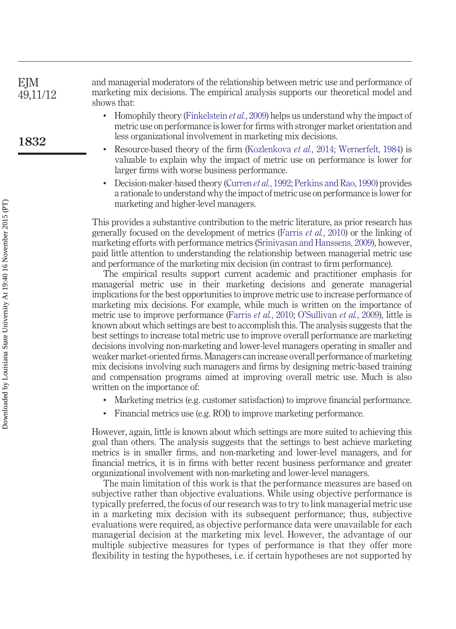and managerial moderators of the relationship between metric use and performance of marketing mix decisions. The empirical analysis supports our theoretical model and shows that: EJM 49,11/12

- Homophily theory [\(Finkelstein](#page-28-4) *et al.*, 2009) helps us understand why the impact of metric use on performance is lower for firms with stronger market orientation and less organizational involvement in marketing mix decisions.
- Resource-based theory of the firm [\(Kozlenkova](#page-28-5) *et al.*, 2014; [Wernerfelt, 1984\)](#page-30-0) is valuable to explain why the impact of metric use on performance is lower for larger firms with worse business performance.
- Decision-maker-based theory [\(Curren](#page-27-2) *et al.*, 1992; [Perkins and Rao, 1990\)](#page-29-6) provides a rationale to understand why the impact of metric use on performance is lower for marketing and higher-level managers.

This provides a substantive contribution to the metric literature, as prior research has generally focused on the development of metrics [\(Farris](#page-27-1) *et al.*, 2010) or the linking of marketing efforts with performance metrics [\(Srinivasan and Hanssens, 2009\)](#page-29-17), however, paid little attention to understanding the relationship between managerial metric use and performance of the marketing mix decision (in contrast to firm performance).

The empirical results support current academic and practitioner emphasis for managerial metric use in their marketing decisions and generate managerial implications for the best opportunities to improve metric use to increase performance of marketing mix decisions. For example, while much is written on the importance of metric use to improve performance [\(Farris](#page-27-1) *et al.*, 2010; [O'Sullivan](#page-29-10) *et al.*, 2009), little is known about which settings are best to accomplish this. The analysis suggests that the best settings to increase total metric use to improve overall performance are marketing decisions involving non-marketing and lower-level managers operating in smaller and weaker market-oriented firms. Managers can increase overall performance of marketing mix decisions involving such managers and firms by designing metric-based training and compensation programs aimed at improving overall metric use. Much is also written on the importance of:

- Marketing metrics (e.g. customer satisfaction) to improve financial performance.
- Financial metrics use (e.g. ROI) to improve marketing performance.

However, again, little is known about which settings are more suited to achieving this goal than others. The analysis suggests that the settings to best achieve marketing metrics is in smaller firms, and non-marketing and lower-level managers, and for financial metrics, it is in firms with better recent business performance and greater organizational involvement with non-marketing and lower-level managers.

The main limitation of this work is that the performance measures are based on subjective rather than objective evaluations. While using objective performance is typically preferred, the focus of our research was to try to link managerial metric use in a marketing mix decision with its subsequent performance; thus, subjective evaluations were required, as objective performance data were unavailable for each managerial decision at the marketing mix level. However, the advantage of our multiple subjective measures for types of performance is that they offer more flexibility in testing the hypotheses, i.e. if certain hypotheses are not supported by

**1832**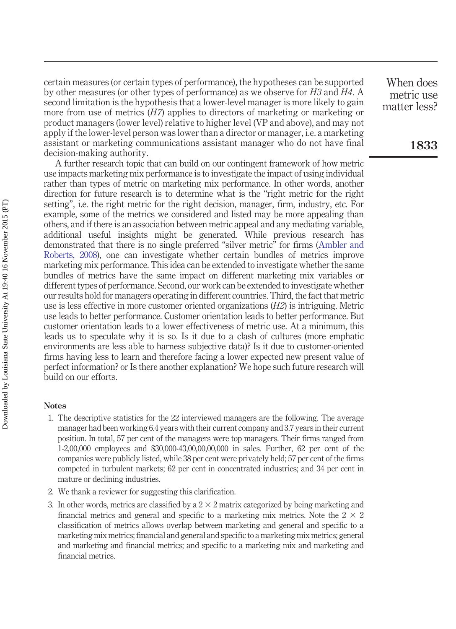certain measures (or certain types of performance), the hypotheses can be supported by other measures (or other types of performance) as we observe for *H3* and *H4*. A second limitation is the hypothesis that a lower-level manager is more likely to gain more from use of metrics (*H7*) applies to directors of marketing or marketing or product managers (lower level) relative to higher level (VP and above), and may not apply if the lower-level person was lower than a director or manager, i.e. a marketing assistant or marketing communications assistant manager who do not have final decision-making authority.

A further research topic that can build on our contingent framework of how metric use impacts marketing mix performance is to investigate the impact of using individual rather than types of metric on marketing mix performance. In other words, another direction for future research is to determine what is the "right metric for the right setting", i.e. the right metric for the right decision, manager, firm, industry, etc. For example, some of the metrics we considered and listed may be more appealing than others, and if there is an association between metric appeal and any mediating variable, additional useful insights might be generated. While previous research has demonstrated that there is no single preferred "silver metric" for firms [\(Ambler and](#page-27-18) [Roberts, 2008\)](#page-27-18), one can investigate whether certain bundles of metrics improve marketing mix performance. This idea can be extended to investigate whether the same bundles of metrics have the same impact on different marketing mix variables or different types of performance. Second, our work can be extended to investigate whether our results hold for managers operating in different countries. Third, the fact that metric use is less effective in more customer oriented organizations (*H2*) is intriguing. Metric use leads to better performance. Customer orientation leads to better performance. But customer orientation leads to a lower effectiveness of metric use. At a minimum, this leads us to speculate why it is so. Is it due to a clash of cultures (more emphatic environments are less able to harness subjective data)? Is it due to customer-oriented firms having less to learn and therefore facing a lower expected new present value of perfect information? or Is there another explanation? We hope such future research will build on our efforts.

#### <span id="page-26-0"></span>**Notes**

- 1. The descriptive statistics for the 22 interviewed managers are the following. The average manager had been working 6.4 years with their current company and 3.7 years in their current position. In total, 57 per cent of the managers were top managers. Their firms ranged from 1-2,00,000 employees and \$30,000-43,00,00,00,000 in sales. Further, 62 per cent of the companies were publicly listed, while 38 per cent were privately held; 57 per cent of the firms competed in turbulent markets; 62 per cent in concentrated industries; and 34 per cent in mature or declining industries.
- <span id="page-26-2"></span><span id="page-26-1"></span>2. We thank a reviewer for suggesting this clarification.
- 3. In other words, metrics are classified by a  $2 \times 2$  matrix categorized by being marketing and financial metrics and general and specific to a marketing mix metrics. Note the  $2 \times 2$ classification of metrics allows overlap between marketing and general and specific to a marketing mix metrics; financial and general and specific to a marketing mix metrics; general and marketing and financial metrics; and specific to a marketing mix and marketing and financial metrics.

When does metric use matter less?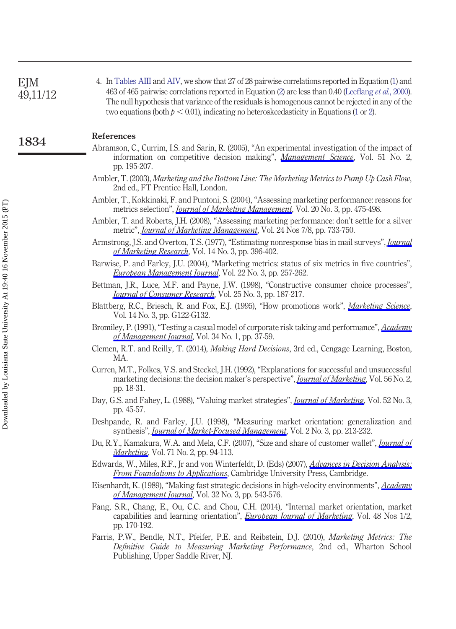<span id="page-27-18"></span><span id="page-27-17"></span><span id="page-27-16"></span><span id="page-27-13"></span><span id="page-27-12"></span><span id="page-27-6"></span><span id="page-27-5"></span><span id="page-27-0"></span>

| EJM<br>49,11/12 | 4. In Tables AIII and AIV, we show that 27 of 28 pairwise correlations reported in Equation (1) and<br>463 of 465 pairwise correlations reported in Equation (2) are less than 0.40 (Leeflang et al., 2000).<br>The null hypothesis that variance of the residuals is homogenous cannot be rejected in any of the<br>two equations (both $p < 0.01$ ), indicating no heteroskeedasticity in Equations (1 or 2). |
|-----------------|-----------------------------------------------------------------------------------------------------------------------------------------------------------------------------------------------------------------------------------------------------------------------------------------------------------------------------------------------------------------------------------------------------------------|
| 1834            | References                                                                                                                                                                                                                                                                                                                                                                                                      |
|                 | Abramson, C., Currim, I.S. and Sarin, R. (2005), "An experimental investigation of the impact of<br>information on competitive decision making", <i>Management Science</i> , Vol. 51 No. 2,<br>pp. 195-207.                                                                                                                                                                                                     |
|                 | Ambler, T. (2003), Marketing and the Bottom Line: The Marketing Metrics to Pump Up Cash Flow,<br>2nd ed., FT Prentice Hall, London.                                                                                                                                                                                                                                                                             |
|                 | Ambler, T., Kokkinaki, F. and Puntoni, S. (2004), "Assessing marketing performance: reasons for<br>metrics selection", <i>Journal of Marketing Management</i> , Vol. 20 No. 3, pp. 475-498.                                                                                                                                                                                                                     |
|                 | Ambler, T. and Roberts, J.H. (2008), "Assessing marketing performance: don't settle for a silver<br>metric", <i>Journal of Marketing Management</i> , Vol. 24 Nos 7/8, pp. 733-750.                                                                                                                                                                                                                             |
|                 | Armstrong, J.S. and Overton, T.S. (1977), "Estimating nonresponse bias in mail surveys", <i>Journal</i><br>of Marketing Research, Vol. 14 No. 3, pp. 396-402.                                                                                                                                                                                                                                                   |
|                 | Barwise, P. and Farley, J.U. (2004), "Marketing metrics: status of six metrics in five countries",<br>European Management Journal, Vol. 22 No. 3, pp. 257-262.                                                                                                                                                                                                                                                  |
|                 | Bettman, J.R., Luce, M.F. and Payne, J.W. (1998), "Constructive consumer choice processes",<br>Journal of Consumer Research, Vol. 25 No. 3, pp. 187-217.                                                                                                                                                                                                                                                        |
|                 | Blattberg, R.C., Briesch, R. and Fox, E.J. (1995), "How promotions work", Marketing Science,<br>Vol. 14 No. 3, pp. G122-G132.                                                                                                                                                                                                                                                                                   |
|                 | Bromiley, P. (1991), "Testing a casual model of corporate risk taking and performance", <i>Academy</i><br>of Management Journal, Vol. 34 No. 1, pp. 37-59.                                                                                                                                                                                                                                                      |
|                 | Clemen, R.T. and Reilly, T. (2014), Making Hard Decisions, 3rd ed., Cengage Learning, Boston,<br>MA.                                                                                                                                                                                                                                                                                                            |
|                 | Curren, M.T., Folkes, V.S. and Steckel, J.H. (1992), "Explanations for successful and unsuccessful<br>marketing decisions: the decision maker's perspective", <i>Journal of Marketing</i> , Vol. 56 No. 2,<br>pp. 18-31.                                                                                                                                                                                        |
|                 | Day, G.S. and Fahey, L. (1988), "Valuing market strategies", <i>Journal of Marketing</i> , Vol. 52 No. 3,<br>pp. 45-57.                                                                                                                                                                                                                                                                                         |
|                 | Deshpande, R. and Farley, J.U. (1998), "Measuring market orientation: generalization and<br>synthesis", <i>Journal of Market-Focused Management</i> , Vol. 2 No. 3, pp. 213-232.                                                                                                                                                                                                                                |
|                 | Du, R.Y., Kamakura, W.A. and Mela, C.F. (2007), "Size and share of customer wallet", <i>Journal of</i><br><i>Marketing</i> , Vol. 71 No. 2, pp. 94-113.                                                                                                                                                                                                                                                         |
|                 | Edwards, W., Miles, R.F., Jr and von Winterfeldt, D. (Eds) (2007), <i>Advances in Decision Analysis</i> :<br>From Foundations to Applications, Cambridge University Press, Cambridge.                                                                                                                                                                                                                           |
|                 | Eisenhardt, K. (1989), "Making fast strategic decisions in high-velocity environments", Academy<br>of Management Journal, Vol. 32 No. 3, pp. 543-576.                                                                                                                                                                                                                                                           |
|                 | Fang, S.R., Chang, E., Ou, C.C. and Chou, C.H. (2014), "Internal market orientation, market                                                                                                                                                                                                                                                                                                                     |

<span id="page-27-15"></span><span id="page-27-14"></span><span id="page-27-11"></span><span id="page-27-10"></span><span id="page-27-9"></span><span id="page-27-8"></span><span id="page-27-7"></span><span id="page-27-4"></span><span id="page-27-3"></span><span id="page-27-2"></span><span id="page-27-1"></span>capabilities and learning orientation", *[European Journal of Marketing](http://www.emeraldinsight.com/action/showLinks?system=10.1108%2FEJM-06-2010-0353&isi=000339628200009)*, Vol. 48 Nos 1/2, pp. 170-192. Farris, P.W., Bendle, N.T., Pfeifer, P.E. and Reibstein, D.J. (2010), *Marketing Metrics: The Definitive Guide to Measuring Marketing Performance*, 2nd ed., Wharton School

Publishing, Upper Saddle River, NJ.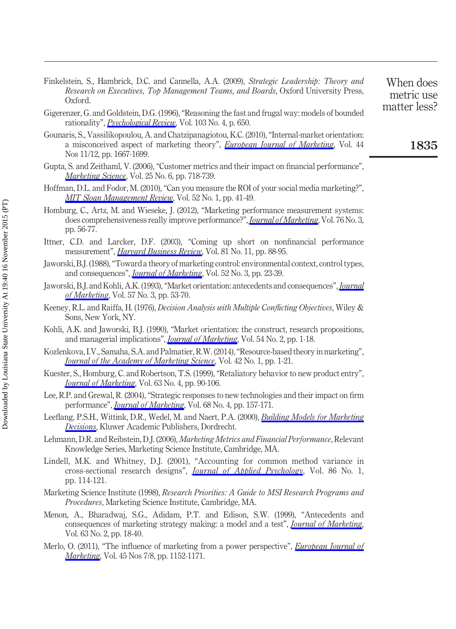- <span id="page-28-4"></span>Finkelstein, S., Hambrick, D.C. and Cannella, A.A. (2009), *Strategic Leadership: Theory and Research on Executives, Top Management Teams, and Boards*, Oxford University Press, Oxford.
- <span id="page-28-8"></span>Gigerenzer, G. and Goldstein, D.G. (1996), "Reasoning the fast and frugal way: models of bounded rationality", *[Psychological Review](http://www.emeraldinsight.com/action/showLinks?crossref=10.1037%2F0033-295X.103.4.650&isi=A1996VM90000002)*, Vol. 103 No. 4, p. 650.
- <span id="page-28-10"></span>Gounaris, S., Vassilikopoulou, A. and Chatzipanagiotou, K.C. (2010), "Internal-market orientation: a misconceived aspect of marketing theory", *[European Journal of Marketing](http://www.emeraldinsight.com/action/showLinks?system=10.1108%2F03090561011079837&isi=000285947600005)*, Vol. 44 Nos 11/12, pp. 1667-1699.
- <span id="page-28-15"></span>Gupta, S. and Zeithaml, V. (2006), "Customer metrics and their impact on financial performance", *[Marketing Science](http://www.emeraldinsight.com/action/showLinks?crossref=10.1287%2Fmksc.1060.0221&isi=000243437100031)*, Vol. 25 No. 6, pp. 718-739.
- <span id="page-28-16"></span>Hoffman, D.L. and Fodor, M. (2010), "Can you measure the ROI of your social media marketing?", *[MIT Sloan Management Review](http://www.emeraldinsight.com/action/showLinks?isi=000283007600008)*, Vol. 52 No. 1, pp. 41-49.
- <span id="page-28-2"></span>Homburg, C., Artz, M. and Wieseke, J. (2012), "Marketing performance measurement systems: does comprehensiveness really improve performance?", *[Journal of Marketing](http://www.emeraldinsight.com/action/showLinks?crossref=10.1509%2Fjm.09.0487&isi=000303363400004)*, Vol. 76 No. 3, pp. 56-77.
- <span id="page-28-9"></span>Ittner, C.D. and Larcker, D.F. (2003), "Coming up short on nonfinancial performance measurement", *[Harvard Business Review](http://www.emeraldinsight.com/action/showLinks?isi=000186166200011)*, Vol. 81 No. 11, pp. 88-95.
- <span id="page-28-13"></span>Jaworski, B.J. (1988), "Toward a theory of marketing control: environmental context, control types, and consequences", *[Journal of Marketing](http://www.emeraldinsight.com/action/showLinks?crossref=10.2307%2F1251447&isi=A1988P366500002)*, Vol. 52 No. 3, pp. 23-39.
- <span id="page-28-6"></span>Jaworski, B.J. and Kohli, A.K. (1993), "Market orientation: antecedents and consequences", *[Journal](http://www.emeraldinsight.com/action/showLinks?crossref=10.2307%2F1251854&isi=A1993LN85600004) [of Marketing](http://www.emeraldinsight.com/action/showLinks?crossref=10.2307%2F1251854&isi=A1993LN85600004)*, Vol. 57 No. 3, pp. 53-70.
- <span id="page-28-7"></span>Keeney, R.L. and Raiffa, H. (1976), *Decision Analysis with Multiple Conflicting Objectives*, Wiley & Sons, New York, NY.
- <span id="page-28-3"></span>Kohli, A.K. and Jaworski, B.J. (1990), "Market orientation: the construct, research propositions, and managerial implications", *[Journal of Marketing](http://www.emeraldinsight.com/action/showLinks?crossref=10.2307%2F1251866&isi=A1990CZ14400001)*, Vol. 54 No. 2, pp. 1-18.
- <span id="page-28-5"></span>Kozlenkova, I.V., Samaha, S.A. and Palmatier, R.W. (2014), "Resource-based theory in marketing", *[Journal of the Academy of Marketing Science](http://www.emeraldinsight.com/action/showLinks?crossref=10.1007%2Fs11747-013-0336-7&isi=000330858400001)*, Vol. 42 No. 1, pp. 1-21.
- <span id="page-28-19"></span>Kuester, S., Homburg, C. and Robertson, T.S. (1999), "Retaliatory behavior to new product entry", *[Journal of Marketing](http://www.emeraldinsight.com/action/showLinks?crossref=10.2307%2F1251976&isi=000083418800008)*, Vol. 63 No. 4, pp. 90-106.
- <span id="page-28-12"></span>Lee, R.P. and Grewal, R. (2004), "Strategic responses to new technologies and their impact on firm performance", *[Journal of Marketing](http://www.emeraldinsight.com/action/showLinks?crossref=10.1509%2Fjmkg.68.4.157.42730&isi=000224540200012)*, Vol. 68 No. 4, pp. 157-171.
- <span id="page-28-18"></span>Leeflang, P.S.H., Wittink, D.R., Wedel, M. and Naert, P.A. (2000), *[Building Models for Marketing](http://www.emeraldinsight.com/action/showLinks?crossref=10.1007%2F978-1-4615-4050-2) [Decisions](http://www.emeraldinsight.com/action/showLinks?crossref=10.1007%2F978-1-4615-4050-2)*, Kluwer Academic Publishers, Dordrecht.
- <span id="page-28-1"></span>Lehmann, D.R. and Reibstein, D.J. (2006), *Marketing Metrics and Financial Performance*, Relevant Knowledge Series, Marketing Science Institute, Cambridge, MA.
- <span id="page-28-17"></span>Lindell, M.K. and Whitney, D.J. (2001), "Accounting for common method variance in cross-sectional research designs", *[Journal of Applied Psychology](http://www.emeraldinsight.com/action/showLinks?crossref=10.1037%2F0021-9010.86.1.114&isi=000170878100010)*, Vol. 86 No. 1, pp. 114-121.
- <span id="page-28-0"></span>Marketing Science Institute (1998), *Research Priorities: A Guide to MSI Research Programs and Procedures*, Marketing Science Institute, Cambridge, MA.
- <span id="page-28-14"></span>Menon, A., Bharadwaj, S.G., Adidam, P.T. and Edison, S.W. (1999), "Antecedents and consequences of marketing strategy making: a model and a test", *[Journal of Marketing](http://www.emeraldinsight.com/action/showLinks?crossref=10.2307%2F1251943&isi=000080005100003)*, Vol. 63 No. 2, pp. 18-40.
- <span id="page-28-11"></span>Merlo, O. (2011), "The influence of marketing from a power perspective", *[European Journal of](http://www.emeraldinsight.com/action/showLinks?system=10.1108%2F03090561111137651&isi=000293930000007) [Marketing](http://www.emeraldinsight.com/action/showLinks?system=10.1108%2F03090561111137651&isi=000293930000007)*, Vol. 45 Nos 7/8, pp. 1152-1171.

When does metric use

**1835**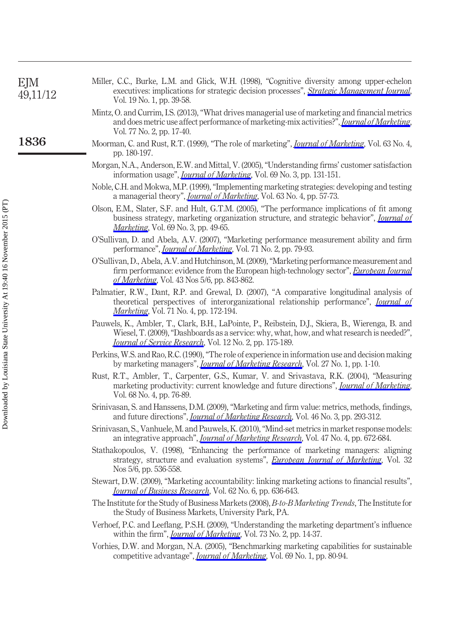<span id="page-29-18"></span><span id="page-29-13"></span><span id="page-29-12"></span><span id="page-29-11"></span><span id="page-29-10"></span><span id="page-29-8"></span><span id="page-29-5"></span><span id="page-29-4"></span><span id="page-29-1"></span>

| EJM<br>49,11/12 | Miller, C.C., Burke, L.M. and Glick, W.H. (1998), "Cognitive diversity among upper-echelon<br>executives: implications for strategic decision processes", <i>Strategic Management Journal</i> ,<br>Vol. 19 No. 1, pp. 39-58.                                 |
|-----------------|--------------------------------------------------------------------------------------------------------------------------------------------------------------------------------------------------------------------------------------------------------------|
|                 | Mintz, O. and Currim, I.S. (2013), "What drives managerial use of marketing and financial metrics<br>and does metric use affect performance of marketing-mix activities?", Journal of Marketing,<br>Vol. 77 No. 2, pp. 17-40.                                |
| 1836            | Moorman, C. and Rust, R.T. (1999), "The role of marketing", <i>Journal of Marketing</i> , Vol. 63 No. 4,<br>pp. 180-197.                                                                                                                                     |
|                 | Morgan, N.A., Anderson, E.W. and Mittal, V. (2005), "Understanding firms' customer satisfaction<br>information usage", <i>Journal of Marketing</i> , Vol. 69 No. 3, pp. 131-151.                                                                             |
|                 | Noble, C.H. and Mokwa, M.P. (1999), "Implementing marketing strategies: developing and testing<br>a managerial theory", <i>Journal of Marketing</i> , Vol. 63 No. 4, pp. 57-73.                                                                              |
|                 | Olson, E.M., Slater, S.F. and Hult, G.T.M. (2005), "The performance implications of fit among<br>business strategy, marketing organization structure, and strategic behavior", <i>Journal of</i><br>Marketing, Vol. 69 No. 3, pp. 49-65.                     |
|                 | O'Sullivan, D. and Abela, A.V. (2007), "Marketing performance measurement ability and firm<br>performance", <i>Journal of Marketing</i> , Vol. 71 No. 2, pp. 79-93.                                                                                          |
|                 | O'Sullivan, D., Abela, A.V. and Hutchinson, M. (2009), "Marketing performance measurement and<br>firm performance: evidence from the European high-technology sector", European Journal<br>of Marketing, Vol. 43 Nos 5/6, pp. 843-862.                       |
|                 | Palmatier, R.W., Dant, R.P. and Grewal, D. (2007), "A comparative longitudinal analysis of<br>theoretical perspectives of interorganizational relationship performance", <i>Journal of</i><br><i>Marketing</i> , Vol. 71 No. 4, pp. 172-194.                 |
|                 | Pauwels, K., Ambler, T., Clark, B.H., LaPointe, P., Reibstein, D.J., Skiera, B., Wierenga, B. and<br>Wiesel, T. (2009), "Dashboards as a service: why, what, how, and what research is needed?",<br>Journal of Service Research, Vol. 12 No. 2, pp. 175-189. |
|                 | Perkins, W.S. and Rao, R.C. (1990), "The role of experience in information use and decision making<br>by marketing managers", <i>Journal of Marketing Research</i> , Vol. 27 No. 1, pp. 1-10.                                                                |
|                 | Rust, R.T., Ambler, T., Carpenter, G.S., Kumar, V. and Srivastava, R.K. (2004), "Measuring<br>marketing productivity: current knowledge and future directions", <i>Journal of Marketing</i> ,<br>Vol. 68 No. 4, pp. 76-89.                                   |
|                 | Srinivasan, S. and Hanssens, D.M. (2009), "Marketing and firm value: metrics, methods, findings,<br>and future directions", <i>Journal of Marketing Research</i> , Vol. 46 No. 3, pp. 293-312.                                                               |
|                 | Srinivasan, S., Vanhuele, M. and Pauwels, K. (2010), "Mind-set metrics in market response models:<br>an integrative approach", <i>Journal of Marketing Research</i> , Vol. 47 No. 4, pp. 672-684.                                                            |
|                 | Stathakopoulos, V. (1998), "Enhancing the performance of marketing managers: aligning<br>strategy, structure and evaluation systems", <i>European Journal of Marketing</i> , Vol. 32<br>Nos 5/6, pp. 536-558.                                                |
|                 | Stewart, D.W. (2009), "Marketing accountability: linking marketing actions to financial results",<br><b>Journal of Business Research</b> , Vol. 62 No. 6, pp. 636-643.                                                                                       |
|                 | The Institute for the Study of Business Markets (2008), B-to-B Marketing Trends, The Institute for                                                                                                                                                           |

- <span id="page-29-17"></span><span id="page-29-16"></span><span id="page-29-15"></span><span id="page-29-14"></span><span id="page-29-9"></span><span id="page-29-6"></span><span id="page-29-3"></span><span id="page-29-2"></span><span id="page-29-0"></span>the Study of Business Markets, University Park, PA. Verhoef, P.C. and Leeflang, P.S.H. (2009), "Understanding the marketing department's influence within the firm", *[Journal of Marketing](http://www.emeraldinsight.com/action/showLinks?crossref=10.1509%2Fjmkg.73.2.14&isi=000263625800002)*, Vol. 73 No. 2, pp. 14-37.
- <span id="page-29-7"></span>Vorhies, D.W. and Morgan, N.A. (2005), "Benchmarking marketing capabilities for sustainable competitive advantage", *[Journal of Marketing](http://www.emeraldinsight.com/action/showLinks?crossref=10.1509%2Fjmkg.69.1.80.55505&isi=000226189500006)*, Vol. 69 No. 1, pp. 80-94.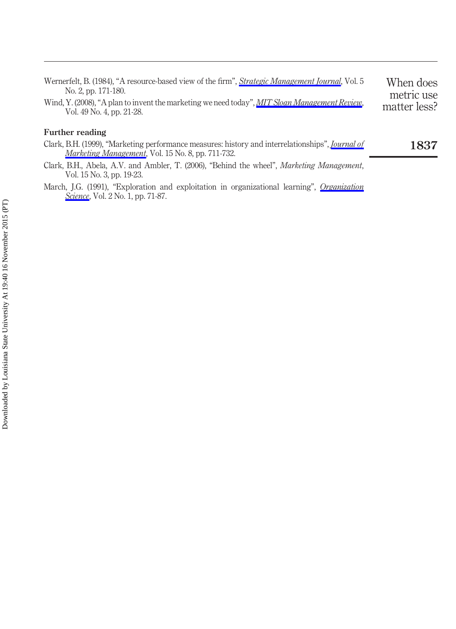<span id="page-30-1"></span><span id="page-30-0"></span>

| Wernerfelt, B. (1984), "A resource-based view of the firm", <i>Strategic Management Journal</i> , Vol. 5<br>No. 2, pp. 171-180.<br>Wind, Y. (2008), "A plan to invent the marketing we need today", <i>MIT Sloan Management Review</i> ,<br>Vol. 49 No. 4, pp. 21-28. | When does<br>metric use<br>matter less? |
|-----------------------------------------------------------------------------------------------------------------------------------------------------------------------------------------------------------------------------------------------------------------------|-----------------------------------------|
| <b>Further reading</b>                                                                                                                                                                                                                                                |                                         |
| Clark, B.H. (1999), "Marketing performance measures: history and interrelationships", <i>Journal of</i><br><i>Marketing Management</i> , Vol. 15 No. 8, pp. 711-732.                                                                                                  | 1837                                    |
| Clark, B.H., Abela, A.V. and Ambler, T. (2006), "Behind the wheel", <i>Marketing Management</i> ,<br>Vol. 15 No. 3, pp. 19-23.                                                                                                                                        |                                         |

March, J.G. (1991), "Exploration and exploitation in organizational learning", *[Organization](http://www.emeraldinsight.com/action/showLinks?crossref=10.1287%2Forsc.2.1.71&isi=000208105700005) [Science](http://www.emeraldinsight.com/action/showLinks?crossref=10.1287%2Forsc.2.1.71&isi=000208105700005)*, Vol. 2 No. 1, pp. 71-87.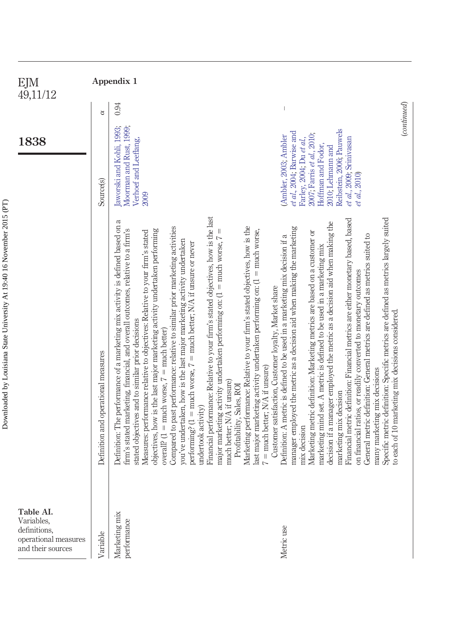<span id="page-31-0"></span>

|                                                                         | EJM<br>49,11/12                                                                      |                                     | Appendix 1                                                                                                                                                                                                                                                                                                                                                                                                                                                                                                                                                                                                                                                                                                                                                                                                                                                                                                                                                                                                                                                                                                          |                                                                                                                                                                                                                                                                                                                                                                                                                                                                                                                                                                                                                                                                                                                                                                                                                                                                                                                                                    |
|-------------------------------------------------------------------------|--------------------------------------------------------------------------------------|-------------------------------------|---------------------------------------------------------------------------------------------------------------------------------------------------------------------------------------------------------------------------------------------------------------------------------------------------------------------------------------------------------------------------------------------------------------------------------------------------------------------------------------------------------------------------------------------------------------------------------------------------------------------------------------------------------------------------------------------------------------------------------------------------------------------------------------------------------------------------------------------------------------------------------------------------------------------------------------------------------------------------------------------------------------------------------------------------------------------------------------------------------------------|----------------------------------------------------------------------------------------------------------------------------------------------------------------------------------------------------------------------------------------------------------------------------------------------------------------------------------------------------------------------------------------------------------------------------------------------------------------------------------------------------------------------------------------------------------------------------------------------------------------------------------------------------------------------------------------------------------------------------------------------------------------------------------------------------------------------------------------------------------------------------------------------------------------------------------------------------|
|                                                                         |                                                                                      | ₹                                   | 0.94                                                                                                                                                                                                                                                                                                                                                                                                                                                                                                                                                                                                                                                                                                                                                                                                                                                                                                                                                                                                                                                                                                                | $_{\footnotesize (continued)}$                                                                                                                                                                                                                                                                                                                                                                                                                                                                                                                                                                                                                                                                                                                                                                                                                                                                                                                     |
|                                                                         | 1838                                                                                 | Source(s)                           | Jaworski and Kohli, 1993;<br>Moorman and Rust, 1999;<br>Verhoef and Leeflang,<br>2009                                                                                                                                                                                                                                                                                                                                                                                                                                                                                                                                                                                                                                                                                                                                                                                                                                                                                                                                                                                                                               | Reibstein, 2006; Pauwels<br>et al., 2004; Barwise and<br>2007: Farris et al., 2010;<br>(Ambler, 2003; Ambler<br>et al., 2009; Srinivasan<br>Farley, 2004; Du et al.,<br>Hoffman and Fodor,<br>2010; Lehmann and<br>et al., 2010)                                                                                                                                                                                                                                                                                                                                                                                                                                                                                                                                                                                                                                                                                                                   |
| Downloaded by Louisiana State University At 19:40 16 November 2015 (PT) |                                                                                      | Definition and operational measures | Financial performance: Relative to your firm's stated objectives, how is the last<br>$\approx$<br>Definition: The performance of a marketing mix activity is defined based on<br>Marketing performance: Relative to your firm's stated objectives, how is the<br>Compared to past performance: relative to similar prior marketing activities<br>firm's stated marketing, financial, and overall outcomes, relative to a firm's<br>objectives, how is the last major marketing activity undertaken performing<br>last major marketing activity undertaken performing on: $(1 =$ much worse,<br>Measures: performance relative to objectives: Relative to your firm's stated<br>major marketing activity undertaken performing on: $(1 =$ much worse, $7$<br>you've undertaken, how is the last major marketing activity undertaken<br>performing? $(1 =$ much worse, $7 =$ much better; N/A if unsure or never<br>stated objectives and to similar prior decisions<br>overall? $(1 = \text{much worse}, 7 = \text{much better})$<br>much better; N/A if unsure)<br>Profitability, Sales, ROI<br>undertook activity) | Financial metric definition: Financial metrics are either monetary based, based<br>Specific metric definition: Specific metrics are defined as metrics largely suited<br>decision if a manager employed the metric as a decision aid when making the<br>manager employed the metric as a decision aid when making the marketing<br>Marketing metric definition: Marketing metrics are based on a customer or<br>General metric definition: General metrics are defined as metrics suited to<br>Definition: A metric is defined to be used in a marketing mix decision if a<br>marketing mind set. A metric is defined to be used in a marketing mix<br>on financial ratios, or readily converted to monetary outcomes<br>Customer satisfaction, Customer loyalty, Market share<br>to each of 10 marketing mix decisions considered.<br>$7 =$ much better; N/A if unsure)<br>many marketing mix decisions<br>marketing mix decision<br>mix decision |
|                                                                         | Table AI.<br>Variables.<br>definitions.<br>operational measures<br>and their sources | Variable                            | Marketing mix<br>performance                                                                                                                                                                                                                                                                                                                                                                                                                                                                                                                                                                                                                                                                                                                                                                                                                                                                                                                                                                                                                                                                                        | Metric use                                                                                                                                                                                                                                                                                                                                                                                                                                                                                                                                                                                                                                                                                                                                                                                                                                                                                                                                         |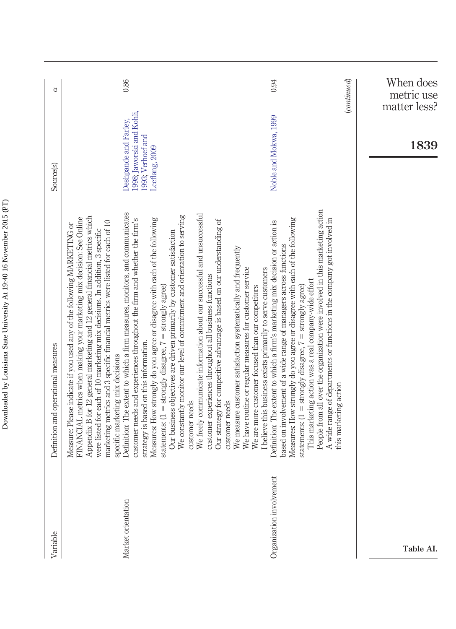| Variable                 | Definition and operational measures                                                                                                                                                                                                                                                                                                                                                                                                                                                                                                                                                                                                                                                                                                                                                                                                                                                                                                                                                                                                                          | Source(s)                                                                                 | ₫                       |
|--------------------------|--------------------------------------------------------------------------------------------------------------------------------------------------------------------------------------------------------------------------------------------------------------------------------------------------------------------------------------------------------------------------------------------------------------------------------------------------------------------------------------------------------------------------------------------------------------------------------------------------------------------------------------------------------------------------------------------------------------------------------------------------------------------------------------------------------------------------------------------------------------------------------------------------------------------------------------------------------------------------------------------------------------------------------------------------------------|-------------------------------------------------------------------------------------------|-------------------------|
| Market orientation       | Definition: The extent to which a firm measures, monitors, and communicates<br>We constantly monitor our level of commitment and orientation to serving<br>Appendix B for 12 general marketing and 12 general financial metrics which<br>FINANCIAL metrics when making your marketing mix decision: See Online<br>customer needs and experiences throughout the firm and whether the firm's<br>Measures: How strongly do you agree or disagree with each of the following<br>marketing metrics and 3 specific financial metrics were listed for each of 10<br>Measure: Please indicate if you used any of the following MARKETING or<br>were listed for each of 10 marketing mix decisions. In addition, 3 specific<br>Our business objectives are driven primarily by customer satisfaction<br>statements: $(1 =$ strongly disagree, $7 =$ strongly agree)<br>strategy is based on this information.<br>specific marketing mix decisions                                                                                                                    | 1998; Jaworski and Kohli,<br>Deshpande and Farley,<br>1993; Verhoef and<br>Leeflang, 2009 | 0.86                    |
| Organization involvement | People from all over the organization were involved in this marketing action<br>We freely communicate information about our successful and unsuccessful<br>Measures: How strongly do you agree or disagree with each of the following<br>A wide range of departments or functions in the company got involved in<br>Our strategy for competitive advantage is based on our understanding of<br>Definition: The extent to which a firm's marketing mix decision or action is<br>based on involvement of a wide range of managers across functions<br>We measure customer satisfaction systematically and frequently<br>We have routine or regular measures for customer service<br>I believe this business exists primarily to serve customers<br>customer experiences throughout all business functions<br>This marketing action was a real company-wide effort<br>We are more customer focused than our competitors<br>statements: $(1 = \text{strongly disagree}, 7 = \text{strongly agree})$<br>this marketing action<br>customer needs<br>customer needs | Noble and Mokwa, 1999                                                                     | 0.94                    |
|                          |                                                                                                                                                                                                                                                                                                                                                                                                                                                                                                                                                                                                                                                                                                                                                                                                                                                                                                                                                                                                                                                              |                                                                                           | $_{(continued)}$        |
| Table AI.                |                                                                                                                                                                                                                                                                                                                                                                                                                                                                                                                                                                                                                                                                                                                                                                                                                                                                                                                                                                                                                                                              | matter less?<br>1839                                                                      | When does<br>metric use |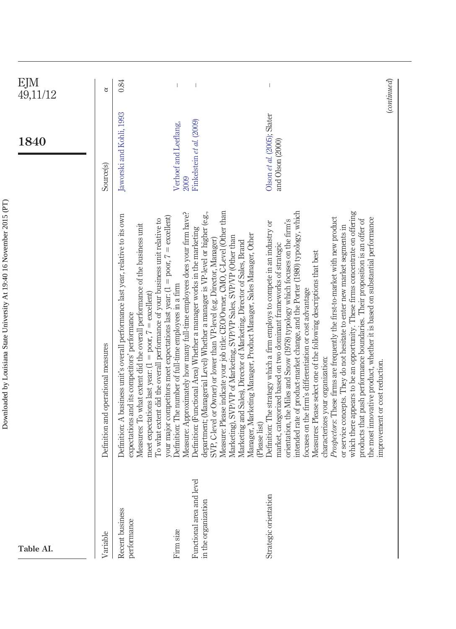| EJM<br>49,11/12 | q                                   | 0.84                                                                                                                                                                                                                                                                                                                                                                                                                                                                      |                                                                                                                                     |                                                                                                                                                                                                                                                                                                                                                                                                                                                                                                                                                       |                                                                                                                                                                                                                                                                                                                                                                                                                                                                                                                                                                                                                                                                                                                                                                                                                                                                                                                                     | $_{(continued)}$ |
|-----------------|-------------------------------------|---------------------------------------------------------------------------------------------------------------------------------------------------------------------------------------------------------------------------------------------------------------------------------------------------------------------------------------------------------------------------------------------------------------------------------------------------------------------------|-------------------------------------------------------------------------------------------------------------------------------------|-------------------------------------------------------------------------------------------------------------------------------------------------------------------------------------------------------------------------------------------------------------------------------------------------------------------------------------------------------------------------------------------------------------------------------------------------------------------------------------------------------------------------------------------------------|-------------------------------------------------------------------------------------------------------------------------------------------------------------------------------------------------------------------------------------------------------------------------------------------------------------------------------------------------------------------------------------------------------------------------------------------------------------------------------------------------------------------------------------------------------------------------------------------------------------------------------------------------------------------------------------------------------------------------------------------------------------------------------------------------------------------------------------------------------------------------------------------------------------------------------------|------------------|
| 1840            | Source(s)                           | Jaworski and Kohli, 1993                                                                                                                                                                                                                                                                                                                                                                                                                                                  | Verhoef and Leeflang,<br>2009                                                                                                       | Finkelstein et al. (2009)                                                                                                                                                                                                                                                                                                                                                                                                                                                                                                                             | Olson et al. (2005); Slater<br>and Olson (2000)                                                                                                                                                                                                                                                                                                                                                                                                                                                                                                                                                                                                                                                                                                                                                                                                                                                                                     |                  |
|                 | Definition and operational measures | Definition: A business unit's overall performance last year, relative to its own<br>your major competitors meet expectations last year: $(1 = \text{poor}, 7 = \text{excellent})$<br>To what extent did the overall performance of your business unit relative to<br>Measures: To what extent did the overall performance of the business unit<br>meet expectations last year: $(1 = \text{poor}, 7 = \text{excellent})$<br>expectations and its competitors' performance | Measure: Approximately how many full-time employees does your firm have?<br>Definition: The number of full-time employees in a firm | department; (Managerial Level) Whether a manager is VP-level or higher (e.g.,<br>Measure: Please indicate your job title: CEO/Owner, CMO, C-Level (Other than<br>Definition: (Functional Area) Whether a manager works in the marketing<br>Manager, Marketing Manager, Product Manager, Sales Manager, Other<br>Marketing), SVP/VP of Marketing, SVP/VP Sales, SVP/VP (Other than<br>SVP, C-level or Owner) or lower than VP-level (e.g. Director, Manager)<br>Marketing and Sales), Director of Marketing, Director of Sales, Brand<br>(Please list) | intended rate of product-market change, and the Porter (1980) typology, which<br>which there appears to be an opportunity. These firms concentrate on offering<br>Prospectors: These firms are frequently the first-to-market with new product<br>the most innovative product, whether it is based on substantial performance<br>orientation, the Miles and Snow (1978) typology which focuses on the firm's<br>products that push performance boundaries. Their proposition is an offer of<br>Definition: The strategy which a firm employs to compete in an industry or<br>or service concepts. They do not hesitate to enter new market segments in<br>market, categorized based on two dominant frameworks of strategic<br>Measures: Please select one of the following descriptions that best<br>focuses on the firm's differentiation or cost advantage<br>characterizes your organization:<br>improvement or cost reduction. |                  |
| Table AI.       | Variable                            | Recent business<br>performance                                                                                                                                                                                                                                                                                                                                                                                                                                            | Firm size                                                                                                                           | Functional area and level<br>in the organization                                                                                                                                                                                                                                                                                                                                                                                                                                                                                                      | Strategic orientation                                                                                                                                                                                                                                                                                                                                                                                                                                                                                                                                                                                                                                                                                                                                                                                                                                                                                                               |                  |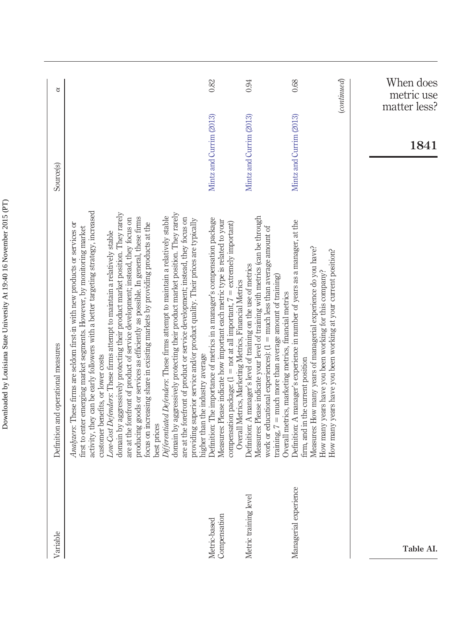| Variable                     | Definition and operational measures                                                                                                                                                                                                                                                                                                                                                                                                                                                                                                                                                                                                                                                                          | Source(s)               | ₹                                      |
|------------------------------|--------------------------------------------------------------------------------------------------------------------------------------------------------------------------------------------------------------------------------------------------------------------------------------------------------------------------------------------------------------------------------------------------------------------------------------------------------------------------------------------------------------------------------------------------------------------------------------------------------------------------------------------------------------------------------------------------------------|-------------------------|----------------------------------------|
|                              | activity, they can be early followers with a better targeting strategy, increased<br>domain by aggressively protecting their product market position. They rarely<br>producing goods or services as efficiently as possible. In general, these firms<br>are at the forefront of product of service development; instead, they focus on<br>Analyzers: These firms are seldom first-in with new products or services or<br>focus on increasing share in existing markets by providing products at the<br>first to enter emerging market segments. However, by monitoring market<br>Low-Cost Defenders: These firms attempt to maintain a relatively stable<br>customer benefits, or lower costs<br>best prices |                         |                                        |
|                              | domain by aggressively protecting their product market position. They rarely<br>Differentiated Defenders: These firms attempt to maintain a relatively stable<br>are at the forefront of product or service development; instead, they focus on<br>providing superior service and/or product quality. Their prices are typically<br>higher than the industry average                                                                                                                                                                                                                                                                                                                                         |                         |                                        |
| Compensation<br>Metric-based | Definition: The importance of metrics in a manager's compensation package<br>Measures: Please indicate how important each metric type is related to your<br>compensation package: $(1 = not at all important, 7 = extremely important)$<br>Overall Metrics, Marketing Metrics, Financial Metrics                                                                                                                                                                                                                                                                                                                                                                                                             | Mintz and Currim (2013) | 0.82                                   |
| Metric training level        | Measures: Please indicate your level of training with metrics (can be through<br>work or educational experiences): $(1 = \text{much less than average amount of})$<br>Definition: A manager's level of training on the use of metrics<br>training, $7 =$ much more than average amount of training)<br>Overall metrics, marketing metrics, financial metrics                                                                                                                                                                                                                                                                                                                                                 | Mintz and Currim (2013) | 0.94                                   |
| Managerial experience        | Definition: A manager's experience in number of years as a manager, at the<br>Measures: How many years of managerial experience do you have?<br>How many years have you been working at your current position?<br>How many years have you been working for this company?<br>firm, and in the current position                                                                                                                                                                                                                                                                                                                                                                                                | Mintz and Currim (2013) | 0.68                                   |
| Table AI.                    |                                                                                                                                                                                                                                                                                                                                                                                                                                                                                                                                                                                                                                                                                                              | matter less?<br>1841    | When does<br>(continued)<br>metric use |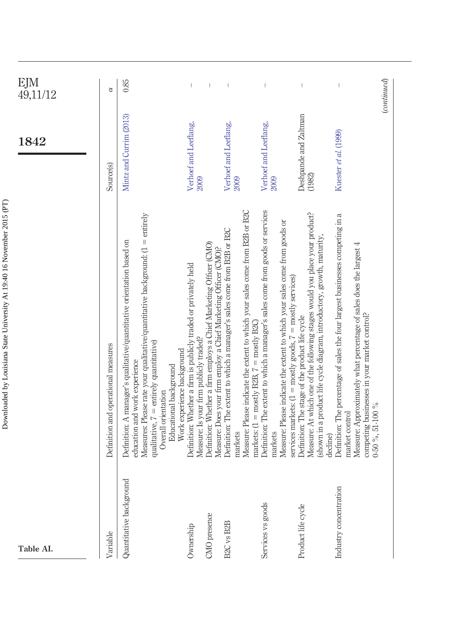| EJM<br>49,11/12<br>1842 | ₫<br>Source(s)                      | 0.85<br>Mintz and Currim (2013)                                                                                                                                                                                                                                                                                       | Verhoef and Leeflang,<br>2009                                                                                                                                                                                                                      | Verhoef and Leeflang,<br>2009                                                                                                                                                                                                  | Verhoef and Leeflang,<br>2009                                                                                                                                                                                                                       | Deshpande and Zaltman<br>(1982)                                                                                                                                                                                       | Kuester et al. (1999)                                                                                                                                                  |
|-------------------------|-------------------------------------|-----------------------------------------------------------------------------------------------------------------------------------------------------------------------------------------------------------------------------------------------------------------------------------------------------------------------|----------------------------------------------------------------------------------------------------------------------------------------------------------------------------------------------------------------------------------------------------|--------------------------------------------------------------------------------------------------------------------------------------------------------------------------------------------------------------------------------|-----------------------------------------------------------------------------------------------------------------------------------------------------------------------------------------------------------------------------------------------------|-----------------------------------------------------------------------------------------------------------------------------------------------------------------------------------------------------------------------|------------------------------------------------------------------------------------------------------------------------------------------------------------------------|
|                         | Definition and operational measures | Measures: Please rate your qualitative/quantitative background: $(1 =$ entirely<br>Definition: A manager's qualitative/quantitative orientation based on<br>qualitative, $7 =$ entirely quantitative)<br>Work experience background<br>education and work experience<br>Educational background<br>Overall orientation | Definition: Whether a firm employs a Chief Marketing Officer (CMO)<br>Measure: Does your firm employ a Chief Marketing Officer (CMO)?<br>Definition: Whether a firm is publicly traded or privately held<br>Measure: Is your firm publicly traded? | Measure: Please indicate the extent to which your sales come from B2B or B2C<br>Definition: The extent to which a manager's sales come from B2B or B2C<br>markets: $(1 = \text{mostly B2B}, 7 = \text{mostly B2C})$<br>markets | Definition: The extent to which a manager's sales come from goods or services<br>Measure: Please indicate the extent to which your sales come from goods or<br>services markets: $(1 = \text{mostly goods}, 7 = \text{mostly services})$<br>markets | Measure: At which one of the following stages would you place your product?<br>(shown in a product life cycle diagram, introductory, growth, maturity,<br>Definition: The stage of the product life cycle<br>decline) | Definition: The percentage of sales the four largest businesses competing in a<br>Measure: Approximately what percentage of sales does the largest 4<br>market control |
| Table AI.               | Variable                            | Quantitative background                                                                                                                                                                                                                                                                                               | CMO presence<br>Ownership                                                                                                                                                                                                                          | B2C vs B2B                                                                                                                                                                                                                     | Services vs goods                                                                                                                                                                                                                                   | Product life cycle                                                                                                                                                                                                    | Industry concentration                                                                                                                                                 |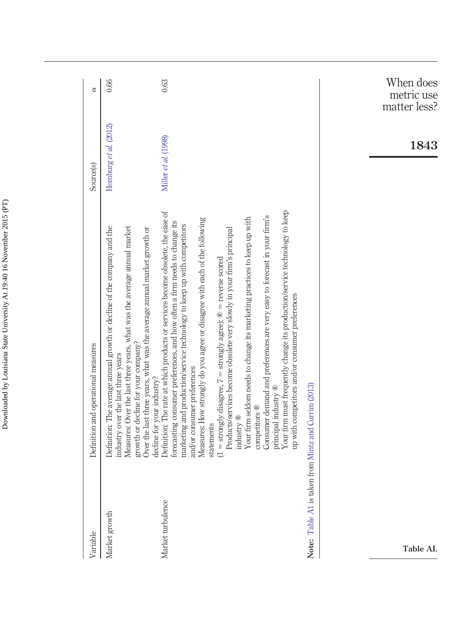| i<br>Comparente<br>ı |
|----------------------|
| ١<br>l               |
|                      |
|                      |
| l                    |
|                      |
| ì<br>l               |
|                      |
|                      |
|                      |
|                      |
| ļ                    |

| Variable                                             | Definition and operational measures                                                                                                                                                                                                                                                                                                                                                                                                                            | Source(s)               |                                         |
|------------------------------------------------------|----------------------------------------------------------------------------------------------------------------------------------------------------------------------------------------------------------------------------------------------------------------------------------------------------------------------------------------------------------------------------------------------------------------------------------------------------------------|-------------------------|-----------------------------------------|
| Market growth                                        | Definition: The average annual growth or decline of the company and the<br>Measures: Over the last three years, what was the average annual market<br>growth or decline for your company?<br>industry over the last three years                                                                                                                                                                                                                                | Homburg et al. $(2012)$ | 0.66<br>₹                               |
| Market turbulence                                    | Definition: The rate at which products or services become obsolete, the ease of<br>Measures: How strongly do you agree or disagree with each of the following<br>forecasting consumer preferences, and how often a firm needs to change its<br>marketing and production/service technology to keep up with competitors<br>Over the last three years, what was the average annual market growth or<br>and/or consumer preferences<br>decline for your industry? | Miller et al. (1998)    | 0.63                                    |
|                                                      | Consumer demand and preferences are very easy to forecast in your firm's<br>Your firm seldom needs to change its marketing practices to keep up with<br>Products/services become obsolete very slowly in your firm's principal<br>$(1 =$ strongly disagree, $7 =$ strongly agree): $\circledR =$ reverse scored<br>competitors $\circledR$<br>industry ®<br>statements                                                                                         |                         |                                         |
|                                                      | Your firm must frequently change its production/service technology to keep<br>up with competitors and/or consumer preferences<br>principal industry ®                                                                                                                                                                                                                                                                                                          |                         |                                         |
| Note: Table A1 is taken from Mintz and Currim (2013) |                                                                                                                                                                                                                                                                                                                                                                                                                                                                |                         |                                         |
|                                                      |                                                                                                                                                                                                                                                                                                                                                                                                                                                                |                         |                                         |
| Table AI.                                            |                                                                                                                                                                                                                                                                                                                                                                                                                                                                | 1843                    | When does<br>metric use<br>matter less? |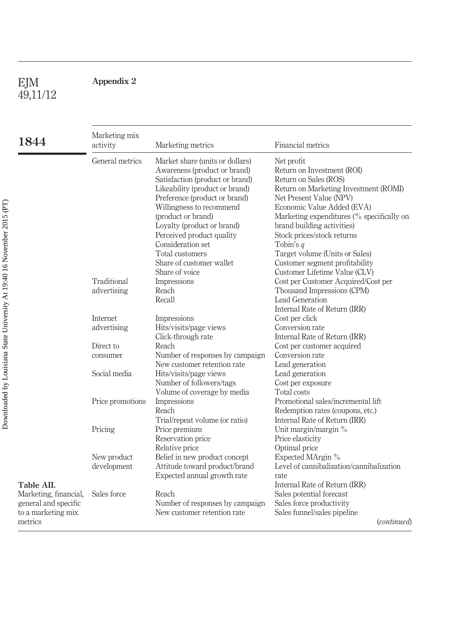#### <span id="page-37-1"></span><span id="page-37-0"></span>**Appendix 2**

EJM 49,11/12

| 1844                                                                | Marketing mix<br>activity  | Marketing metrics                                                                                                                                                                                                       | Financial metrics                                                                                                                                                                                                                              |
|---------------------------------------------------------------------|----------------------------|-------------------------------------------------------------------------------------------------------------------------------------------------------------------------------------------------------------------------|------------------------------------------------------------------------------------------------------------------------------------------------------------------------------------------------------------------------------------------------|
|                                                                     | General metrics            | Market share (units or dollars)<br>Awareness (product or brand)<br>Satisfaction (product or brand)<br>Likeability (product or brand)<br>Preference (product or brand)<br>Willingness to recommend<br>(product or brand) | Net profit<br>Return on Investment (ROI)<br>Return on Sales (ROS)<br>Return on Marketing Investment (ROMI)<br>Net Present Value (NPV)<br>Economic Value Added (EVA)<br>Marketing expenditures (% specifically on<br>brand building activities) |
|                                                                     |                            | Perceived product quality<br>Consideration set<br>Total customers<br>Share of customer wallet                                                                                                                           | Stock prices/stock returns<br>Tobin's $q$<br>Target volume (Units or Sales)<br>Customer segment profitability<br>Customer Lifetime Value (CLV)                                                                                                 |
|                                                                     | Traditional<br>advertising | Impressions<br>Reach<br>Recall                                                                                                                                                                                          | Cost per Customer Acquired/Cost per<br>Thousand Impressions (CPM)<br>Lead Generation<br>Internal Rate of Return (IRR)                                                                                                                          |
|                                                                     | Internet<br>advertising    | Loyalty (product or brand)<br>Share of voice<br>Impressions<br>Hits/visits/page views<br>Click-through rate                                                                                                             | Cost per click<br>Conversion rate<br>Internal Rate of Return (IRR)                                                                                                                                                                             |
|                                                                     | Direct to<br>consumer      | Reach<br>Number of responses by campaign<br>New customer retention rate                                                                                                                                                 | Cost per customer acquired<br>Conversion rate<br>Lead generation                                                                                                                                                                               |
|                                                                     | Social media               | Hits/visits/page views<br>Number of followers/tags                                                                                                                                                                      | Lead generation<br>Cost per exposure<br>Total costs                                                                                                                                                                                            |
|                                                                     | Price promotions           | Volume of coverage by media<br>Impressions<br>Reach                                                                                                                                                                     | Promotional sales/incremental lift<br>Redemption rates (coupons, etc.)                                                                                                                                                                         |
|                                                                     | Pricing                    | Trial/repeat volume (or ratio)<br>Price premium<br>Reservation price<br>Relative price                                                                                                                                  | Internal Rate of Return (IRR)<br>Unit margin/margin %<br>Price elasticity<br>Optimal price                                                                                                                                                     |
| Table AII.                                                          | New product<br>development | Belief in new product concept<br>Attitude toward product/brand<br>Expected annual growth rate                                                                                                                           | Expected MArgin %<br>Level of cannibalization/cannibalization<br>rate<br>Internal Rate of Return (IRR)                                                                                                                                         |
| Marketing, financial,<br>general and specific<br>to a marketing mix | Sales force                | Reach<br>Number of responses by campaign<br>New customer retention rate                                                                                                                                                 | Sales potential forecast<br>Sales force productivity<br>Sales funnel/sales pipeline                                                                                                                                                            |
| metrics                                                             |                            |                                                                                                                                                                                                                         | ( <i>continued</i> )                                                                                                                                                                                                                           |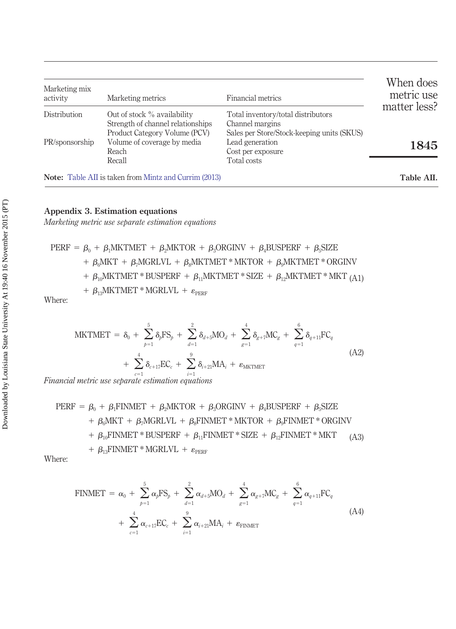| Marketing mix<br>activity | Marketing metrics                                                                                 | Financial metrics                                                                                   | When does<br>metric use |
|---------------------------|---------------------------------------------------------------------------------------------------|-----------------------------------------------------------------------------------------------------|-------------------------|
| Distribution              | Out of stock % availability<br>Strength of channel relationships<br>Product Category Volume (PCV) | Total inventory/total distributors<br>Channel margins<br>Sales per Store/Stock-keeping units (SKUS) | matter less?            |
| PR/sponsorship            | Volume of coverage by media<br>Reach<br>Recall                                                    | Lead generation<br>Cost per exposure<br>Total costs                                                 | 1845                    |
|                           | <b>Note:</b> Table AII is taken from Mintz and Currim (2013)                                      |                                                                                                     | Table AII.              |

#### **Appendix 3. Estimation equations**

*Marketing metric use separate estimation equations*

<span id="page-38-0"></span>\n
$$
\text{PERF} = \beta_0 + \beta_1 \text{MKTMET} + \beta_2 \text{MKTOR} + \beta_3 \text{ORGINV} + \beta_4 \text{BUSPERF} + \beta_5 \text{SIZE}
$$
\n $+ \beta_6 \text{MKT} + \beta_7 \text{MGRLVL} + \beta_8 \text{MKTMET}^* \text{MKTOR} + \beta_9 \text{MKTMET}^* \text{ORGINV} + \beta_{10} \text{MKTMET}^* \text{BUSPERF} + \beta_{11} \text{MKTMET}^* \text{SIZE} + \beta_{12} \text{MKTMET}^* \text{MKT} + \beta_{13} \text{MKTMET}^* \text{MGRLVL} + \varepsilon_{\text{PERF}}$ \n

\n\n There:\n

Where:

$$
\begin{split} \text{MKTMET} \, &= \, \delta_0 \, + \, \sum_{p=1}^5 \delta_p \text{FS}_p \, + \, \sum_{d=1}^2 \delta_{d+5} \text{MO}_d \, + \, \sum_{g=1}^4 \delta_{g+7} \text{MC}_g \, + \, \sum_{q=1}^6 \delta_{q+11} \text{FC}_q \\ &+ \, \sum_{c=1}^4 \delta_{c+17} \text{EC}_c \, + \, \sum_{i=1}^9 \delta_{i+21} \text{MA}_i \, + \, \varepsilon_{\text{MKTMET}} \end{split} \tag{A2}
$$

<span id="page-38-1"></span>*c*-1 *i*-1 *Financial metric use separate estimation equations*

<span id="page-38-2"></span>\n
$$
\text{PERF} = \beta_0 + \beta_1 \text{FINMET} + \beta_2 \text{MKTOR} + \beta_3 \text{ORGINV} + \beta_4 \text{BUSPERF} + \beta_5 \text{SIZE}
$$
\n $+ \beta_6 \text{MKT} + \beta_7 \text{MGRLVL} + \beta_8 \text{FINMET} \cdot \text{MKTOR} + \beta_9 \text{FINMET} \cdot \text{ORGINV}$ \n $+ \beta_{10} \text{FINMET} \cdot \text{BUSPERF} + \beta_{11} \text{FINMET} \cdot \text{SIZE} + \beta_{12} \text{FINMET} \cdot \text{MKT}$ \n $+ \beta_{13} \text{FINMET} \cdot \text{MGRLVL} + \varepsilon_{\text{PERF}}$ \n

<span id="page-38-3"></span>Where:

$$
\text{FINMET} = \alpha_0 + \sum_{p=1}^{5} \alpha_p \text{FS}_p + \sum_{d=1}^{2} \alpha_{d+5} \text{MO}_d + \sum_{g=1}^{4} \alpha_{g+7} \text{MC}_g + \sum_{q=1}^{6} \alpha_{q+11} \text{FC}_q + \sum_{c=1}^{4} \alpha_{c+17} \text{EC}_c + \sum_{i=1}^{9} \alpha_{i+21} \text{MA}_i + \varepsilon_{\text{FINMET}} \tag{A4}
$$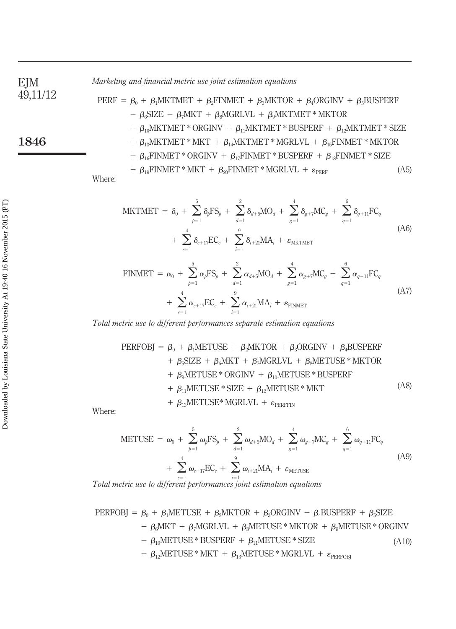EJM 49,11/12

**1846**

*Marketing and financial metric use joint estimation equations*

<span id="page-39-0"></span>\n
$$
\text{PERF} = \beta_0 + \beta_1 \text{MKTMET} + \beta_2 \text{FINMET} + \beta_3 \text{MKTOR} + \beta_4 \text{ORGINV} + \beta_5 \text{BUSPERF}
$$
\n

\n\n $+ \beta_6 \text{SIZE} + \beta_7 \text{MKT} + \beta_8 \text{MGRLVL} + \beta_9 \text{MKTMET} * \text{MKTOR}$ \n

\n\n $+ \beta_{10} \text{MKTMET} * \text{ORGINV} + \beta_{11} \text{MKTMET} * \text{BUSPERF} + \beta_{12} \text{MKTMET} * \text{SIZE}$ \n

\n\n $+ \beta_{13} \text{MKTMET} * \text{MKT} + \beta_{14} \text{MKTMET} * \text{MGRLVL} + \beta_{15} \text{FINMET} * \text{MKTOR}$ \n

\n\n $+ \beta_{16} \text{FINMET} * \text{ORGINV} + \beta_{17} \text{FINMET} * \text{BUSPERF} + \beta_{18} \text{FINMET} * \text{SIZE}$ \n

\n\n $+ \beta_{19} \text{FINMET} * \text{MKT} + \beta_{20} \text{FINMET} * \text{MGRLVL} + \varepsilon_{\text{PERF}}$ \n

\n\n (A5)\n

<span id="page-39-1"></span>Where:

$$
\begin{split} \text{MKTMET} \, &= \delta_0 + \sum_{p=1}^{5} \delta_p \text{FS}_p \, + \, \sum_{d=1}^{2} \delta_{d+5} \text{MO}_d \, + \, \sum_{g=1}^{4} \delta_{g+7} \text{MC}_g \, + \, \sum_{q=1}^{6} \delta_{q+11} \text{FC}_q \\ &+ \, \sum_{c=1}^{4} \delta_{c+17} \text{EC}_c \, + \, \sum_{i=1}^{9} \delta_{i+21} \text{MA}_i \, + \, \varepsilon_{\text{MKTMET}} \end{split} \tag{A6}
$$

$$
\text{FINMET} = \alpha_0 + \sum_{p=1}^{5} \alpha_p \text{FS}_p + \sum_{d=1}^{2} \alpha_{d+5} \text{MO}_d + \sum_{g=1}^{4} \alpha_{g+7} \text{MC}_g + \sum_{q=1}^{6} \alpha_{q+11} \text{FC}_q + \sum_{c=1}^{4} \alpha_{c+17} \text{EC}_c + \sum_{i=1}^{9} \alpha_{i+21} \text{MA}_i + \varepsilon_{\text{FINMET}} \tag{A7}
$$

<span id="page-39-3"></span><span id="page-39-2"></span>*Total metric use to different performances separate estimation equations*

PERFOBJ = 
$$
β_0 + β_1METUSE + β_2MKTOR + β_3ORGINV + β_4BUSPERF
$$
  
+  $β_5SIZE + β_6MKT + β_7MGRLVL + β_8METUSE * MKTOR$   
+  $β_9METUSE * ORGINV + β_{10}METUSE * BUSPERF$   
+  $β_{11}METUSE * SIZE + β_{12}METUSE * MKT$   
+  $β_{13}METUSE * MGRLVL + ε_{PERFFIN}$  (A8)

<span id="page-39-4"></span>Where:

$$
\text{METUSE} = \omega_0 + \sum_{p=1}^{5} \omega_p \text{FS}_p + \sum_{d=1}^{2} \omega_{d+5} \text{MO}_d + \sum_{g=1}^{4} \omega_{g+7} \text{MC}_g + \sum_{q=1}^{6} \omega_{q+11} \text{FC}_q + \sum_{d=1}^{4} \omega_{c+17} \text{EC}_c + \sum_{i=1}^{9} \omega_{i+21} \text{MA}_i + \varepsilon_{\text{METUSE}} \tag{A9}
$$

*c*-1 *i*-1 *Total metric use to different performances joint estimation equations*

<span id="page-39-5"></span>PERFOBJ = 
$$
β_0 + β_1METUSE + β_2MKTOR + β_3ORGINV + β_4BUSPERF + β_5SIZE
$$
  
+  $β_6MKT + β_7MGRLVL + β_8METUSE * MKTOR + β_9METUSE * ORGINV$   
+  $β_{10}METUSE * BUSPERF + β_{11}METUSE * SIZE$   
+  $β_{12}METUSE * MKT + β_{13}METUSE * MGRLVL + ε_{PERFOBJ}$  (A10)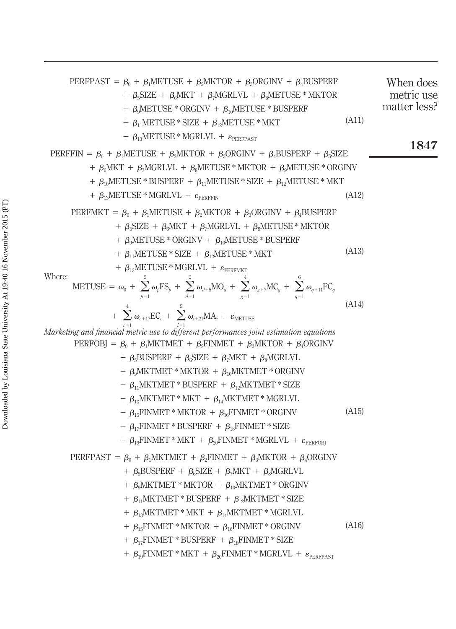<span id="page-40-0"></span>\nPERFFAST = β<sub>θ</sub> + β<sub>θ</sub>METUSE + β<sub>θ</sub>MGRIN + β<sub>θ</sub>ORGINV + β<sub>θ</sub>BUSPERF  
\n
$$
+ βθMETUSE * MKTOR\n
$$
+ βθMETUSE * NISTOR + βθMETUSE * NISTOR\nmatrix = βθ + βθMETUSE * NISTOR\nPERFFIN = βθ + βθMETUSE * MGENV + βθBUSPERF + βSE μ (A11)\n
$$
+ βθMETUSE * SZE + βzMETUSE * MKTOR\nPERFFIN = βθ + βθMETUSE + βθMETUSE * MKTOR + βθMETUSE * NKTOR\n
$$
+ βθMETUSE * DUSTERF + β1METUSE * SIZE + β1METUSE * NKTOR\n
$$
+ βθMETUSE * NGRIVI + βθMETUSE * SIZE + β1METUSE * MKTOR\n
$$
+ βθMETUSE * SIZE + βθMETUSE * MKTOR\n
$$
+ βθMETUSE * SIZE + βθMETUSE * MKTOR\n
$$
+ βθMETUSE * SISE + βθMETUSE * MKTOR\n
$$
+ βθMETUSE * SISE + βθMETUSE * MKTOR\n
$$
+ βθMETUSE * SISE + βθMETUSE * MKTOR\n
$$
+ βθMETUSE * NGRIVI + βθMETUSE * MKTOR\n
$$
+ βθMETUSE * MKTOR + βθNETUSE * NEGIRIV
$$
\n\nWhere:

\n
$$
= \alpha_{\theta} + \beta_{\theta} + \beta_{\theta} + \beta_{\theta} + \beta_{\theta} + \beta_{\theta} + \beta_{\theta} + \beta_{\theta} +
$$
$$
$$
$$
$$
$$
$$
$$
$$
$$
$$
$$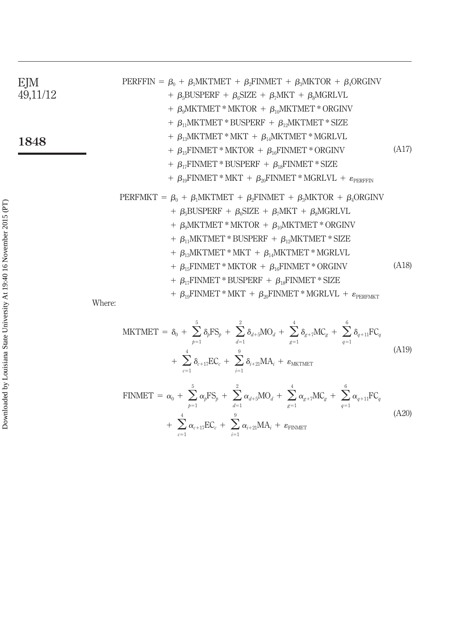| EFIM     | PERFFIN                                                                                      | $\beta_0 + \beta_1\text{MKTMET} + \beta_2\text{FINMET} + \beta_3\text{MKTOR} + \beta_4\text{ORGINV}$ |
|----------|----------------------------------------------------------------------------------------------|------------------------------------------------------------------------------------------------------|
| 49,11/12 | $+ \beta_5\text{BUSPERF} + \beta_6\text{SIZE} + \beta_7\text{MKTMET} + \beta_8\text{MGRLVL}$ |                                                                                                      |
| 49,11/12 | $+ \beta_9\text{MKTMET} * \text{MKTOR} + \beta_{10}\text{MKTMET} * \text{ORGINV}$            |                                                                                                      |
| 1848     | $+ \beta_{13}\text{MKTMET} * \text{MKT} + \beta_{14}\text{MKTMET} * \text{MGRLVL}$           |                                                                                                      |
| 1848     | $+ \beta_{15}\text{FINMET} * \text{MKT} + \beta_{14}\text{MKTMET} * \text{ORGINV}$           |                                                                                                      |
| 1848     | $+ \beta_{15}\text{FINMET} * \text{MKTOR} + \beta_{16}\text{FINMET} * \text{ORGINV}$         |                                                                                                      |
| 1848     | $+ \beta_{15}\text{FINMET} * \text{MKTOR} + \beta_{16}\text{FINMET} * \text{ORGINV}$         |                                                                                                      |
| 1848     | $+ \beta_{15}\text{FINMET} * \text{MKTOR} + \beta_{16}\text{FINMET} * \text{SIZE}$           |                                                                                                      |
| 1848     | $+ \beta_{15}\text{FINMET} * \text{MKTOR} + \beta_{16}\text{FINMET} * \text{SIZE}$           |                                                                                                      |
| 1848     | $+ \beta_{15}\text{FINMET} * \text{MKTOR} + \beta_{16}\text{FINMET} * \text{SIZE}$           |                                                                                                      |
| 1848     | $+ \beta_{16}\text{NINTET} * \text{MKTOR} + \beta_{16}\text{FINMET} * \text{NGRLVL}$         |                                                                                                      |
| 1848     |                                                                                              |                                                                                                      |

Where:

$$
\begin{split} \text{MKTMET} \, &= \, \delta_0 \, + \, \sum_{p=1}^5 \delta_p \text{FS}_p \, + \, \sum_{d=1}^2 \delta_{d+5} \text{MO}_d \, + \, \sum_{g=1}^4 \delta_{g+7} \text{MC}_g \, + \, \sum_{q=1}^6 \delta_{q+11} \text{FC}_q \\ &+ \, \sum_{c=1}^4 \delta_{c+17} \text{EC}_c \, + \, \sum_{i=1}^9 \delta_{i+21} \text{MA}_i \, + \, \varepsilon_{\text{MKTMET}} \end{split} \tag{A19}
$$

$$
\text{FINMET} = \alpha_0 + \sum_{p=1}^{5} \alpha_p \text{FS}_p + \sum_{d=1}^{2} \alpha_{d+5} \text{MO}_d + \sum_{g=1}^{4} \alpha_{g+7} \text{MC}_g + \sum_{q=1}^{6} \alpha_{q+11} \text{FC}_q + \sum_{c=1}^{4} \alpha_{c+17} \text{EC}_c + \sum_{i=1}^{9} \alpha_{i+21} \text{MA}_i + \varepsilon_{\text{FINMET}} \tag{A20}
$$

-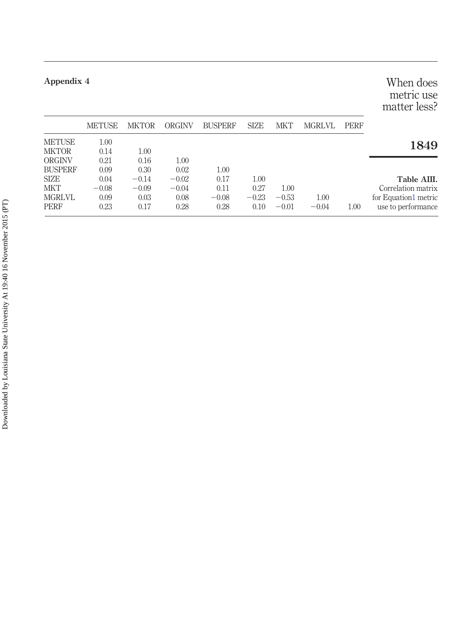<span id="page-42-0"></span>

|                |               |              |         |                |             |            |               |             | matter less?         |
|----------------|---------------|--------------|---------|----------------|-------------|------------|---------------|-------------|----------------------|
|                | <b>METUSE</b> | <b>MKTOR</b> | ORGINV  | <b>BUSPERF</b> | <b>SIZE</b> | <b>MKT</b> | <b>MGRLVL</b> | <b>PERF</b> |                      |
| <b>METUSE</b>  | 1.00          |              |         |                |             |            |               |             | 1849                 |
| <b>MKTOR</b>   | 0.14          | 1.00         |         |                |             |            |               |             |                      |
| ORGINV         | 0.21          | 0.16         | 1.00    |                |             |            |               |             |                      |
| <b>BUSPERF</b> | 0.09          | 0.30         | 0.02    | 1.00           |             |            |               |             |                      |
| <b>SIZE</b>    | 0.04          | $-0.14$      | $-0.02$ | 0.17           | 1.00        |            |               |             | Table AIII.          |
| <b>MKT</b>     | $-0.08$       | $-0.09$      | $-0.04$ | 0.11           | 0.27        | 1.00       |               |             | Correlation matrix   |
| <b>MGRLVL</b>  | 0.09          | 0.03         | 0.08    | $-0.08$        | $-0.23$     | $-0.53$    | 1.00          |             | for Equation1 metric |
| <b>PERF</b>    | 0.23          | 0.17         | 0.28    | 0.28           | 0.10        | $-0.01$    | $-0.04$       | 1.00        | use to performance   |

When does metric use

#### **Appendix 4**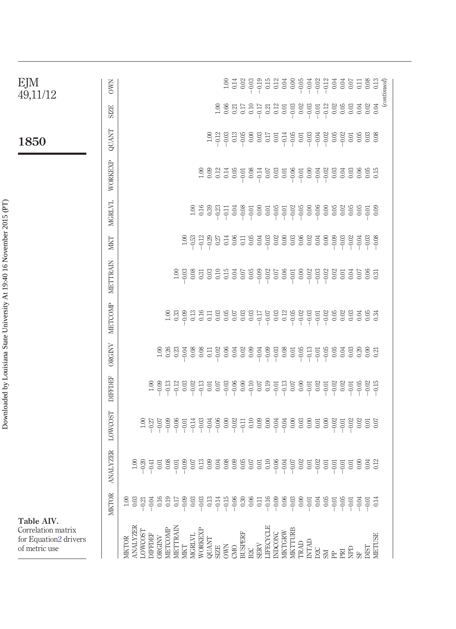| EJM<br>49,11/12                                                            | <b>OWN</b>      |                          |                                                                                                                                                                                                                                                                                                                                                                                                                |               |                                      |                           |         |               |                                                       |                                        | $\sum_{i=1}^{n}$ | 0.02<br>614                                                                                                                                                                                                                                                                                                                                    | $-0.03$          |             | $\frac{1}{2}$ $\frac{15}{2}$ $\frac{13}{2}$ $\frac{3}{2}$ $\frac{3}{2}$ $\frac{3}{2}$ |                                                                                 |                                                             | $-0.05$<br>$-0.04$ | $-0.02$ | $-0.12$<br>0.04                                                                                                                                                                                                                                                                                                                                                                       |         | 0.04    | 0.07    | $\overline{0}$                | 0.08    | 0.13     | $\emph{(continued)}$ |
|----------------------------------------------------------------------------|-----------------|--------------------------|----------------------------------------------------------------------------------------------------------------------------------------------------------------------------------------------------------------------------------------------------------------------------------------------------------------------------------------------------------------------------------------------------------------|---------------|--------------------------------------|---------------------------|---------|---------------|-------------------------------------------------------|----------------------------------------|------------------|------------------------------------------------------------------------------------------------------------------------------------------------------------------------------------------------------------------------------------------------------------------------------------------------------------------------------------------------|------------------|-------------|---------------------------------------------------------------------------------------|---------------------------------------------------------------------------------|-------------------------------------------------------------|--------------------|---------|---------------------------------------------------------------------------------------------------------------------------------------------------------------------------------------------------------------------------------------------------------------------------------------------------------------------------------------------------------------------------------------|---------|---------|---------|-------------------------------|---------|----------|----------------------|
|                                                                            | <b>SIZE</b>     |                          |                                                                                                                                                                                                                                                                                                                                                                                                                |               |                                      |                           |         |               |                                                       | 1.00<br>0.66                           |                  | $0.21$<br>$0.17$<br>$0.10$                                                                                                                                                                                                                                                                                                                     |                  |             | $-0.17$<br>0.21<br>0.12                                                               |                                                                                 | $\begin{array}{c} 0.01 \\ 0.03 \\ 0.03 \\ 0.03 \end{array}$ |                    | $-0.01$ | $-0.12$                                                                                                                                                                                                                                                                                                                                                                               | 0.02    | 0.05    | 0.03    | 0.04                          | 0.02    | $0.04\,$ |                      |
| 1850                                                                       | QUANT           |                          |                                                                                                                                                                                                                                                                                                                                                                                                                |               |                                      |                           |         |               |                                                       |                                        |                  | $3.028$ $3.028$ $3.028$ $3.028$ $3.028$ $3.028$ $3.028$ $3.028$ $3.028$ $3.028$ $3.028$ $3.028$ $3.028$ $3.028$ $3.028$ $3.028$ $3.028$ $3.028$ $3.028$ $3.028$ $3.028$ $3.028$ $3.028$ $3.028$ $3.028$ $3.028$ $3.028$ $3.02$                                                                                                                 |                  |             |                                                                                       |                                                                                 |                                                             |                    |         |                                                                                                                                                                                                                                                                                                                                                                                       |         |         |         |                               |         |          |                      |
|                                                                            | WORKEXP         |                          |                                                                                                                                                                                                                                                                                                                                                                                                                |               |                                      |                           |         |               | $\frac{0.00}{0.09}$                                   | $0.12$<br>$0.14$                       |                  |                                                                                                                                                                                                                                                                                                                                                |                  |             |                                                                                       |                                                                                 |                                                             |                    |         |                                                                                                                                                                                                                                                                                                                                                                                       |         |         |         |                               |         |          |                      |
|                                                                            | <b>MGRLVL</b>   |                          |                                                                                                                                                                                                                                                                                                                                                                                                                |               |                                      |                           |         |               | $\begin{array}{c} 0.00 \\ 0.10 \\ 0.39 \end{array}$   | $-0.23$                                |                  |                                                                                                                                                                                                                                                                                                                                                |                  |             |                                                                                       |                                                                                 |                                                             |                    |         |                                                                                                                                                                                                                                                                                                                                                                                       |         |         |         |                               |         |          |                      |
|                                                                            | <b>NIKT</b>     |                          |                                                                                                                                                                                                                                                                                                                                                                                                                |               |                                      |                           |         |               |                                                       |                                        |                  |                                                                                                                                                                                                                                                                                                                                                |                  |             |                                                                                       |                                                                                 |                                                             |                    |         | 0.00                                                                                                                                                                                                                                                                                                                                                                                  | $-0.09$ | $-0.03$ | $-0.02$ | $-0.03$<br>$-0.03$<br>$-0.08$ |         |          |                      |
|                                                                            | <b>METTRAIN</b> |                          |                                                                                                                                                                                                                                                                                                                                                                                                                |               |                                      | 1.00                      | $-0.03$ |               |                                                       |                                        |                  |                                                                                                                                                                                                                                                                                                                                                |                  |             |                                                                                       |                                                                                 |                                                             |                    |         |                                                                                                                                                                                                                                                                                                                                                                                       |         |         |         |                               |         |          |                      |
|                                                                            | <b>METCOMP</b>  |                          |                                                                                                                                                                                                                                                                                                                                                                                                                |               |                                      | $\frac{8}{10}$ 38<br>0.99 |         | $\frac{3}{2}$ | 0.16                                                  |                                        |                  |                                                                                                                                                                                                                                                                                                                                                |                  |             | $\begin{array}{r} -0.17 \\ -0.07 \\ 0.03 \\ 0.12 \\ -0.07 \\ 0.0 \\ \end{array}$      |                                                                                 |                                                             |                    |         | $\begin{array}{r} 0.02 \\ 0.03 \\ 0.03 \\ 0.01 \\ 0.02 \\ 0.03 \\ 0.04 \\ 0.05 \\ 0.04 \\ 0.05 \\ 0.04 \\ 0.04 \\ 0.05 \\ 0.04 \\ 0.05 \\ 0.05 \\ 0.06 \\ 0.07 \\ 0.08 \\ 0.07 \\ 0.08 \\ 0.08 \\ 0.08 \\ 0.08 \\ 0.08 \\ 0.08 \\ 0.08 \\ 0.08 \\ 0.08 \\ 0.08 \\ 0.08 \\ 0.08 \\ 0.08 \\ 0.08 \\ 0.08 \\ 0.$                                                                         |         |         |         | 0.83383                       |         |          |                      |
|                                                                            | ORGINV          |                          |                                                                                                                                                                                                                                                                                                                                                                                                                |               | $1.36$<br>$0.23$<br>$0.33$<br>$0.04$ |                           |         | 0.08          | 0.08<br>$0.11\,$                                      |                                        |                  | $-0.08$<br>$-0.05$<br>$-0.08$<br>$-0.08$<br>$-0.08$                                                                                                                                                                                                                                                                                            |                  |             | $\begin{array}{r} 0.04 \\ 0.003 \\ 0.003 \\ 0.003 \\ 0.001 \\ \end{array}$            |                                                                                 |                                                             | $-0.05$<br>$-0.13$ | $-0.01$ | $-0.05$                                                                                                                                                                                                                                                                                                                                                                               | 0.05    |         |         | <b>S</b><br>SSSS<br>SSSS      |         |          |                      |
|                                                                            | <b>DIFFDEF</b>  |                          | 1.00                                                                                                                                                                                                                                                                                                                                                                                                           |               | $-0.09$<br>$-0.13$                   | $-0.12$                   |         |               | $\begin{array}{c} 0.03 \\ -0.02 \\ -0.13 \end{array}$ |                                        |                  | $\begin{array}{r} 0.07 \\ 0.07 \\ -0.06 \\ -0.05 \\ 0.07 \\ -0.07 \\ -0.07 \\ -0.07 \\ -0.07 \\ -0.07 \\ -0.07 \\ -0.07 \\ -0.07 \\ -0.07 \\ -0.07 \\ -0.07 \\ -0.07 \\ -0.07 \\ -0.07 \\ -0.07 \\ -0.07 \\ -0.07 \\ -0.07 \\ -0.07 \\ -0.07 \\ -0.07 \\ -0.07 \\ -0.07 \\ -0.07 \\ -0.07 \\ -0.07 \\ -0.07 \\ -0.07 \\ -0.07 \\ -0.07 \\ -0.$ |                  |             |                                                                                       |                                                                                 |                                                             | $-0.00$            | 0.02    | $-0.01$                                                                                                                                                                                                                                                                                                                                                                               | $-0.02$ | 0.02    | $-0.01$ | $-0.05$                       | $-0.02$ | $-0.15$  |                      |
|                                                                            | LOWCOST         |                          | $\begin{array}{l} S \hskip -2pt / 8 \hskip -2pt / 8 \hskip -2pt / 8 \hskip -2pt / 8 \hskip -2pt / 8 \hskip -2pt / 8 \hskip -2pt / 8 \hskip -2pt / 8 \hskip -2pt / 8 \hskip -2pt / 8 \hskip -2pt / 8 \hskip -2pt / 8 \hskip -2pt / 8 \hskip -2pt / 8 \hskip -2pt / 8 \hskip -2pt / 8 \hskip -2pt / 8 \hskip -2pt / 8 \hskip -2pt / 8 \hskip -2pt / 8 \hskip -2pt / 8 \hskip -2pt / 8 \hskip -2pt / 8 \hskip -2$ |               |                                      |                           |         |               |                                                       |                                        |                  |                                                                                                                                                                                                                                                                                                                                                |                  |             |                                                                                       |                                                                                 |                                                             |                    |         |                                                                                                                                                                                                                                                                                                                                                                                       |         |         | $-0.02$ | $0.02$<br>$0.07$              |         |          |                      |
|                                                                            | <b>ANALYZER</b> |                          | $\begin{array}{l} 8.84 \pm 0.84 \\ -0.64 \pm 0.84 \\ -0.64 \pm 0.84 \\ -0.64 \pm 0.84 \\ -0.64 \pm 0.84 \\ -0.64 \pm 0.84 \\ -0.64 \pm 0.84 \\ -0.64 \pm 0.84 \\ -0.64 \pm 0.84 \\ -0.64 \pm 0.84 \\ -0.64 \pm 0.84 \\ -0.64 \pm 0.84 \\ -0.64 \pm 0.84 \\ -0.64 \pm 0.84 \\ -0.64 \pm 0.84 \\ -0.64 \pm 0.84 \\ -0.64$                                                                                        |               |                                      |                           |         |               |                                                       |                                        |                  |                                                                                                                                                                                                                                                                                                                                                |                  |             |                                                                                       |                                                                                 |                                                             |                    |         | $\begin{array}{c}\n 88 \\  -0.000 \\  -0.000 \\  -0.000 \\  -0.000 \\  -0.000 \\  -0.000 \\  -0.000 \\  -0.000 \\  -0.000 \\  -0.000 \\  -0.000 \\  -0.000 \\  -0.000 \\  -0.000 \\  -0.000 \\  -0.000 \\  -0.000 \\  -0.000 \\  -0.000 \\  -0.000 \\  -0.000 \\  -0.000 \\  -0.000 \\  -0.000 \\  -0.000 \\  -0.000 \\  -0.000 \\  -0.000 \\  -0.000 \\  -0.00$                      |         |         |         | 588                           |         | 0.12     |                      |
|                                                                            | <b>MKTOR</b>    |                          |                                                                                                                                                                                                                                                                                                                                                                                                                |               |                                      |                           |         |               |                                                       |                                        |                  |                                                                                                                                                                                                                                                                                                                                                |                  |             |                                                                                       |                                                                                 |                                                             |                    |         |                                                                                                                                                                                                                                                                                                                                                                                       |         | $-0.05$ |         | $-0.04$                       | $-0.01$ |          |                      |
| Table AIV.<br>Correlation matrix<br>for Equation2 drivers<br>of metric use |                 | ANALYZEK<br><b>MKTOR</b> | <b>TSOOMOC</b><br>DIFFDEF                                                                                                                                                                                                                                                                                                                                                                                      | <b>DRGINV</b> | <b>AETCOMP</b>                       | METTRAIN                  | MKT     | <b>MGRLVL</b> |                                                       | WORKEXP<br>QUANT<br>SIZE<br>OWN<br>OWN |                  | <b>BUSPERF</b>                                                                                                                                                                                                                                                                                                                                 | B <sub>2</sub> C | <b>SERV</b> | <b>JFECYCLE</b>                                                                       | $\begin{array}{ll} \text{NDONC} \\ \text{MKTGRW} \\ \text{MKTTURB} \end{array}$ |                                                             |                    |         | $\begin{array}{l} \tt{RAD} \\ \tt{RFAD} \\ \tt{D} \\ \tt{M} \\ \tt{M} \\ \tt{M} \\ \tt{M} \\ \tt{M} \\ \tt{M} \\ \tt{M} \\ \tt{M} \\ \tt{M} \\ \tt{M} \\ \tt{M} \\ \tt{M} \\ \tt{M} \\ \tt{M} \\ \tt{M} \\ \tt{M} \\ \tt{M} \\ \tt{M} \\ \tt{M} \\ \tt{M} \\ \tt{M} \\ \tt{M} \\ \tt{M} \\ \tt{M} \\ \tt{M} \\ \tt{M} \\ \tt{M} \\ \tt{M} \\ \tt{M} \\ \tt{M} \\ \tt{M} \\ \tt{M} \\$ |         |         |         |                               | DIST    | VIETUSE  |                      |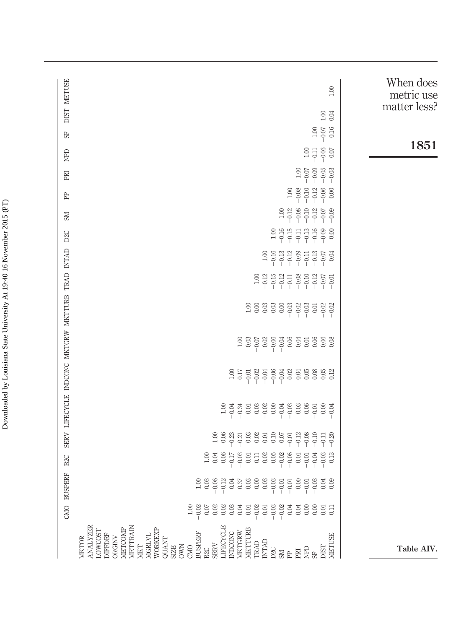| DIST METUSE                                      | $1.00\,$                                                                                                                                                                                                                                                                                                                                                                                                                                                                                                                                                                                                                                                                                                                                                                         | When does<br>metric use |
|--------------------------------------------------|----------------------------------------------------------------------------------------------------------------------------------------------------------------------------------------------------------------------------------------------------------------------------------------------------------------------------------------------------------------------------------------------------------------------------------------------------------------------------------------------------------------------------------------------------------------------------------------------------------------------------------------------------------------------------------------------------------------------------------------------------------------------------------|-------------------------|
|                                                  | $1.00$<br>$0.04$                                                                                                                                                                                                                                                                                                                                                                                                                                                                                                                                                                                                                                                                                                                                                                 | matter less?            |
| 55                                               | 0.16<br>$-0.07$<br>$1.00\,$                                                                                                                                                                                                                                                                                                                                                                                                                                                                                                                                                                                                                                                                                                                                                      |                         |
| <b>QaN</b>                                       | $-0.11$<br>$-0.06$<br>0.07<br>1.00                                                                                                                                                                                                                                                                                                                                                                                                                                                                                                                                                                                                                                                                                                                                               | 1851                    |
| PRI                                              | $\begin{array}{r} 1.00 \\ -0.07 \\ -0.09 \\ -0.05 \\ -0.05 \\ \end{array}$                                                                                                                                                                                                                                                                                                                                                                                                                                                                                                                                                                                                                                                                                                       |                         |
| È                                                | $-0.08$<br>$-0.10$<br>$-0.12$<br>$-0.06$<br>0.00                                                                                                                                                                                                                                                                                                                                                                                                                                                                                                                                                                                                                                                                                                                                 |                         |
| MS                                               | $-0.10$<br>$-0.12$<br>$-0.07$<br>$-0.09$<br>$-0.12$<br>$-0.08$<br>1.00                                                                                                                                                                                                                                                                                                                                                                                                                                                                                                                                                                                                                                                                                                           |                         |
| D <sub>2C</sub>                                  | $\begin{array}{c} 1.00 \\ -0.15 \\ -0.11 \\ -0.13 \\ -0.13 \\ 0.09 \\ 0.00 \\ 0.00 \\ -0.00 \\ 0.00 \\ -0.00 \\ 0.00 \\ -0.00 \\ 0.00 \\ -0.00 \\ 0.00 \\ -0.00 \\ -0.00 \\ -0.00 \\ -0.00 \\ -0.00 \\ -0.00 \\ -0.00 \\ -0.00 \\ -0.00 \\ -0.00 \\ -0.00 \\ -0.00 \\ -0.00 \\ -0.00 \\ -0.00 \\ -0.00 \\ -0.00 \\ -0.00 \\ -0.00 \\ -0.$                                                                                                                                                                                                                                                                                                                                                                                                                                        |                         |
|                                                  | $\begin{array}{c} 1.08 \\ -0.07 \\ -0.07 \\ -0.07 \\ -0.07 \\ -0.07 \\ -0.07 \\ -0.07 \\ -0.07 \\ -0.07 \\ -0.07 \\ -0.07 \\ -0.07 \\ -0.07 \\ -0.07 \\ -0.07 \\ -0.07 \\ -0.07 \\ -0.07 \\ -0.07 \\ -0.07 \\ -0.07 \\ -0.07 \\ -0.07 \\ -0.07 \\ -0.07 \\ -0.07 \\ -0.07 \\ -0.07 \\ -0.07 \\ -0.07 \\ -0.07 \\ -0.07 \\ -0.07 \\ -0.07 \\ -0.$                                                                                                                                                                                                                                                                                                                                                                                                                                 |                         |
|                                                  |                                                                                                                                                                                                                                                                                                                                                                                                                                                                                                                                                                                                                                                                                                                                                                                  |                         |
|                                                  |                                                                                                                                                                                                                                                                                                                                                                                                                                                                                                                                                                                                                                                                                                                                                                                  |                         |
| SERV LIFECYCLE INDCONC MKTGRW MKTTURE TRAD INTAD | $\begin{array}{r} 1.03 \\ 1.03 \\ 0.03 \\ 0.04 \\ 0.05 \\ 0.07 \\ 0.08 \\ 0.07 \\ 0.07 \\ 0.08 \\ 0.03 \\ 0.08 \\ 0.008 \\ 0.008 \\ 0.008 \\ 0.008 \\ 0.008 \\ 0.008 \\ 0.008 \\ 0.008 \\ 0.008 \\ 0.008 \\ 0.008 \\ 0.008 \\ 0.008 \\ 0.008 \\ 0.008 \\ 0.008 \\ 0.008 \\ 0.008 \\ 0.008 \\ 0.008 \\ $                                                                                                                                                                                                                                                                                                                                                                                                                                                                          |                         |
|                                                  | $\begin{array}{l} 1.75 \\ 1.75 \\ -0.75 \\ -0.01 \\ -0.01 \\ -0.01 \\ -0.01 \\ -0.01 \\ -0.01 \\ -0.01 \\ -0.01 \\ -0.01 \\ -0.01 \\ -0.01 \\ -0.01 \\ -0.01 \\ -0.01 \\ -0.01 \\ -0.01 \\ -0.01 \\ -0.01 \\ -0.01 \\ -0.01 \\ -0.01 \\ -0.01 \\ -0.01 \\ -0.01 \\ -0.01 \\ -0.01 \\ -0.01 \\ -0.01 \\ -0.01 \\ -0.01 \\ -0.01 \\ -0.01 \\ -0.$                                                                                                                                                                                                                                                                                                                                                                                                                                  |                         |
|                                                  |                                                                                                                                                                                                                                                                                                                                                                                                                                                                                                                                                                                                                                                                                                                                                                                  |                         |
|                                                  | $-0.08$<br>001<br>$-0.10$<br>$-0.11$<br>$-0.20$                                                                                                                                                                                                                                                                                                                                                                                                                                                                                                                                                                                                                                                                                                                                  |                         |
| B <sub>2</sub> C                                 | $-0.03$<br>$-0.03$                                                                                                                                                                                                                                                                                                                                                                                                                                                                                                                                                                                                                                                                                                                                                               |                         |
|                                                  |                                                                                                                                                                                                                                                                                                                                                                                                                                                                                                                                                                                                                                                                                                                                                                                  |                         |
| CMO BUSPERF                                      |                                                                                                                                                                                                                                                                                                                                                                                                                                                                                                                                                                                                                                                                                                                                                                                  |                         |
|                                                  | $\begin{array}{l} 8985 \\ 1996 \\ 2097 \\ 3098 \\ 4099 \\ 5099 \\ 6099 \\ 6099 \\ 6099 \\ 6099 \\ 6099 \\ 6099 \\ 6099 \\ 6099 \\ 6099 \\ 6099 \\ 6099 \\ 6099 \\ 6099 \\ 6099 \\ 6099 \\ 6099 \\ 6099 \\ 6099 \\ 6099 \\ 6099 \\ 6099 \\ 6099 \\ 6099 \\ 6099 \\ 6099 \\ 6099 \\ 6099 \\ 6099 \\ 6099 \\ 60$                                                                                                                                                                                                                                                                                                                                                                                                                                                                    |                         |
|                                                  | ANALYZER<br>METCOMP<br>METTRAIN<br>$\begin{array}{ll} \text{BUSPERF} \\ \text{B2C} \\ \text{SERV} \\ \text{LIFECYCLE} \end{array}$<br>$\begin{array}{c} \text{MGRLVL} \\ \text{WOKEXP} \\ \text{QUANT} \\ \text{SIZE} \end{array}$<br>$\begin{array}{l} \tt{NDCONG} \\ \tt{MKTURB} \\ \tt{MKTTURB} \\ \tt{TRAD} \\ \tt{DAC} \\ \tt{DCA} \\ \tt{DCA} \\ \tt{DCA} \\ \tt{M} \\ \tt{N} \\ \tt{P} \\ \tt{N} \\ \tt{N} \\ \tt{N} \\ \tt{N} \\ \tt{N} \\ \tt{N} \\ \tt{N} \\ \tt{N} \\ \tt{N} \\ \tt{N} \\ \tt{N} \\ \tt{N} \\ \tt{N} \\ \tt{N} \\ \tt{N} \\ \tt{N} \\ \tt{N} \\ \tt{N} \\ \tt{N} \\ \tt{N} \\ \tt{N} \\ \tt{N} \\ \$<br>$\begin{array}{ll} \text{LOWCOST} \\ \text{DIFFE} \\ \text{ORGINV} \end{array}$<br>DIST<br>METUSE<br><b>MKTOR</b><br>MKT<br><b>OWN</b><br>CMO | Table AIV.              |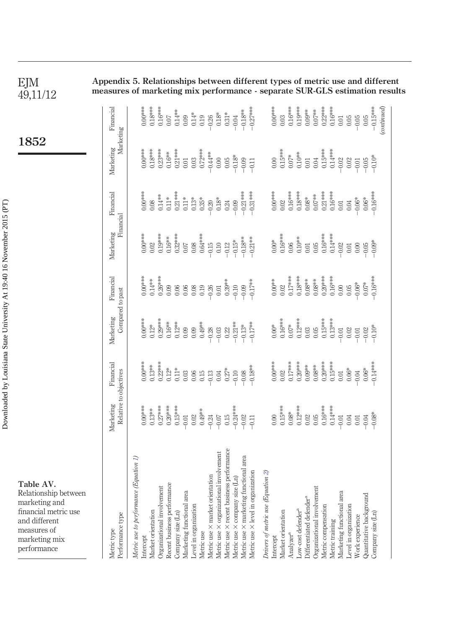| EIM      |  |
|----------|--|
| 49.11/12 |  |

**Appendix 5. Relationships between different types of metric use and different measures of marketing mix performance - separate SUR-GLS estimation results**

**1852**

 $\begin{array}{r} 0.008\# \\ 0.03\# \\ 0.16\# \\ 0.19\# \\ 0.03\# \\ 0.009\# \\ 0.007\# \\ 0.16\# \\ 0.01\# \\ 0.05\# \\ 0.05\# \\ -0.05\# \\ -0.05\# \\ 0.05\# \\ -0.05\# \\ 0.05\# \\ -0.05\# \\ 0.05\# \\ 0.05\# \\ 0.05\# \\ 0.05\# \\ 0.05\# \\ 0.05\# \\ 0.05\# \\ 0.05\# \\ 0.05\# \\ 0$ (*continued*) Financial Metric type Marketing Financial Marketing Financial Marketing Financial Marketing Financial Intercept 0.00\*\*\* 0.00\*\*\* 0.00\*\*\* 0.00\*\*\* 0.00\*\*\* 0.00\*\*\* 0.00\*\*\* 0.00\*\*\* Market orientation 0.13\*\*\* 0.13\*\* 0.13\*\* 0.13\*\* 0.13\*\* 0.13\*\* 0.13\*\* 0.18 0.08 0.08 0.08 0.18\*\*\*\* 0.18\* \*\*\*\*\*.01.0 10000122200211200012220021102012120021222012120212120212120212120212120212021202012020120 level in organization 0.11 0.18\*\* 0.17\*\* 0.17\*\* 0.21\*\* 0.31\*\*\* 0.11 0.27\*\*\* Intercept 0.00 0.00\*\*\* 0.00\* 0.00\*\* 0.00\* 0.00\*\*\* 0.00 0.00\*\*\* \*\*\*\*\*91.0 \*\*\*\*9.10 90.0 \*\*\*\*LTO \*\*\*\*LTO \*\*\*\*LTO \*\*80.0 \*\*\*\*6LO \*\*\*6LIO \*\*\*6JLO \*\*\*6JLO \*\*\*\*6LIO \*\*\*\*6LIO \*\*\*\*6LiO \*\*\*\*6LiO \*\*\*\*6LIO \*\*\*\*\*\*\*\* 0.20\*\*\* 0.20\*\*\* 0.20\*\*\* 0.20\*\*\*\*\*\*\* 0.20\*\*\*\*\*\*\* 0.20\*\*\*\*\*\*\* 0.20\*\*\*\*\*\*\* 0.21\*\*\*\*\* 0.21\*\*\*\*\* 0.22\*\*\*\*\* Metric training 0.14\*\*\* 0.15\*\*\* 0.13\*\*\* 0.16\*\*\* 0.14\*\*\* 0.16\*\*\* 0.14\*\*\* 0.16\*\*\* Company size (Ln) 0.08\* 0.14\*\*\* 0.10\* 0.16\*\*\* 0.09\* 0.16\*\*\* 0.10\* 0.15\*\*\* Company size (10.01 and the size of the size of the company of the size of the company of the company of the company of the company of the company of the company of the company of the company of the company of the company marketing functional area 0.02 0.08 0.13\* 0.09 0.18\*\* 0.21\*\*\* 0.09 0.18\*\* Differentiated defendera 0.02 0.09\*\* 0.03 0.08\*\* 0.01 0.08\* 0.01 0.09\*\* Organizational involvement 0.05 0.08\*\* 0.05 0.08\*\* 0.05 0.07\*\* 0.04 0.07\*\* Level in organization 0.02 0.06 0.09 0.08 0.08 0.13\* 0.03 0.14\* organizational involvement 0.07 0.04 0.03 0.01 0.10 0.18\* 0.00 0.18\* recent business performance 0.15 0.27\* 0.22 0.39\*\* 0.12 0.24 0.05 0.31\* Marketing Finar<br>Marketing Recent business performance 0.20\*\*\* 0.12\* 0.16\*\* 0.09 0.16\*\* 0.11\* 0.16\*\* 0.07 Marketing functional area 0.01 0.03 0.09 0.06 0.07 0.11\* 0.01 0.09 Metric use 0.49\*\* 0.15 0.49\*\* 0.19 0.64\*\*\* 0.35\* 0.72\*\*\* 0.19 market orientation 0.24 0.13 0.28 0.26 0.15 0.20 0.44\*\* 0.26 company size (Ln) 0.24\*\*\* 0.10 0.21\*\* 0.10 0.15\* 0.09 0.18\* 0.04 Market orientation 0.15\*\*\* 0.02 0.16\*\*\* 0.02 0.16\*\*\* 0.02 0.15\*\*\* 0.03 Marketing functional area 0.01 0.01 0.01 0.00 0.02 0.01 0.02 0.01 0.05 0.02 0.05 0.04 0.05 0.04 0.05 0.04 0.05 0.04 0.05 0.04 0.05 0.04 0.05 0.02 0.02 0.02 0.02 0.02 0.02 0.04 Work experience 0.01 0.04 0.01 0.06\* 0.00 0.06\* 0.01 0.05 Quantitative background 0.04 0.06\* 0.02 0.07\* 0.05 0.06\* 0.05 0.05 Performance type **Relative to objectives** Compared to past Financial Relating Marketing  $\begin{array}{cccccc} 0.03* & 0.00000 & 0.00000 & 0.00000 & 0.00000 & 0.00000 & 0.00000 & 0.00000 & 0.00000 & 0.00000 & 0.00000 & 0.00000 & 0.00000 & 0.00000 & 0.00000 & 0.0000 & 0.0000 & 0.0000 & 0.0000 & 0.0000 & 0.0000 & 0.0000 & 0.0000 & 0.0000 & 0.0000$  $0.00$   $0.000$   $0.0000$   $0.0000$   $0.0000$   $0.0000$   $0.0000$   $0.0000$   $0.0000$   $0.0000$   $0.0000$   $0.0000$   $0.0000$   $0.0000$   $0.0000$   $0.0000$ Financial  $\begin{array}{r} 0.00^{***} \\ 0.08 \\ 0.11^{**} \\ 0.11^{**} \\ 0.21^{**} \\ 0.11^{**} \\ 0.11^{**} \\ 0.35^{**} \\ 0.20 \\ 0.32 \\ 0.24 \\ 0.21^{***} \\ 0.21^{***} \\ 0.21^{***} \\ 0.21^{***} \\ 0.21^{***} \\ 0.21^{***} \\ 0.21^{***} \\ 0.22^{***} \\ 0.22^{***} \\ 0.22^{***} \\ 0.22^{***} \\ 0.22^{***} \\ 0.22^{***} \\ 0.22^{***} \\$  $\begin{array}{r} 0.00^{***} \\ 0.02 \\ 0.16^{***} \\ 0.18^{***} \\ 0.08^{***} \\ 0.08^{***} \\ 0.008^{**} \\ 0.010^{***} \\ 0.010^{***} \\ 0.010^{***} \\ 0.004 \\ 0.06^{**} \\ 0.06^{**} \\ 0.06^{**} \\ 0.07 \\ 0.004 \\ 0.003^{***} \\ \end{array}$ Marketing Fina<br>Financial \*\*<br>
0.02<br>
0.02<br>
0.03<br>
0.03<br>
0.03<br>
0.03<br>
0.03<br>
0.03<br>
0.03<br>
0.03<br>
0.03<br>
0.03<br>
0.03<br>
0.03<br>
0.03<br>
0.03<br>
0.03<br>
0.03<br>
0.03<br>
0.03<br>
0.03<br>
0.03<br>
0.03<br>
0.03<br>
0.03<br>
0.03<br>
0.03<br>
0.03<br>
0.03<br>
0.03<br>
0.03<br>
0.03<br>
0.03<br>
0.03<br>
0.03<br>
0.03<br>
0  $\begin{array}{l} 0.00^{***} \\ 0.14^{***} \\ 0.26^{***} \\ 0.09 \\ 0.06 \\ 0.06 \\ 0.08 \\ 0.07 \\ 0.09 \\ 0.08 \\ 0.09 \\ 0.01 \\ 0.01 \\ 0.03 \\ 0.07 \\ 0.01 \\ 0.03 \\ 0.04 \\ 0.00 \\ 0.01 \\ 0.01 \\ 0.01 \\ 0.03 \\ 0.04 \\ 0.00 \\ 0.00 \\ 0.00 \\ 0.00 \\ 0.00 \\ 0.00 \\ 0.00 \\ 0.00 \\ 0.00 \\ 0.00 \\$  $\begin{array}{r} 0.00^{4*}\\ 0.02\\ 0.12^{4*} \\ 0.13^{4*} \\ 0.18^{4*} \\ 0.08^{4*} \\ 0.08^{4*} \\ 0.08^{4*} \\ 0.004^{4*} \\ 0.005 \\ 0.005 \\ 0.005 \\ 0.07^{*} \\ 0.07^{*} \\ 0.07^{*} \\ 0.07^{*} \\ 0.07^{*} \\ 0.07^{*} \\ 0.07^{*} \\ 0.07^{*} \\ 0.07^{*} \\ 0.07^{*} \\ 0.07^{*} \\ 0.07^{*$ Financial Compared to past Marketing Financial  $\begin{array}{r} 0.00^{***} \\ 0.02 \\ 0.17^{***} \\ 0.30^{***} \\ 0.03^{***} \\ 0.03^{***} \\ 0.03^{***} \\ 0.03^{***} \\ 0.03^{***} \\ 0.03^{***} \\ 0.03^{***} \\ 0.03^{***} \\ 0.03^{***} \\ 0.03^{***} \\ 0.03^{***} \\ 0.03^{***} \\ 0.03^{***} \\ 0.03^{***} \\ 0.03^{***} \\ 0.03^{***} \\ 0.03^{***} \\ 0.03^{***} \\ 0.03^{***} \\ 0.03^{***} \\$ Marketing Financi<br>Relative to objectives  $\begin{array}{l} 0.03\overset{**}{\rightarrow} \\ 0.23\overset{**}{\rightarrow} \\ 0.25\overset{**}{\rightarrow} \\ 0.26\overset{**}{\rightarrow} \\ 0.05\overset{**}{\rightarrow} \\ 0.05\overset{**}{\rightarrow} \\ 0.05\overset{**}{\rightarrow} \\ 0.05\overset{**}{\rightarrow} \\ 0.05\overset{**}{\rightarrow} \\ 0.05\overset{**}{\rightarrow} \\ 0.05\overset{**}{\rightarrow} \\ 0.05\overset{**}{\rightarrow} \\ 0.02\overset{**}{\rightarrow} \\ 0.02\overset{**}{\rightarrow} \\ 0.$  $0.00$ <br>  $0.15$ <br>  $0.000$ <br>  $0.000$ <br>  $0.000$ <br>  $0.000$ <br>  $0.000$ <br>  $0.000$ <br>  $0.000$ <br>  $0.000$ <br>  $0.000$ <br>  $0.000$ <br>  $0.000$ <br>  $0.000$ <br>  $0.000$ <br>  $0.000$ <br>  $0.000$ Metric use × recent business performance Metric use × organizational involvement Metric use × marketing functional area Metric use to performance (Equation 1) *Metric use to performance (Equation [1\)](#page-12-0)* Metric use × level in organization Drivers of metric use (Equation 2) *Drivers of metric use (Equation [2\)](#page-12-1)* Metric use  $\times$  market orientation Metric use  $\times$  company size (Ln) Recent business performance Organizational involvement Organizational involvement Marketing functional area Marketing functional area Quantitative background Differentiated defender<sup>a</sup> Level in organization Metric compensation Level in organization Low-cost defender<sup>a</sup> Market orientation Company size (Ln) Market orientation Company size (Ln) Performance type Work experience Metric training Metric use  $\times$ Metric use  $\times$ Metric use  $\times$ Metric use  $\times$ Metric use  $\times$ Metric use  $\times$ Metric type Metric use Analyzer<sup>a</sup> Intercept Intercept

Downloaded by Louisiana State University At 19:40 16 November 2015 (PT) Downloaded by Louisiana State University At 19:40 16 November 2015 (PT)

**Table AV.**

<span id="page-45-0"></span>Relationship between marketing and financial metric use and different measures of marketing mix performance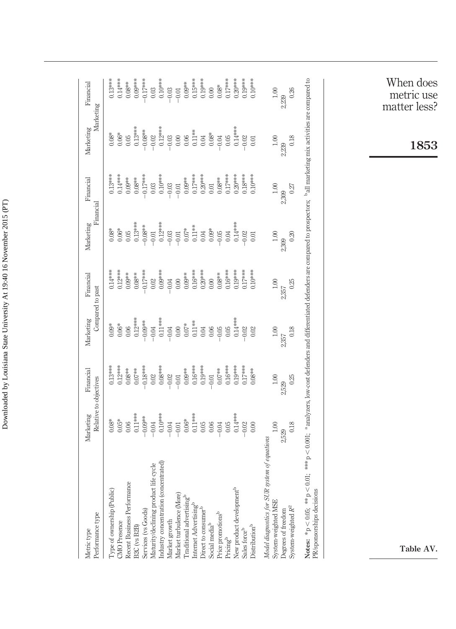| Metric type                                                                                                                                                                                                                              | Relative to objectives<br>Marketing | Financial  | Marketing         | Financial         | Marketing           | Financial  | Marketing                          | Financial                                                       |
|------------------------------------------------------------------------------------------------------------------------------------------------------------------------------------------------------------------------------------------|-------------------------------------|------------|-------------------|-------------------|---------------------|------------|------------------------------------|-----------------------------------------------------------------|
| Performance type                                                                                                                                                                                                                         |                                     |            | Compared to past  |                   | Financial           |            | Marketing                          |                                                                 |
| Type of ownership (Public)                                                                                                                                                                                                               | $0.08*$                             | $0.13***$  | $0.09*$           | $0.14***$         | $0.08*$             | $0.13***$  | $0.08*$                            | $0.13***$                                                       |
| CMO Presence                                                                                                                                                                                                                             | $0.05*$                             | $0.12***$  | $0.06*$           | $0.12***$         | $0.06*$             | $0.14***$  | $0.06*$                            | $0.14***$                                                       |
| Recent Business Performance                                                                                                                                                                                                              | 0.06                                | $0.08***$  | 0.06              | $0.09***$         | 0.05                | $0.09**$   | $0.05\,$                           | $0.08**$                                                        |
| B2C (vs B2B)                                                                                                                                                                                                                             | $0.11***$                           | $0.07***$  | $0.12***$         | $0.08***$         | $0.13***$           | $0.08***$  | $0.13***$                          | $0.09***$                                                       |
| Services (vs Goods)                                                                                                                                                                                                                      | $-0.09**$                           | $-0.18***$ | $-0.09**$         | $-0.17***$        | $-0.08***$          | $-0.17***$ | $-0.08**$                          | $-0.17***$                                                      |
| Maturity/declining product life cycle                                                                                                                                                                                                    | $0.04$                              | 0.02       | $-0.04$           | 0.02              | $0.01$              | 0.03       | 0.02                               |                                                                 |
| Industry concentration (concentrated)                                                                                                                                                                                                    | $0.10***$                           | $0.08***$  |                   | $0.09***$         |                     | $0.10***$  | $0.12***$                          |                                                                 |
| Market growth                                                                                                                                                                                                                            | $0.04\,$                            | $-0.02$    | $0.11***$         | $-0.04$           | $0.12***$           | $-0.03$    | $0.03$                             | $0.03$<br>0.10***<br>-0.03                                      |
| Market turbulence (More)                                                                                                                                                                                                                 | $\cdot 0.01$                        | $-0.01$    | $0.00\,$          | 0.00              | $-0.01$             | $-0.01$    |                                    | $-0.01$                                                         |
| Traditional advertising <sup>t</sup>                                                                                                                                                                                                     | $0.06*$                             | $0.09**$   | $0.07*$           | $0.09**$          | $0.07\mathrm{*}$    | $0.09**$   |                                    | $0.09***$                                                       |
| Internet Advertising <sup>b</sup>                                                                                                                                                                                                        | $0.11***$                           | $0.16***$  | $0.11***$<br>0.04 |                   | $0.11***$<br>0.04   | $0.17***$  | $0.06$ $*$<br>$0.05$ $*$<br>$0.04$ | $\begin{array}{c} 0.15***\\ 0.19***\\ 0.00\\ 0.08* \end{array}$ |
| Direct to consumer <sup>b</sup>                                                                                                                                                                                                          | $0.05\,$                            | $0.19***$  |                   | ******<br>0.20*** |                     | $0.20***$  |                                    |                                                                 |
| Social media <sup>b</sup>                                                                                                                                                                                                                | $0.06$<br>$-0.04$                   | $0.01$     | 0.06              | 0.00              | $0.09$ *<br>$-0.05$ | $0.01\,$   | $0.08^{**}$                        |                                                                 |
| Price promotions <sup>p</sup>                                                                                                                                                                                                            |                                     | $0.07***$  |                   | $0.08***$         |                     | $0.08***$  |                                    |                                                                 |
| Pricing <sup>b</sup>                                                                                                                                                                                                                     | $0.05\,$                            | $0.16***$  | $0.05\,$          | $0.16***$         | $0.04$              | $0.17***$  | $0.05\,$                           | $0.17***$                                                       |
| New product development <sup>b</sup>                                                                                                                                                                                                     | $0.14***$                           | $0.19***$  | $0.14***$         | $0.19***$         | $0.14***$           | $0.20***$  | $0.14***$                          | $0.20***$                                                       |
| Sales force <sup>b</sup>                                                                                                                                                                                                                 | 0.02                                | $0.17***$  | 0.02              | $0.17***$         | 0.02                | $0.18***$  | 0.02                               | $0.19***$                                                       |
| Distribution <sup>b</sup>                                                                                                                                                                                                                | 0.00                                | $0.08***$  | 0.02              | $0.10***$         | 0.01                | $0.10***$  | 0.01                               | $0.10***$                                                       |
| Model diagnostics for SUR system of equations                                                                                                                                                                                            |                                     |            |                   |                   |                     |            |                                    |                                                                 |
| System-weighted MSE                                                                                                                                                                                                                      | 1.00                                | 1.00       | $1.00\,$          | 1.00              | 1.00                | 1.00       | 1.00                               | 1.00                                                            |
| Degrees of freedom                                                                                                                                                                                                                       | 2,529                               | 2,529      | 2,357             | 2,357             | 2,309               | 2,309      | 2,239                              | 2,239                                                           |
| System-weighted $R^2$                                                                                                                                                                                                                    | 0.18                                | 0.25       | 0.18              | 0.25              | 0.20                | 0.27       | 0.18                               | 0.26                                                            |
| Notes: $*_{p}$ < 0.05; $**_{p}$ < 0.01; $**_{p}$ < 0.001; $^{a}$ analyzers, low-ost defenders and differentiated defenders are compared to prospectors; $^{b}$ all marketing mix activities are compared to<br>PR/sponsorships decisions |                                     |            |                   |                   |                     |            |                                    |                                                                 |

**Table AV.**

When does metric use matter less?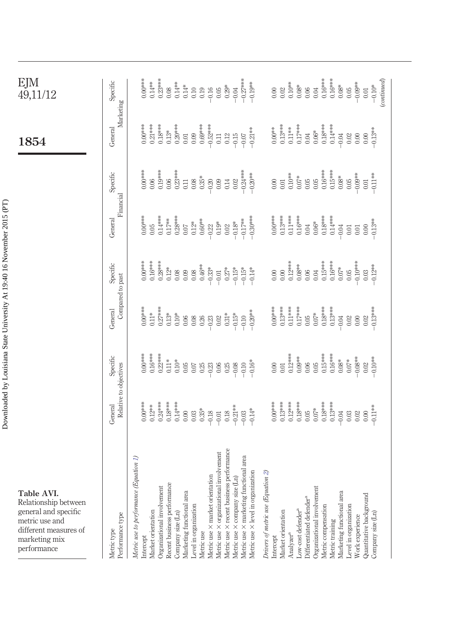<span id="page-47-0"></span>

| EJM<br>49,11/12                                                                                                                       | Specific<br>Marketing             |                                        | $0.00***$    | $0.23***$<br>$0.14***$                           |                             | $\begin{array}{c} 0.08 \\ 0.14** \end{array}$      |                           |                                               |            |                                        |                                         |                                          |                                       |                                        | $\begin{array}{c} 0.14^{**}\\ 0.10\\ 0.19\\ -0.16\\ 0.05\\ -0.05\\ -0.23^{**}\\ -0.21^{***}\\ -0.21^{***}\\ -0.21^{***}\\ -0.21^{***}\\ \end{array}$ |                                    | $0.00\,$  | $0.02\,$                                    | $0.10***$             | $0.08\mathrm{*}$               | 0.06                                 | $0.04\,$                   | $0.16***$           | $0.16***$       | $0.08\ensuremath{^{\mathrm{*}}}$ | 0.05                  | $-0.09***$                                              | $\!0.01\!$              | $-0.10*$          | continued |  |
|---------------------------------------------------------------------------------------------------------------------------------------|-----------------------------------|----------------------------------------|--------------|--------------------------------------------------|-----------------------------|----------------------------------------------------|---------------------------|-----------------------------------------------|------------|----------------------------------------|-----------------------------------------|------------------------------------------|---------------------------------------|----------------------------------------|------------------------------------------------------------------------------------------------------------------------------------------------------|------------------------------------|-----------|---------------------------------------------|-----------------------|--------------------------------|--------------------------------------|----------------------------|---------------------|-----------------|----------------------------------|-----------------------|---------------------------------------------------------|-------------------------|-------------------|-----------|--|
| 1854                                                                                                                                  | General                           |                                        | $0.00***$    | $0.21***$<br>$0.18***$                           | $0.13**$                    | $0.20***$                                          |                           | $\begin{array}{c} 0.01 \\ 0.09 \end{array}$   | $0.69***$  |                                        | $-0.52***$                              | $0.12\,$                                 | $-0.15$                               | $-0.07$                                | $-0.21**$                                                                                                                                            |                                    | $0.00**$  | $0.13***$                                   | $0.11***$             | $0.17***$                      | $0.04\,$                             | $0.06*$                    | $0.18***$           | $0.14***$       | $0.04$                           | $0.02\,$              | 0.00000                                                 |                         | $-0.13***$        |           |  |
|                                                                                                                                       | Specific                          |                                        | $0.00***$    | $0.19***$<br>0.06                                |                             | $0.06$<br>$0.23***$<br>$0.11$<br>$0.08$<br>$0.35*$ |                           |                                               |            |                                        | $-0.20$                                 |                                          |                                       |                                        | $0.14$<br>$0.02$<br>$-0.24***$<br>$-0.20***$                                                                                                         |                                    |           | $\begin{array}{c} 0.00 \\ 0.01 \end{array}$ | $0.10***$             |                                | $0.07*$<br>0.05<br>0.05              |                            | $0.16***$           |                 | $0.15***$<br>$0.08***$           |                       | $\begin{array}{c} 0.05 \\ -0.09*** \\ 0.01 \end{array}$ |                         | $-0.11**$         |           |  |
|                                                                                                                                       | Financial<br>General              |                                        | $0.00***$    | $0.14***$<br>0.05                                |                             | $0.17***$<br>0.28***                               | $0.07\,$                  | $0.12*$                                       | $0.60**$   |                                        | $-0.22$<br>0.19*                        | $0.02\,$                                 | $-0.18*$                              | $-0.17***$                             | $-0.30***$                                                                                                                                           |                                    | $0.00***$ | $0.13***$                                   | $0.11***$             | $0.16***$                      | $0.04\,$                             | $0.06*$                    | $0.18***$           | $0.14***$       | $0.04\,$                         | $0.01\,$              | $0.01\,$                                                | $0.00\,$                | $-0.13**$         |           |  |
|                                                                                                                                       | Specific                          |                                        | $0.00^{***}$ | $0.16***$<br>$0.28***$                           | $0.12*$                     | $0.08\,$                                           |                           | $0.09$<br>$0.08$<br>$0.46***$                 |            | $-0.33*$                               | $-0.01$                                 | $0.27*$                                  |                                       |                                        | $-0.15*$<br>$-0.15*$<br>$-0.14*$                                                                                                                     |                                    | $0.00\,$  | $0.00$                                      | $0.12***$             | $0.08***$                      | 0.06                                 | $0.04\,$                   | $0.15***$           | $0.16***$       | $0.07$ *                         | $0.05$<br>$-0.10***$  |                                                         | $\rm 0.03$              | $-0.12***$        |           |  |
|                                                                                                                                       | Compared to past<br>General       |                                        | $0.00***$    | $0.27***$<br>$0.11*$                             | $0.13*$                     | $0.10$ *                                           |                           | $0.06$<br>$0.08$<br>$0.26$                    |            |                                        | $-0.23$<br>0.02                         | $0.31\,^*$                               | $-0.15*$                              |                                        | $-0.10$<br>$-0.20***$                                                                                                                                |                                    | $0.00**$  | $0.13***$                                   | $0.11***$             | $0.17***$                      | 0.05                                 | $0.07**$                   | $0.18***$           | $0.13***$       | $0.04$                           | $0.02\,$              | $0.00\,$                                                | 0.02                    | $-0.13***$        |           |  |
|                                                                                                                                       | Specific                          |                                        | $0.00***$    | $0.16***$<br>$0.22***$                           | $0.11*$                     | $0.10*$                                            | $0.05\,$                  | $\begin{array}{c} 0.07 \\ 0.25 \end{array}$   |            |                                        | $-0.23$                                 | $0.25\,$                                 | $-0.08$                               |                                        | $-0.10$<br>$-0.16$ *                                                                                                                                 |                                    | 0.00      | $0.01\,$                                    | $0.12***$             | $0.09**$                       | 0.06                                 | $0.05\,$                   | $0.15***$           | $0.16***$       | $0.08^{\rm \text{\tiny{*}}}$     | $0.07*$               | $-0.08***$                                              | $0.02\,$                | $-0.10***$        |           |  |
|                                                                                                                                       | Relative to objectives<br>General |                                        | $0.00***$    | $0.24***$<br>$0.12***$                           | $0.18***$                   | $0.14***$                                          | $0.00\,$                  | $\overset{0.03}{_{\displaystyle .35^{\ast}}}$ |            | $-0.18$                                | $-0.01$                                 | $0.18\,$                                 | $-0.21**$                             | $-0.03$                                | $-0.14*$                                                                                                                                             |                                    | $0.00***$ | $0.13***$                                   | $0.12***$             | $0.18***$                      | 0.05                                 | $0.07\mathrm{*}$           | $0.18***$           | $0.13***$       | $0.04$                           | $0.03\,$              | $0.02\,$                                                | $0.00\,$                | $-0.11**$         |           |  |
| Table AVI.<br>Relationship between<br>general and specific<br>metric use and<br>different measures of<br>marketing mix<br>performance | Performance type<br>Metric type   | Metric use to performance (Equation 1) | Intercept    | Organizational involvement<br>Market orientation | Recent business performance | Company size (Ln)                                  | Marketing functional area | Level in organization                         | Metric use | Metric use $\times$ market orientation | Metric use × organizational involvement | Metric use X recent business performance | Metric use $\times$ company size (Ln) | Metric use × marketing functional area | Metric use × level in organization                                                                                                                   | Drivers of metric use (Equation 2) | Intercept | Market orientation                          | Analyzer <sup>a</sup> | Low-cost defender <sup>a</sup> | Differentiated defender <sup>a</sup> | Organizational involvement | Metric compensation | Metric training | Marketing functional area        | Level in organization | Work experience                                         | Quantitative background | Company size (Ln) |           |  |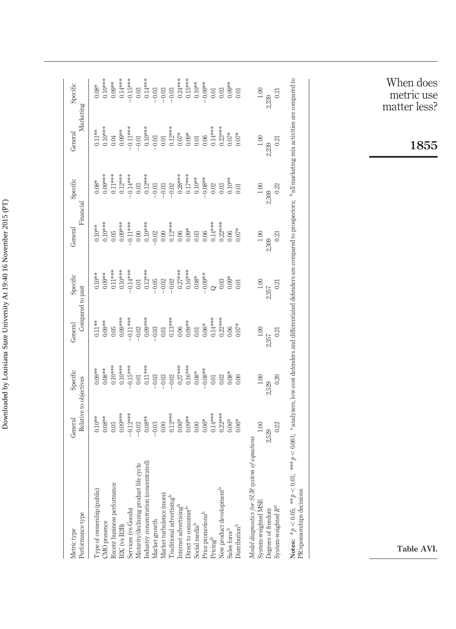| Metric type                                                                                                                                                                                                 | General                                                                                                                             | Specific                                                                                                                                                                                                                                        | General                                                                                                                                                                                                             | Specific         | General   | Specific                                                                                                                               | General                                                                                                                             | Specific   |
|-------------------------------------------------------------------------------------------------------------------------------------------------------------------------------------------------------------|-------------------------------------------------------------------------------------------------------------------------------------|-------------------------------------------------------------------------------------------------------------------------------------------------------------------------------------------------------------------------------------------------|---------------------------------------------------------------------------------------------------------------------------------------------------------------------------------------------------------------------|------------------|-----------|----------------------------------------------------------------------------------------------------------------------------------------|-------------------------------------------------------------------------------------------------------------------------------------|------------|
| Performance type                                                                                                                                                                                            |                                                                                                                                     | Relative to objectives                                                                                                                                                                                                                          |                                                                                                                                                                                                                     | Compared to past |           | Financial                                                                                                                              |                                                                                                                                     | Marketing  |
| Type of ownership (public)                                                                                                                                                                                  | $0.10***$                                                                                                                           | $0.09***$                                                                                                                                                                                                                                       | $0.11***$                                                                                                                                                                                                           | $0.10***$        | $0.10***$ | $0.08*$                                                                                                                                | $0.11**$                                                                                                                            | $0.08*$    |
| CMO presence                                                                                                                                                                                                | $0.08**$                                                                                                                            | $0.08**$                                                                                                                                                                                                                                        |                                                                                                                                                                                                                     | $0.09**$         |           | $0.09***$                                                                                                                              |                                                                                                                                     | $0.10***$  |
| Recent business performance                                                                                                                                                                                 |                                                                                                                                     |                                                                                                                                                                                                                                                 |                                                                                                                                                                                                                     |                  |           |                                                                                                                                        |                                                                                                                                     |            |
| B2C (vs B2B)                                                                                                                                                                                                |                                                                                                                                     |                                                                                                                                                                                                                                                 |                                                                                                                                                                                                                     |                  |           |                                                                                                                                        |                                                                                                                                     |            |
| Services (vs Goods)                                                                                                                                                                                         | $\begin{array}{r} 0.05 \\ 0.09*** \\ 0.09*** \\ 0.12*** \\ -0.12*** \\ -0.08*** \\ 0.03\\ -0.03\\ 0.00\\ 0.00\\ 0.00\\ \end{array}$ | $\begin{array}{c} 0.10^{*\!\!+\!\!*\!\!+\!\!*\!\!*\!\!*\!\!} \\ 0.10^{*\!\!+\!\!*\!\!*\!\!*\!\!*\!\!*\!\!*\!\!*} \\ 0.10^{*\!\!+\!\!*\!\!*\!\!*\!\!*\!\!*\!\!*\!\!*} \\ 0.01 & \\ 0.11^{*\!\!+\!\!*\!\!*\!\!*\!\!*\!\!*\!\!*\!\!*} \end{array}$ | $\begin{array}{r} 0.09^{**} \\ 0.05 \\ 0.05 \\ -0.11^{***} \\ -0.11^{***} \\ -0.02 & 0.03 \\ -0.03 & 0.03 \\ 0.00 & 0.00 \\ 0.00 & 0.00 \\ 0.00 & 0.00 \\ 0.00 & 0.00 \\ 0.00 & 0.00 \\ 0.00 & 0.00 \\ \end{array}$ |                  |           | $\begin{array}{r} 0.11 \\ 0.12 \\ -0.14 \\ -0.03 \\ 0.03 \\ -0.03 \\ -0.03 \\ -0.03 \\ -0.03 \\ -0.03 \\ -0.03 \\ 0.28 \\ \end{array}$ | $\begin{array}{l} 0.10^{*\!*\!*}\!\!\\ 0.04\\ 0.09^{*\!*\!*}\!\\ -0.11^{*\!*\!*}\!\!\\ -0.01 \end{array}$                           |            |
| Maturity/declining product life cycle                                                                                                                                                                       |                                                                                                                                     |                                                                                                                                                                                                                                                 |                                                                                                                                                                                                                     |                  |           |                                                                                                                                        |                                                                                                                                     |            |
| Industry concentration (concentrated)                                                                                                                                                                       |                                                                                                                                     |                                                                                                                                                                                                                                                 |                                                                                                                                                                                                                     |                  |           |                                                                                                                                        | $\begin{array}{r} 0.10^{*\!\#\!\#}\! \\ -0.03 \\ 0.01 \\ 0.12^{*\!\#}\! \\ 0.07^* \\ 0.00^{*\!\#}\! \\ 0.00 \\ 0.00 \\ \end{array}$ |            |
| Market growth                                                                                                                                                                                               |                                                                                                                                     | $-0.03$<br>$-0.03$<br>$-0.02$                                                                                                                                                                                                                   |                                                                                                                                                                                                                     |                  |           |                                                                                                                                        |                                                                                                                                     |            |
| Market turbulence (more)                                                                                                                                                                                    |                                                                                                                                     |                                                                                                                                                                                                                                                 |                                                                                                                                                                                                                     |                  |           |                                                                                                                                        |                                                                                                                                     |            |
| Traditional advertising <sup>b</sup>                                                                                                                                                                        |                                                                                                                                     |                                                                                                                                                                                                                                                 |                                                                                                                                                                                                                     |                  |           |                                                                                                                                        |                                                                                                                                     |            |
| Internet advertising <sup>1</sup>                                                                                                                                                                           | $0.12***$<br>$0.06***$<br>0.09**                                                                                                    | $0.27***$<br>$0.16***$                                                                                                                                                                                                                          |                                                                                                                                                                                                                     |                  |           |                                                                                                                                        |                                                                                                                                     |            |
| Direct to consumer <sup>b</sup>                                                                                                                                                                             |                                                                                                                                     |                                                                                                                                                                                                                                                 |                                                                                                                                                                                                                     |                  |           |                                                                                                                                        |                                                                                                                                     |            |
| Social media <sup>b</sup>                                                                                                                                                                                   | $0.00\,$                                                                                                                            | $0.08\mathrm{*}$                                                                                                                                                                                                                                |                                                                                                                                                                                                                     |                  |           | $0.10***$                                                                                                                              |                                                                                                                                     |            |
| Price promotions <sup>b</sup>                                                                                                                                                                               | $0.06*$                                                                                                                             | $-0.08***$                                                                                                                                                                                                                                      | $0.06*$                                                                                                                                                                                                             |                  |           | $-0.08***$                                                                                                                             |                                                                                                                                     |            |
| Pricing <sup>b</sup>                                                                                                                                                                                        | $0.14***$                                                                                                                           | $0.01\,$                                                                                                                                                                                                                                        |                                                                                                                                                                                                                     |                  |           |                                                                                                                                        |                                                                                                                                     |            |
| New product development <sup>b</sup>                                                                                                                                                                        | $0.22***$                                                                                                                           | $0.02\,$                                                                                                                                                                                                                                        |                                                                                                                                                                                                                     |                  |           | $\begin{array}{c} 0.02 \\ 0.03 \end{array}$                                                                                            |                                                                                                                                     |            |
| Sales force <sup>b</sup>                                                                                                                                                                                    | $0.06*$                                                                                                                             | $0.08*$                                                                                                                                                                                                                                         | $0.14***$<br>$0.22***$                                                                                                                                                                                              | $Q_{0.03}$       |           | $0.10***$                                                                                                                              | $0.14***$<br>$0.23***$<br>$0.07*$                                                                                                   |            |
| Distribution <sup>b</sup>                                                                                                                                                                                   | $0.06*$                                                                                                                             | $0.00\,$                                                                                                                                                                                                                                        | $0.07*$                                                                                                                                                                                                             | $\!0.01\!$       |           | $0.01\,$                                                                                                                               | $0.07**$                                                                                                                            | $\!0.01\!$ |
| Model diagnostics for SUR system of equations                                                                                                                                                               |                                                                                                                                     |                                                                                                                                                                                                                                                 |                                                                                                                                                                                                                     |                  |           |                                                                                                                                        |                                                                                                                                     |            |
| System-weighted MSE                                                                                                                                                                                         | $1.00$                                                                                                                              | $1.00\,$                                                                                                                                                                                                                                        | $1.00\,$                                                                                                                                                                                                            | $1.00\,$         | $1.00\,$  | $1.00\,$                                                                                                                               | $1.00\,$                                                                                                                            | $1.00\,$   |
| Degrees of freedom                                                                                                                                                                                          | 2,529                                                                                                                               | 2,529                                                                                                                                                                                                                                           | 2,357                                                                                                                                                                                                               | 2,357            | 2,309     | 2,309                                                                                                                                  | 2,239                                                                                                                               | 2,239      |
| System-weighted $R^2$                                                                                                                                                                                       | 0.22                                                                                                                                | 0.20                                                                                                                                                                                                                                            | 0.21                                                                                                                                                                                                                | 0.21             | $0.23\,$  | 0.22                                                                                                                                   | 0.21                                                                                                                                | 0.21       |
| Notes: $*_b$ < 0.05; $*_b$ < 0.01; $*_b$ $*$ $*$ $b$ < 0.001; $^9$ analyzers, low-ost defenders and differentiated defenders are compared to prospectors; $^9$ all marketing mix activities are compared to |                                                                                                                                     |                                                                                                                                                                                                                                                 |                                                                                                                                                                                                                     |                  |           |                                                                                                                                        |                                                                                                                                     |            |
| PR/sponsorships decisions                                                                                                                                                                                   |                                                                                                                                     |                                                                                                                                                                                                                                                 |                                                                                                                                                                                                                     |                  |           |                                                                                                                                        |                                                                                                                                     |            |
|                                                                                                                                                                                                             |                                                                                                                                     |                                                                                                                                                                                                                                                 |                                                                                                                                                                                                                     |                  |           |                                                                                                                                        |                                                                                                                                     |            |
|                                                                                                                                                                                                             |                                                                                                                                     |                                                                                                                                                                                                                                                 |                                                                                                                                                                                                                     |                  |           |                                                                                                                                        |                                                                                                                                     |            |
|                                                                                                                                                                                                             |                                                                                                                                     |                                                                                                                                                                                                                                                 |                                                                                                                                                                                                                     |                  |           |                                                                                                                                        |                                                                                                                                     |            |
|                                                                                                                                                                                                             |                                                                                                                                     |                                                                                                                                                                                                                                                 |                                                                                                                                                                                                                     |                  |           |                                                                                                                                        |                                                                                                                                     |            |
|                                                                                                                                                                                                             |                                                                                                                                     |                                                                                                                                                                                                                                                 |                                                                                                                                                                                                                     |                  |           |                                                                                                                                        |                                                                                                                                     |            |
|                                                                                                                                                                                                             |                                                                                                                                     |                                                                                                                                                                                                                                                 |                                                                                                                                                                                                                     |                  |           |                                                                                                                                        |                                                                                                                                     |            |
|                                                                                                                                                                                                             |                                                                                                                                     |                                                                                                                                                                                                                                                 |                                                                                                                                                                                                                     |                  |           |                                                                                                                                        |                                                                                                                                     | n          |

**Table AVI.**

When does metric use matter less?

**1855**